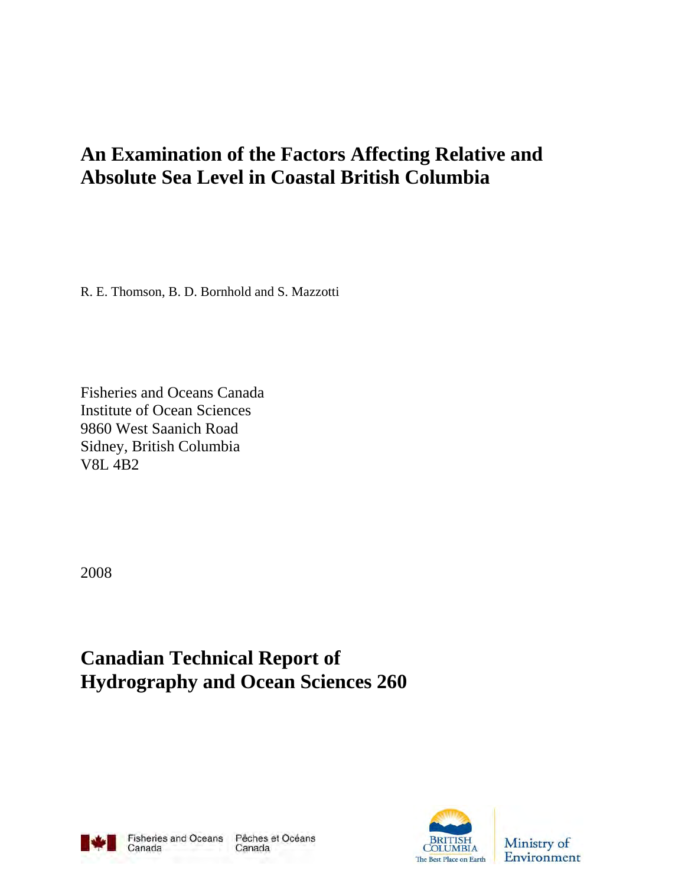# **An Examination of the Factors Affecting Relative and Absolute Sea Level in Coastal British Columbia**

R. E. Thomson, B. D. Bornhold and S. Mazzotti

Fisheries and Oceans Canada Institute of Ocean Sciences 9860 West Saanich Road Sidney, British Columbia V8L 4B2

2008

**Canadian Technical Report of Hydrography and Ocean Sciences 260** 



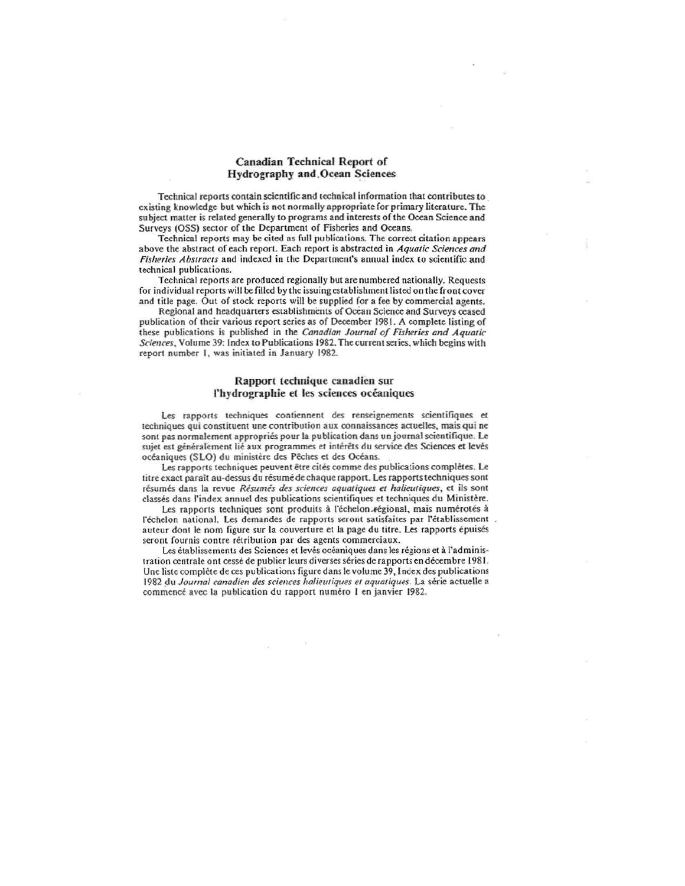#### Canadian Technical Report of Hydrography and,Ocean Sciences

Technical reports contain scientific and technical information that contributes to existing knowledge but which is not normally appropriate for primary literature. The subject matter is related generally to programs and interests of the Ocean Science and Surveys (OSS) sector of the Department of Fisheries and Oceans.

Technical reports may be cited as full publications. The correct citation appears above the abstract of each report. Each report is abstracted in *Aquatic Sciences and Fisheries Abstracts* and indexed in the Department's annual index to scientific and technical publications.

Technical reports are produced regionally but are numbcred nationally. Requests for individual reports will be filled by the issuing establishment listed on the front cover and title page. Out of stock reports will be supplied for a fee by commercial agents.

Regional and headquarters establishments of Ocean Science and Surveys ceased publication of their various report series as of December 1981. A complete listing of these publications is published in the *Canadian Journal of Fisheries and Aquatic* Sciences, Volume 39: Index to Publications 1982. The current series, which begins with report number 1, was initiated in January 1982.

#### Rapport technique canadien sur l'hydrographie et les sciences océaniques

Les rapports techniques contiennent des renseignements scientifiques et techniques qui constituent une contribution aux connaissances actuelles, mais qui ne sont pas normalement appropriés pour la publication dans un journal scientifique. Le sujet est généralement lié aux programmes et intérêts du service des Sciences et levés océaniques (SLO) du ministère des Pêches et des Océans.

Les rapports techniques peuvent être cités comme des publications complètes. Le titre exact paraît au-dessus du résumé de chaque rapport. Les rapports techniques sont résumés dans la revue *Résumés des sciences aquatiques et halieutiques*, et ils sont classés dans l'index annuel des publications scientifiques et techniques du Ministère.

Les rapports techniques sont produits à l'échelon. régional, mais numérotés à l'échelon national. Les demandes de rapports seront satisfaites par l'établissement auteur dont le nom figure sur la couverture et la page du titre. Les rapports épuisés seront fournis contre rétribution par des agents commerciaux.

Les établissements des Sciences et levés océaniques dans les régions et à l'administration centrale ont cessé de publier leurs diverses séries de rapports en décembre 1981. Unc liste complete de ces publications figure dans Ie volume 39, Index des publications 1982 du Journal canadien des sciences halieutiques et aquatiques. La série actuelle a commencé avec la publication du rapport numéro 1 en janvier 1982.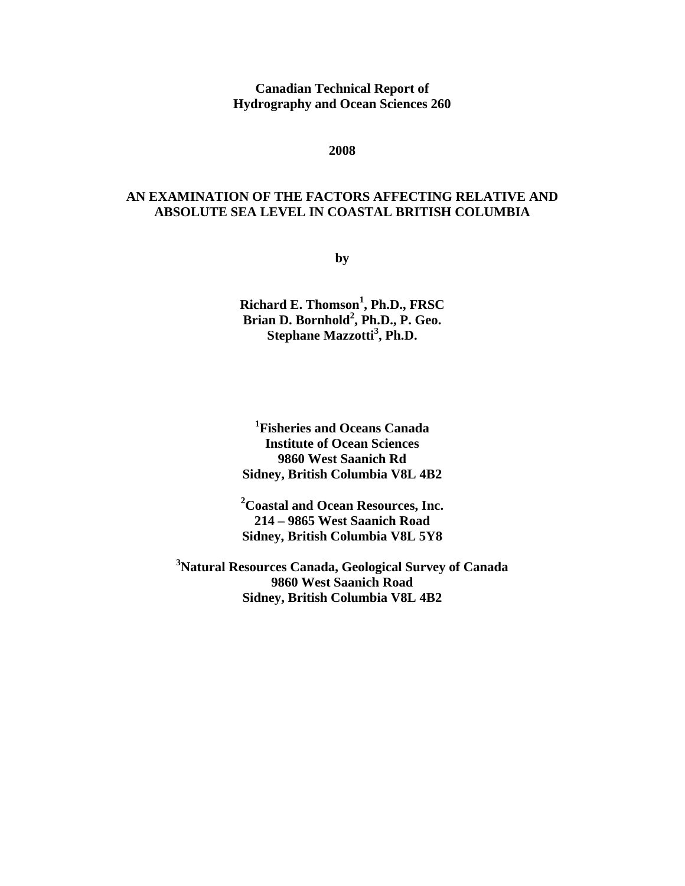**Canadian Technical Report of Hydrography and Ocean Sciences 260** 

**2008** 

# **AN EXAMINATION OF THE FACTORS AFFECTING RELATIVE AND ABSOLUTE SEA LEVEL IN COASTAL BRITISH COLUMBIA**

**by** 

**Richard E. Thomson1 , Ph.D., FRSC Brian D. Bornhold2 , Ph.D., P. Geo. Stephane Mazzotti<sup>3</sup> , Ph.D.** 

**1 Fisheries and Oceans Canada Institute of Ocean Sciences 9860 West Saanich Rd Sidney, British Columbia V8L 4B2** 

**2 Coastal and Ocean Resources, Inc. 214 – 9865 West Saanich Road Sidney, British Columbia V8L 5Y8** 

**3 Natural Resources Canada, Geological Survey of Canada 9860 West Saanich Road Sidney, British Columbia V8L 4B2**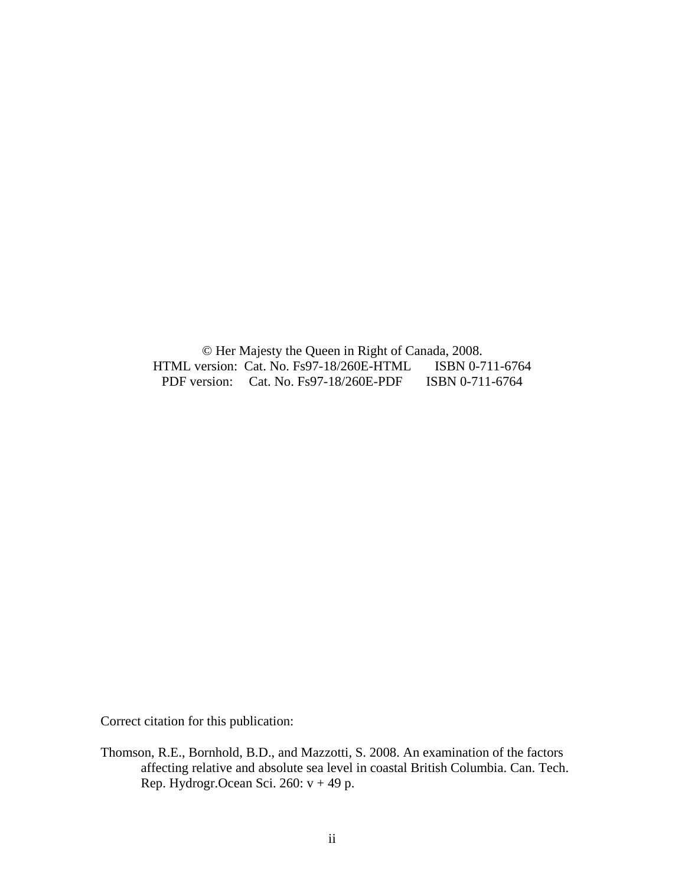© Her Majesty the Queen in Right of Canada, 2008. HTML version: Cat. No. Fs97-18/260E-HTML PDF version: Cat. No. Fs97-18/260E-PDF ISBN 0-711-6764

Correct citation for this publication:

Thomson, R.E., Bornhold, B.D., and Mazzotti, S. 2008. An examination of the factors affecting relative and absolute sea level in coastal British Columbia. Can. Tech. Rep. Hydrogr.Ocean Sci. 260: v + 49 p.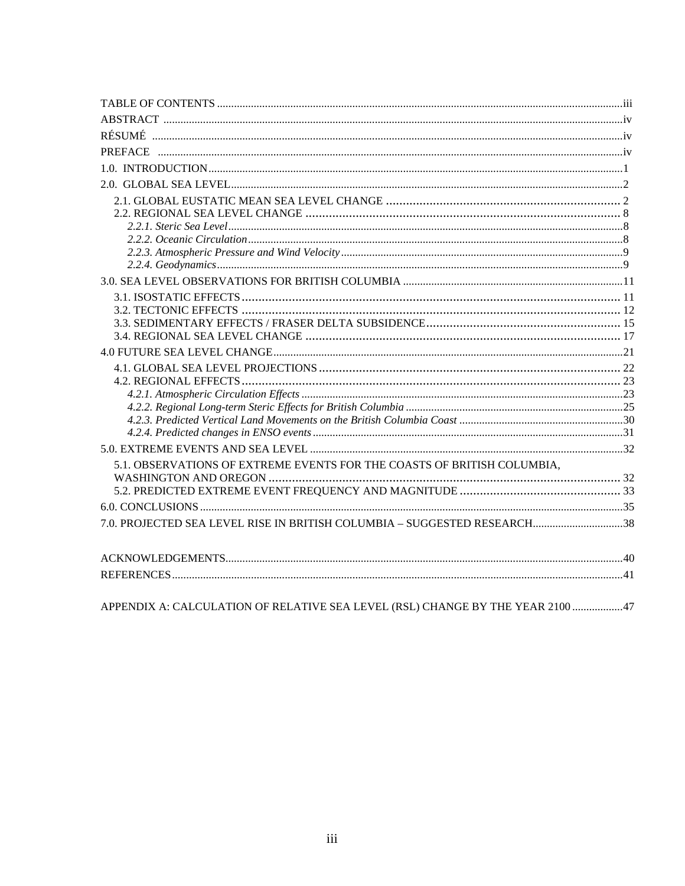| 5.1. OBSERVATIONS OF EXTREME EVENTS FOR THE COASTS OF BRITISH COLUMBIA,        |  |
|--------------------------------------------------------------------------------|--|
|                                                                                |  |
|                                                                                |  |
|                                                                                |  |
| 7.0. PROJECTED SEA LEVEL RISE IN BRITISH COLUMBIA - SUGGESTED RESEARCH38       |  |
|                                                                                |  |
|                                                                                |  |
|                                                                                |  |
| APPENDIX A: CALCULATION OF RELATIVE SEA LEVEL (RSL) CHANGE BY THE YEAR 2100 47 |  |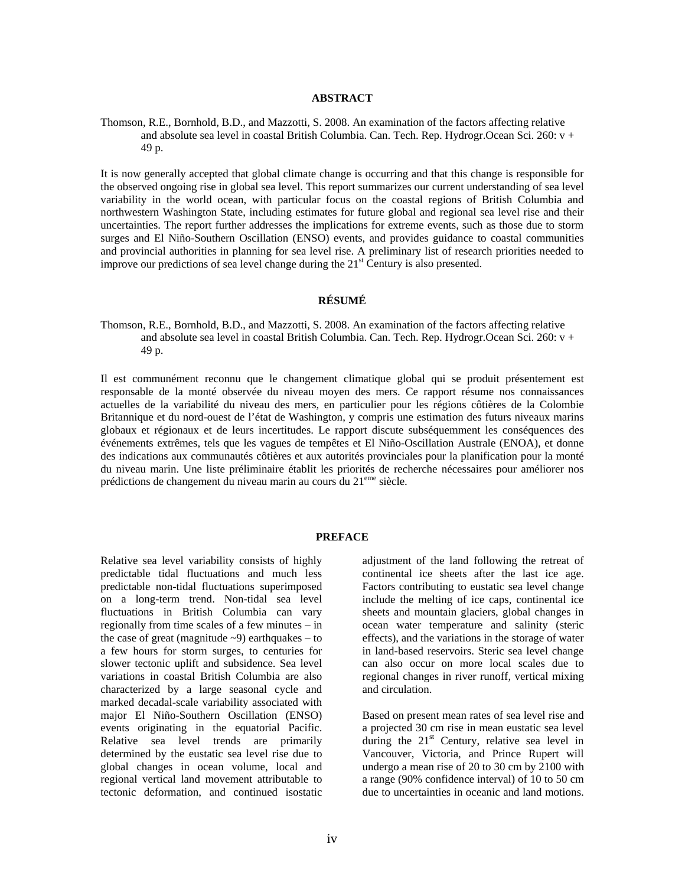#### **ABSTRACT**

Thomson, R.E., Bornhold, B.D., and Mazzotti, S. 2008. An examination of the factors affecting relative and absolute sea level in coastal British Columbia. Can. Tech. Rep. Hydrogr.Ocean Sci. 260: v + 49 p.

It is now generally accepted that global climate change is occurring and that this change is responsible for the observed ongoing rise in global sea level. This report summarizes our current understanding of sea level variability in the world ocean, with particular focus on the coastal regions of British Columbia and northwestern Washington State, including estimates for future global and regional sea level rise and their uncertainties. The report further addresses the implications for extreme events, such as those due to storm surges and El Niño-Southern Oscillation (ENSO) events, and provides guidance to coastal communities and provincial authorities in planning for sea level rise. A preliminary list of research priorities needed to improve our predictions of sea level change during the  $21<sup>st</sup>$  Century is also presented.

#### **RÉSUMÉ**

Thomson, R.E., Bornhold, B.D., and Mazzotti, S. 2008. An examination of the factors affecting relative and absolute sea level in coastal British Columbia. Can. Tech. Rep. Hydrogr.Ocean Sci. 260: v + 49 p.

Il est communément reconnu que le changement climatique global qui se produit présentement est responsable de la monté observée du niveau moyen des mers. Ce rapport résume nos connaissances actuelles de la variabilité du niveau des mers, en particulier pour les régions côtières de la Colombie Britannique et du nord-ouest de l'état de Washington, y compris une estimation des futurs niveaux marins globaux et régionaux et de leurs incertitudes. Le rapport discute subséquemment les conséquences des événements extrêmes, tels que les vagues de tempêtes et El Niño-Oscillation Australe (ENOA), et donne des indications aux communautés côtières et aux autorités provinciales pour la planification pour la monté du niveau marin. Une liste préliminaire établit les priorités de recherche nécessaires pour améliorer nos prédictions de changement du niveau marin au cours du 21eme siècle.

#### **PREFACE**

Relative sea level variability consists of highly predictable tidal fluctuations and much less predictable non-tidal fluctuations superimposed on a long-term trend. Non-tidal sea level fluctuations in British Columbia can vary regionally from time scales of a few minutes – in the case of great (magnitude  $\sim$ 9) earthquakes – to a few hours for storm surges, to centuries for slower tectonic uplift and subsidence. Sea level variations in coastal British Columbia are also characterized by a large seasonal cycle and marked decadal-scale variability associated with major El Niño-Southern Oscillation (ENSO) events originating in the equatorial Pacific. Relative sea level trends are primarily determined by the eustatic sea level rise due to global changes in ocean volume, local and regional vertical land movement attributable to tectonic deformation, and continued isostatic

adjustment of the land following the retreat of continental ice sheets after the last ice age. Factors contributing to eustatic sea level change include the melting of ice caps, continental ice sheets and mountain glaciers, global changes in ocean water temperature and salinity (steric effects), and the variations in the storage of water in land-based reservoirs. Steric sea level change can also occur on more local scales due to regional changes in river runoff, vertical mixing and circulation.

Based on present mean rates of sea level rise and a projected 30 cm rise in mean eustatic sea level during the  $21<sup>st</sup>$  Century, relative sea level in Vancouver, Victoria, and Prince Rupert will undergo a mean rise of 20 to 30 cm by 2100 with a range (90% confidence interval) of 10 to 50 cm due to uncertainties in oceanic and land motions.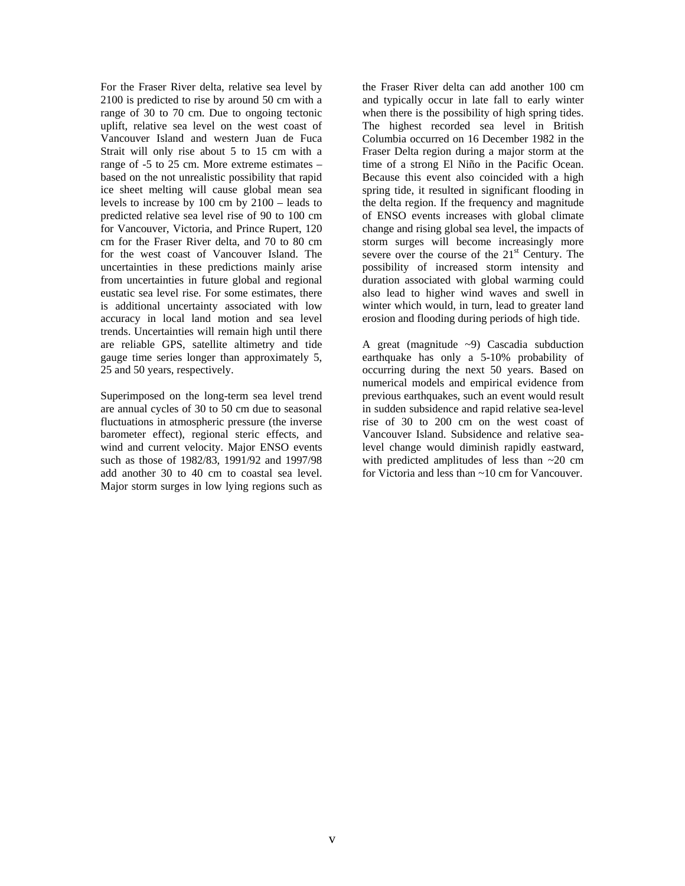For the Fraser River delta, relative sea level by 2100 is predicted to rise by around 50 cm with a range of 30 to 70 cm. Due to ongoing tectonic uplift, relative sea level on the west coast of Vancouver Island and western Juan de Fuca Strait will only rise about 5 to 15 cm with a range of -5 to 25 cm. More extreme estimates – based on the not unrealistic possibility that rapid ice sheet melting will cause global mean sea levels to increase by 100 cm by 2100 – leads to predicted relative sea level rise of 90 to 100 cm for Vancouver, Victoria, and Prince Rupert, 120 cm for the Fraser River delta, and 70 to 80 cm for the west coast of Vancouver Island. The uncertainties in these predictions mainly arise from uncertainties in future global and regional eustatic sea level rise. For some estimates, there is additional uncertainty associated with low accuracy in local land motion and sea level trends. Uncertainties will remain high until there are reliable GPS, satellite altimetry and tide gauge time series longer than approximately 5, 25 and 50 years, respectively.

Superimposed on the long-term sea level trend are annual cycles of 30 to 50 cm due to seasonal fluctuations in atmospheric pressure (the inverse barometer effect), regional steric effects, and wind and current velocity. Major ENSO events such as those of 1982/83, 1991/92 and 1997/98 add another 30 to 40 cm to coastal sea level. Major storm surges in low lying regions such as

the Fraser River delta can add another 100 cm and typically occur in late fall to early winter when there is the possibility of high spring tides. The highest recorded sea level in British Columbia occurred on 16 December 1982 in the Fraser Delta region during a major storm at the time of a strong El Niño in the Pacific Ocean. Because this event also coincided with a high spring tide, it resulted in significant flooding in the delta region. If the frequency and magnitude of ENSO events increases with global climate change and rising global sea level, the impacts of storm surges will become increasingly more severe over the course of the 21<sup>st</sup> Century. The possibility of increased storm intensity and duration associated with global warming could also lead to higher wind waves and swell in winter which would, in turn, lead to greater land erosion and flooding during periods of high tide.

A great (magnitude ~9) Cascadia subduction earthquake has only a 5-10% probability of occurring during the next 50 years. Based on numerical models and empirical evidence from previous earthquakes, such an event would result in sudden subsidence and rapid relative sea-level rise of 30 to 200 cm on the west coast of Vancouver Island. Subsidence and relative sealevel change would diminish rapidly eastward, with predicted amplitudes of less than ~20 cm for Victoria and less than ~10 cm for Vancouver.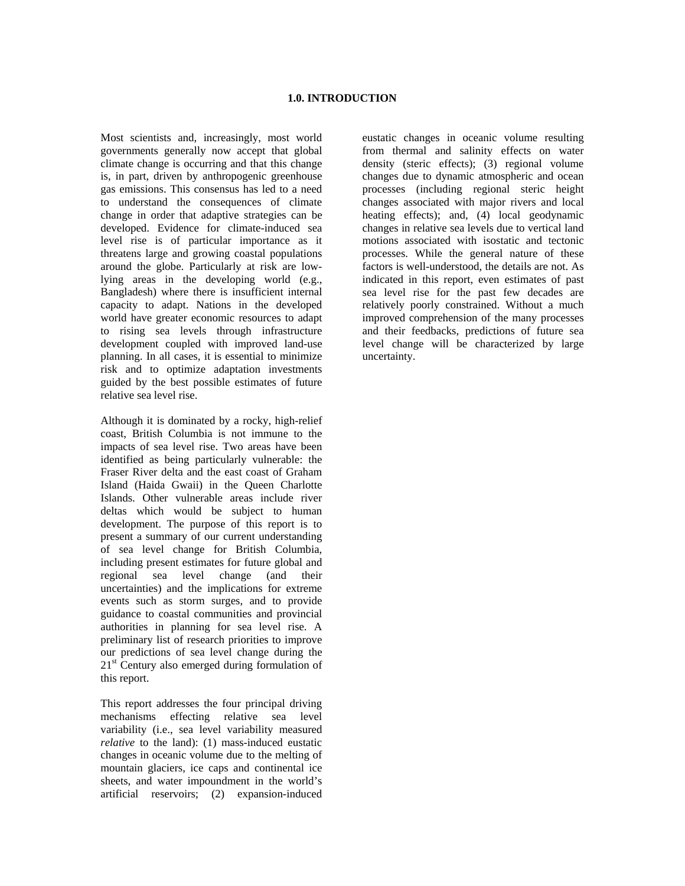#### **1.0. INTRODUCTION**

Most scientists and, increasingly, most world governments generally now accept that global climate change is occurring and that this change is, in part, driven by anthropogenic greenhouse gas emissions. This consensus has led to a need to understand the consequences of climate change in order that adaptive strategies can be developed. Evidence for climate-induced sea level rise is of particular importance as it threatens large and growing coastal populations around the globe. Particularly at risk are lowlying areas in the developing world (e.g., Bangladesh) where there is insufficient internal capacity to adapt. Nations in the developed world have greater economic resources to adapt to rising sea levels through infrastructure development coupled with improved land-use planning. In all cases, it is essential to minimize risk and to optimize adaptation investments guided by the best possible estimates of future relative sea level rise.

Although it is dominated by a rocky, high-relief coast, British Columbia is not immune to the impacts of sea level rise. Two areas have been identified as being particularly vulnerable: the Fraser River delta and the east coast of Graham Island (Haida Gwaii) in the Queen Charlotte Islands. Other vulnerable areas include river deltas which would be subject to human development. The purpose of this report is to present a summary of our current understanding of sea level change for British Columbia, including present estimates for future global and regional sea level change (and their uncertainties) and the implications for extreme events such as storm surges, and to provide guidance to coastal communities and provincial authorities in planning for sea level rise. A preliminary list of research priorities to improve our predictions of sea level change during the  $21<sup>st</sup>$  Century also emerged during formulation of this report.

This report addresses the four principal driving mechanisms effecting relative sea level variability (i.e., sea level variability measured *relative* to the land): (1) mass-induced eustatic changes in oceanic volume due to the melting of mountain glaciers, ice caps and continental ice sheets, and water impoundment in the world's artificial reservoirs; (2) expansion-induced

eustatic changes in oceanic volume resulting from thermal and salinity effects on water density (steric effects); (3) regional volume changes due to dynamic atmospheric and ocean processes (including regional steric height changes associated with major rivers and local heating effects); and, (4) local geodynamic changes in relative sea levels due to vertical land motions associated with isostatic and tectonic processes. While the general nature of these factors is well-understood, the details are not. As indicated in this report, even estimates of past sea level rise for the past few decades are relatively poorly constrained. Without a much improved comprehension of the many processes and their feedbacks, predictions of future sea level change will be characterized by large uncertainty.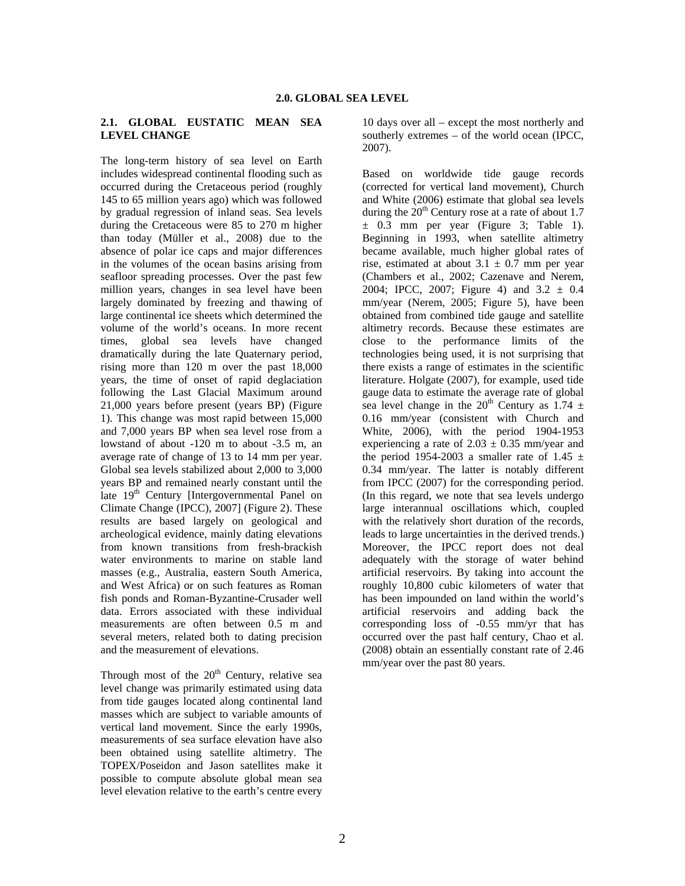#### **2.1. GLOBAL EUSTATIC MEAN SEA LEVEL CHANGE**

The long-term history of sea level on Earth includes widespread continental flooding such as occurred during the Cretaceous period (roughly 145 to 65 million years ago) which was followed by gradual regression of inland seas. Sea levels during the Cretaceous were 85 to 270 m higher than today (Müller et al., 2008) due to the absence of polar ice caps and major differences in the volumes of the ocean basins arising from seafloor spreading processes. Over the past few million years, changes in sea level have been largely dominated by freezing and thawing of large continental ice sheets which determined the volume of the world's oceans. In more recent times, global sea levels have changed dramatically during the late Quaternary period, rising more than 120 m over the past 18,000 years, the time of onset of rapid deglaciation following the Last Glacial Maximum around 21,000 years before present (years BP) (Figure 1). This change was most rapid between 15,000 and 7,000 years BP when sea level rose from a lowstand of about -120 m to about -3.5 m, an average rate of change of 13 to 14 mm per year. Global sea levels stabilized about 2,000 to 3,000 years BP and remained nearly constant until the late 19<sup>th</sup> Century [Intergovernmental Panel on Climate Change (IPCC), 2007] (Figure 2). These results are based largely on geological and archeological evidence, mainly dating elevations from known transitions from fresh-brackish water environments to marine on stable land masses (e.g., Australia, eastern South America, and West Africa) or on such features as Roman fish ponds and Roman-Byzantine-Crusader well data. Errors associated with these individual measurements are often between 0.5 m and several meters, related both to dating precision and the measurement of elevations.

Through most of the  $20<sup>th</sup>$  Century, relative sea level change was primarily estimated using data from tide gauges located along continental land masses which are subject to variable amounts of vertical land movement. Since the early 1990s, measurements of sea surface elevation have also been obtained using satellite altimetry. The TOPEX/Poseidon and Jason satellites make it possible to compute absolute global mean sea level elevation relative to the earth's centre every

10 days over all – except the most northerly and southerly extremes – of the world ocean (IPCC, 2007).

Based on worldwide tide gauge records (corrected for vertical land movement), Church and White (2006) estimate that global sea levels during the  $20<sup>th</sup>$  Century rose at a rate of about 1.7  $\pm$  0.3 mm per year (Figure 3; Table 1). Beginning in 1993, when satellite altimetry became available, much higher global rates of rise, estimated at about  $3.1 \pm 0.7$  mm per year (Chambers et al., 2002; Cazenave and Nerem, 2004; IPCC, 2007; Figure 4) and  $3.2 \pm 0.4$ mm/year (Nerem, 2005; Figure 5), have been obtained from combined tide gauge and satellite altimetry records. Because these estimates are close to the performance limits of the technologies being used, it is not surprising that there exists a range of estimates in the scientific literature. Holgate (2007), for example, used tide gauge data to estimate the average rate of global sea level change in the  $20^{th}$  Century as 1.74  $\pm$ 0.16 mm/year (consistent with Church and White, 2006), with the period 1904-1953 experiencing a rate of  $2.03 \pm 0.35$  mm/year and the period 1954-2003 a smaller rate of 1.45  $\pm$ 0.34 mm/year. The latter is notably different from IPCC (2007) for the corresponding period. (In this regard, we note that sea levels undergo large interannual oscillations which, coupled with the relatively short duration of the records, leads to large uncertainties in the derived trends.) Moreover, the IPCC report does not deal adequately with the storage of water behind artificial reservoirs. By taking into account the roughly 10,800 cubic kilometers of water that has been impounded on land within the world's artificial reservoirs and adding back the corresponding loss of -0.55 mm/yr that has occurred over the past half century, Chao et al. (2008) obtain an essentially constant rate of 2.46 mm/year over the past 80 years.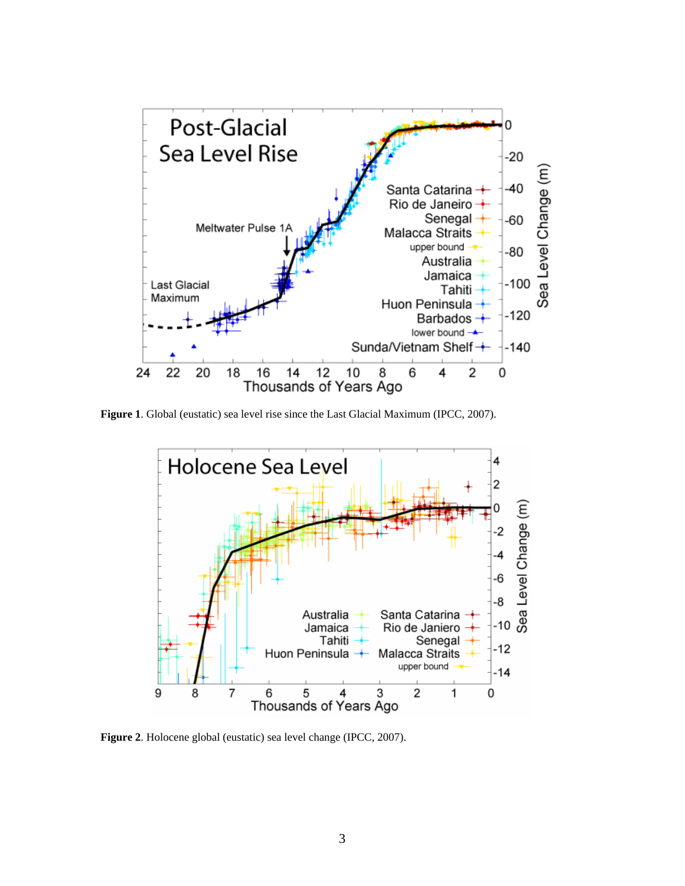

**Figure 1**. Global (eustatic) sea level rise since the Last Glacial Maximum (IPCC, 2007).



**Figure 2**. Holocene global (eustatic) sea level change (IPCC, 2007).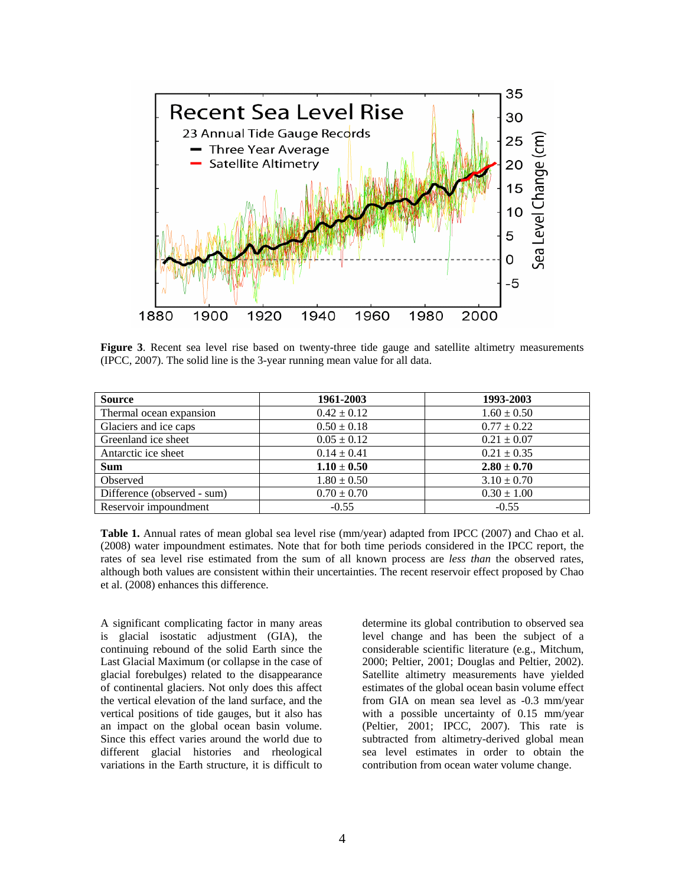

**Figure 3**. Recent sea level rise based on twenty-three tide gauge and satellite altimetry measurements (IPCC, 2007). The solid line is the 3-year running mean value for all data.

| <b>Source</b>               | 1961-2003       | 1993-2003       |
|-----------------------------|-----------------|-----------------|
| Thermal ocean expansion     | $0.42 \pm 0.12$ | $1.60 \pm 0.50$ |
| Glaciers and ice caps       | $0.50 \pm 0.18$ | $0.77 \pm 0.22$ |
| Greenland ice sheet         | $0.05 \pm 0.12$ | $0.21 \pm 0.07$ |
| Antarctic ice sheet         | $0.14 \pm 0.41$ | $0.21 \pm 0.35$ |
| <b>Sum</b>                  | $1.10 \pm 0.50$ | $2.80 \pm 0.70$ |
| Observed                    | $1.80 \pm 0.50$ | $3.10 \pm 0.70$ |
| Difference (observed - sum) | $0.70 \pm 0.70$ | $0.30 \pm 1.00$ |
| Reservoir impoundment       | $-0.55$         | $-0.55$         |

**Table 1.** Annual rates of mean global sea level rise (mm/year) adapted from IPCC (2007) and Chao et al. (2008) water impoundment estimates. Note that for both time periods considered in the IPCC report, the rates of sea level rise estimated from the sum of all known process are *less than* the observed rates, although both values are consistent within their uncertainties. The recent reservoir effect proposed by Chao et al. (2008) enhances this difference.

A significant complicating factor in many areas is glacial isostatic adjustment (GIA), the continuing rebound of the solid Earth since the Last Glacial Maximum (or collapse in the case of glacial forebulges) related to the disappearance of continental glaciers. Not only does this affect the vertical elevation of the land surface, and the vertical positions of tide gauges, but it also has an impact on the global ocean basin volume. Since this effect varies around the world due to different glacial histories and rheological variations in the Earth structure, it is difficult to determine its global contribution to observed sea level change and has been the subject of a considerable scientific literature (e.g., Mitchum, 2000; Peltier, 2001; Douglas and Peltier, 2002). Satellite altimetry measurements have yielded estimates of the global ocean basin volume effect from GIA on mean sea level as -0.3 mm/year with a possible uncertainty of 0.15 mm/year (Peltier, 2001; IPCC, 2007). This rate is subtracted from altimetry-derived global mean sea level estimates in order to obtain the contribution from ocean water volume change.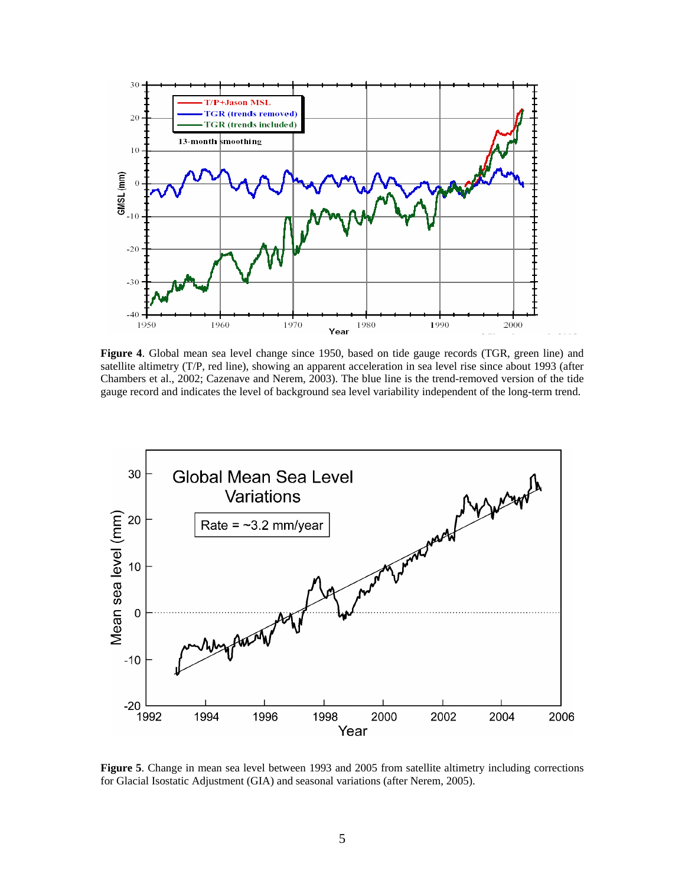

**Figure 4**. Global mean sea level change since 1950, based on tide gauge records (TGR, green line) and satellite altimetry (T/P, red line), showing an apparent acceleration in sea level rise since about 1993 (after Chambers et al., 2002; Cazenave and Nerem, 2003). The blue line is the trend-removed version of the tide gauge record and indicates the level of background sea level variability independent of the long-term trend.



**Figure 5**. Change in mean sea level between 1993 and 2005 from satellite altimetry including corrections for Glacial Isostatic Adjustment (GIA) and seasonal variations (after Nerem, 2005).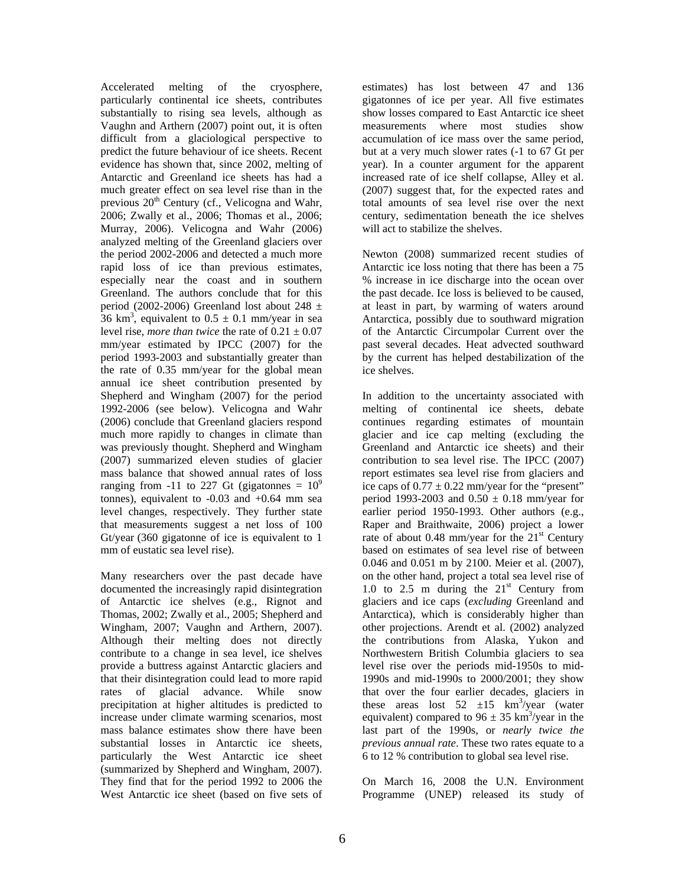Accelerated melting of the cryosphere, particularly continental ice sheets, contributes substantially to rising sea levels, although as Vaughn and Arthern (2007) point out, it is often difficult from a glaciological perspective to predict the future behaviour of ice sheets. Recent evidence has shown that, since 2002, melting of Antarctic and Greenland ice sheets has had a much greater effect on sea level rise than in the previous 20<sup>th</sup> Century (cf., Velicogna and Wahr, 2006; Zwally et al., 2006; Thomas et al., 2006; Murray, 2006). Velicogna and Wahr (2006) analyzed melting of the Greenland glaciers over the period 2002-2006 and detected a much more rapid loss of ice than previous estimates, especially near the coast and in southern Greenland. The authors conclude that for this period (2002-2006) Greenland lost about 248  $\pm$  $36 \text{ km}^3$ , equivalent to  $0.5 \pm 0.1 \text{ mm/year}$  in sea level rise, *more than twice* the rate of  $0.21 \pm 0.07$ mm/year estimated by IPCC (2007) for the period 1993-2003 and substantially greater than the rate of 0.35 mm/year for the global mean annual ice sheet contribution presented by Shepherd and Wingham (2007) for the period 1992-2006 (see below). Velicogna and Wahr (2006) conclude that Greenland glaciers respond much more rapidly to changes in climate than was previously thought. Shepherd and Wingham (2007) summarized eleven studies of glacier mass balance that showed annual rates of loss ranging from -11 to 227 Gt (gigatonnes =  $10^9$ ) tonnes), equivalent to  $-0.03$  and  $+0.64$  mm sea level changes, respectively. They further state that measurements suggest a net loss of 100 Gt/year (360 gigatonne of ice is equivalent to 1 mm of eustatic sea level rise).

Many researchers over the past decade have documented the increasingly rapid disintegration of Antarctic ice shelves (e.g., Rignot and Thomas, 2002; Zwally et al., 2005; Shepherd and Wingham, 2007; Vaughn and Arthern, 2007). Although their melting does not directly contribute to a change in sea level, ice shelves provide a buttress against Antarctic glaciers and that their disintegration could lead to more rapid rates of glacial advance. While snow precipitation at higher altitudes is predicted to increase under climate warming scenarios, most mass balance estimates show there have been substantial losses in Antarctic ice sheets, particularly the West Antarctic ice sheet (summarized by Shepherd and Wingham, 2007). They find that for the period 1992 to 2006 the West Antarctic ice sheet (based on five sets of

estimates) has lost between 47 and 136 gigatonnes of ice per year. All five estimates show losses compared to East Antarctic ice sheet measurements where most studies show accumulation of ice mass over the same period, but at a very much slower rates (-1 to 67 Gt per year). In a counter argument for the apparent increased rate of ice shelf collapse, Alley et al. (2007) suggest that, for the expected rates and total amounts of sea level rise over the next century, sedimentation beneath the ice shelves will act to stabilize the shelves.

Newton (2008) summarized recent studies of Antarctic ice loss noting that there has been a 75 % increase in ice discharge into the ocean over the past decade. Ice loss is believed to be caused, at least in part, by warming of waters around Antarctica, possibly due to southward migration of the Antarctic Circumpolar Current over the past several decades. Heat advected southward by the current has helped destabilization of the ice shelves.

In addition to the uncertainty associated with melting of continental ice sheets, debate continues regarding estimates of mountain glacier and ice cap melting (excluding the Greenland and Antarctic ice sheets) and their contribution to sea level rise. The IPCC (2007) report estimates sea level rise from glaciers and ice caps of  $0.77 \pm 0.22$  mm/year for the "present" period 1993-2003 and  $0.50 \pm 0.18$  mm/year for earlier period 1950-1993. Other authors (e.g., Raper and Braithwaite, 2006) project a lower rate of about 0.48 mm/year for the  $21<sup>st</sup>$  Century based on estimates of sea level rise of between 0.046 and 0.051 m by 2100. Meier et al. (2007), on the other hand, project a total sea level rise of 1.0 to 2.5 m during the  $21<sup>st</sup>$  Century from glaciers and ice caps (*excluding* Greenland and Antarctica), which is considerably higher than other projections. Arendt et al. (2002) analyzed the contributions from Alaska, Yukon and Northwestern British Columbia glaciers to sea level rise over the periods mid-1950s to mid-1990s and mid-1990s to 2000/2001; they show that over the four earlier decades, glaciers in these areas lost  $52 \pm 15$  km<sup>3</sup>/year (water equivalent) compared to  $96 \pm 35$  km<sup>3</sup>/year in the last part of the 1990s, or *nearly twice the previous annual rate*. These two rates equate to a 6 to 12 % contribution to global sea level rise.

On March 16, 2008 the U.N. Environment Programme (UNEP) released its study of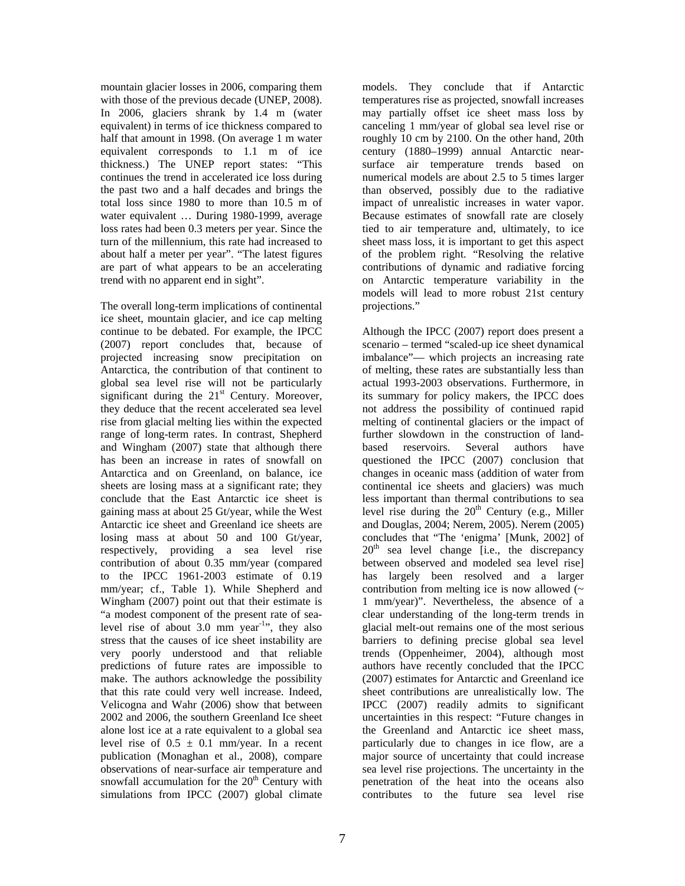mountain glacier losses in 2006, comparing them with those of the previous decade (UNEP, 2008). In 2006, glaciers shrank by 1.4 m (water equivalent) in terms of ice thickness compared to half that amount in 1998. (On average 1 m water equivalent corresponds to 1.1 m of ice thickness.) The UNEP report states: "This continues the trend in accelerated ice loss during the past two and a half decades and brings the total loss since 1980 to more than 10.5 m of water equivalent … During 1980-1999, average loss rates had been 0.3 meters per year. Since the turn of the millennium, this rate had increased to about half a meter per year". "The latest figures are part of what appears to be an accelerating trend with no apparent end in sight".

The overall long-term implications of continental ice sheet, mountain glacier, and ice cap melting continue to be debated. For example, the IPCC (2007) report concludes that, because of projected increasing snow precipitation on Antarctica, the contribution of that continent to global sea level rise will not be particularly significant during the  $21<sup>st</sup>$  Century. Moreover, they deduce that the recent accelerated sea level rise from glacial melting lies within the expected range of long-term rates. In contrast, Shepherd and Wingham (2007) state that although there has been an increase in rates of snowfall on Antarctica and on Greenland, on balance, ice sheets are losing mass at a significant rate; they conclude that the East Antarctic ice sheet is gaining mass at about 25 Gt/year, while the West Antarctic ice sheet and Greenland ice sheets are losing mass at about 50 and 100 Gt/year, respectively, providing a sea level rise contribution of about 0.35 mm/year (compared to the IPCC 1961-2003 estimate of 0.19 mm/year; cf., Table 1). While Shepherd and Wingham (2007) point out that their estimate is "a modest component of the present rate of sealevel rise of about 3.0 mm year-1", they also stress that the causes of ice sheet instability are very poorly understood and that reliable predictions of future rates are impossible to make. The authors acknowledge the possibility that this rate could very well increase. Indeed, Velicogna and Wahr (2006) show that between 2002 and 2006, the southern Greenland Ice sheet alone lost ice at a rate equivalent to a global sea level rise of  $0.5 \pm 0.1$  mm/year. In a recent publication (Monaghan et al., 2008), compare observations of near-surface air temperature and snowfall accumulation for the  $20<sup>th</sup>$  Century with simulations from IPCC (2007) global climate

models. They conclude that if Antarctic temperatures rise as projected, snowfall increases may partially offset ice sheet mass loss by canceling 1 mm/year of global sea level rise or roughly 10 cm by 2100. On the other hand, 20th century (1880–1999) annual Antarctic nearsurface air temperature trends based on numerical models are about 2.5 to 5 times larger than observed, possibly due to the radiative impact of unrealistic increases in water vapor. Because estimates of snowfall rate are closely tied to air temperature and, ultimately, to ice sheet mass loss, it is important to get this aspect of the problem right. "Resolving the relative contributions of dynamic and radiative forcing on Antarctic temperature variability in the models will lead to more robust 21st century projections."

Although the IPCC (2007) report does present a scenario – termed "scaled-up ice sheet dynamical imbalance"— which projects an increasing rate of melting, these rates are substantially less than actual 1993-2003 observations. Furthermore, in its summary for policy makers, the IPCC does not address the possibility of continued rapid melting of continental glaciers or the impact of further slowdown in the construction of landbased reservoirs. Several authors have questioned the IPCC (2007) conclusion that changes in oceanic mass (addition of water from continental ice sheets and glaciers) was much less important than thermal contributions to sea level rise during the  $20<sup>th</sup>$  Century (e.g., Miller and Douglas, 2004; Nerem, 2005). Nerem (2005) concludes that "The 'enigma' [Munk, 2002] of  $20<sup>th</sup>$  sea level change [i.e., the discrepancy between observed and modeled sea level rise] has largely been resolved and a larger contribution from melting ice is now allowed  $($ 1 mm/year)". Nevertheless, the absence of a clear understanding of the long-term trends in glacial melt-out remains one of the most serious barriers to defining precise global sea level trends (Oppenheimer, 2004), although most authors have recently concluded that the IPCC (2007) estimates for Antarctic and Greenland ice sheet contributions are unrealistically low. The IPCC (2007) readily admits to significant uncertainties in this respect: "Future changes in the Greenland and Antarctic ice sheet mass, particularly due to changes in ice flow, are a major source of uncertainty that could increase sea level rise projections. The uncertainty in the penetration of the heat into the oceans also contributes to the future sea level rise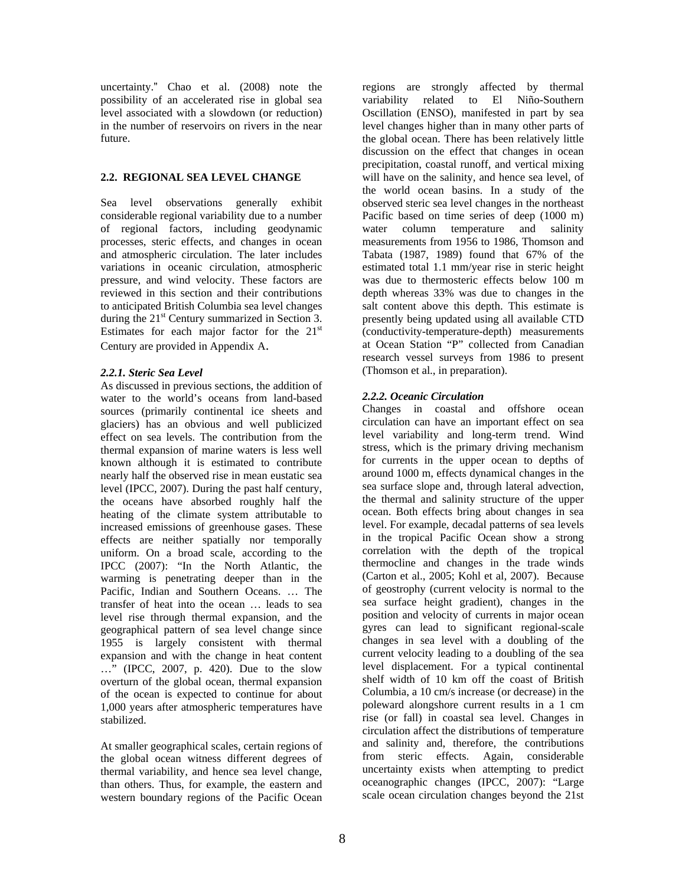uncertainty." Chao et al. (2008) note the possibility of an accelerated rise in global sea level associated with a slowdown (or reduction) in the number of reservoirs on rivers in the near future.

## **2.2. REGIONAL SEA LEVEL CHANGE**

Sea level observations generally exhibit considerable regional variability due to a number of regional factors, including geodynamic processes, steric effects, and changes in ocean and atmospheric circulation. The later includes variations in oceanic circulation, atmospheric pressure, and wind velocity. These factors are reviewed in this section and their contributions to anticipated British Columbia sea level changes during the  $21<sup>st</sup>$  Century summarized in Section 3. Estimates for each major factor for the  $21<sup>st</sup>$ Century are provided in Appendix A.

# *2.2.1. Steric Sea Level*

As discussed in previous sections, the addition of water to the world's oceans from land-based sources (primarily continental ice sheets and glaciers) has an obvious and well publicized effect on sea levels. The contribution from the thermal expansion of marine waters is less well known although it is estimated to contribute nearly half the observed rise in mean eustatic sea level (IPCC, 2007). During the past half century, the oceans have absorbed roughly half the heating of the climate system attributable to increased emissions of greenhouse gases. These effects are neither spatially nor temporally uniform. On a broad scale, according to the IPCC (2007): "In the North Atlantic, the warming is penetrating deeper than in the Pacific, Indian and Southern Oceans. … The transfer of heat into the ocean … leads to sea level rise through thermal expansion, and the geographical pattern of sea level change since 1955 is largely consistent with thermal expansion and with the change in heat content …" (IPCC, 2007, p. 420). Due to the slow overturn of the global ocean, thermal expansion of the ocean is expected to continue for about 1,000 years after atmospheric temperatures have stabilized.

At smaller geographical scales, certain regions of the global ocean witness different degrees of thermal variability, and hence sea level change, than others. Thus, for example, the eastern and western boundary regions of the Pacific Ocean

regions are strongly affected by thermal variability related to El Niño-Southern Oscillation (ENSO), manifested in part by sea level changes higher than in many other parts of the global ocean. There has been relatively little discussion on the effect that changes in ocean precipitation, coastal runoff, and vertical mixing will have on the salinity, and hence sea level, of the world ocean basins. In a study of the observed steric sea level changes in the northeast Pacific based on time series of deep (1000 m) water column temperature and salinity measurements from 1956 to 1986, Thomson and Tabata (1987, 1989) found that 67% of the estimated total 1.1 mm/year rise in steric height was due to thermosteric effects below 100 m depth whereas 33% was due to changes in the salt content above this depth. This estimate is presently being updated using all available CTD (conductivity-temperature-depth) measurements at Ocean Station "P" collected from Canadian research vessel surveys from 1986 to present (Thomson et al., in preparation).

# *2.2.2. Oceanic Circulation*

Changes in coastal and offshore ocean circulation can have an important effect on sea level variability and long-term trend. Wind stress, which is the primary driving mechanism for currents in the upper ocean to depths of around 1000 m, effects dynamical changes in the sea surface slope and, through lateral advection, the thermal and salinity structure of the upper ocean. Both effects bring about changes in sea level. For example, decadal patterns of sea levels in the tropical Pacific Ocean show a strong correlation with the depth of the tropical thermocline and changes in the trade winds (Carton et al., 2005; Kohl et al, 2007). Because of geostrophy (current velocity is normal to the sea surface height gradient), changes in the position and velocity of currents in major ocean gyres can lead to significant regional-scale changes in sea level with a doubling of the current velocity leading to a doubling of the sea level displacement. For a typical continental shelf width of 10 km off the coast of British Columbia, a 10 cm/s increase (or decrease) in the poleward alongshore current results in a 1 cm rise (or fall) in coastal sea level. Changes in circulation affect the distributions of temperature and salinity and, therefore, the contributions from steric effects. Again, considerable uncertainty exists when attempting to predict oceanographic changes (IPCC, 2007): "Large scale ocean circulation changes beyond the 21st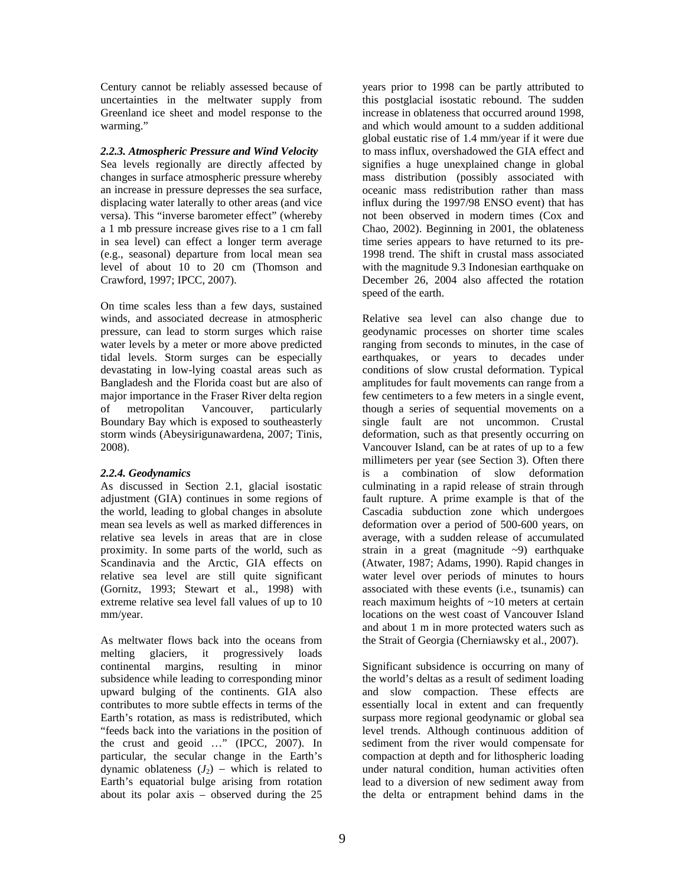Century cannot be reliably assessed because of uncertainties in the meltwater supply from Greenland ice sheet and model response to the warming."

#### *2.2.3. Atmospheric Pressure and Wind Velocity*

Sea levels regionally are directly affected by changes in surface atmospheric pressure whereby an increase in pressure depresses the sea surface, displacing water laterally to other areas (and vice versa). This "inverse barometer effect" (whereby a 1 mb pressure increase gives rise to a 1 cm fall in sea level) can effect a longer term average (e.g., seasonal) departure from local mean sea level of about 10 to 20 cm (Thomson and Crawford, 1997; IPCC, 2007).

On time scales less than a few days, sustained winds, and associated decrease in atmospheric pressure, can lead to storm surges which raise water levels by a meter or more above predicted tidal levels. Storm surges can be especially devastating in low-lying coastal areas such as Bangladesh and the Florida coast but are also of major importance in the Fraser River delta region of metropolitan Vancouver, particularly Boundary Bay which is exposed to southeasterly storm winds (Abeysirigunawardena, 2007; Tinis, 2008).

#### *2.2.4. Geodynamics*

As discussed in Section 2.1, glacial isostatic adjustment (GIA) continues in some regions of the world, leading to global changes in absolute mean sea levels as well as marked differences in relative sea levels in areas that are in close proximity. In some parts of the world, such as Scandinavia and the Arctic, GIA effects on relative sea level are still quite significant (Gornitz, 1993; Stewart et al., 1998) with extreme relative sea level fall values of up to 10 mm/year.

As meltwater flows back into the oceans from melting glaciers, it progressively loads continental margins, resulting in minor subsidence while leading to corresponding minor upward bulging of the continents. GIA also contributes to more subtle effects in terms of the Earth's rotation, as mass is redistributed, which "feeds back into the variations in the position of the crust and geoid …" (IPCC, 2007). In particular, the secular change in the Earth's dynamic oblateness  $(J_2)$  – which is related to Earth's equatorial bulge arising from rotation about its polar axis – observed during the 25

years prior to 1998 can be partly attributed to this postglacial isostatic rebound. The sudden increase in oblateness that occurred around 1998, and which would amount to a sudden additional global eustatic rise of 1.4 mm/year if it were due to mass influx, overshadowed the GIA effect and signifies a huge unexplained change in global mass distribution (possibly associated with oceanic mass redistribution rather than mass influx during the 1997/98 ENSO event) that has not been observed in modern times (Cox and Chao, 2002). Beginning in 2001, the oblateness time series appears to have returned to its pre-1998 trend. The shift in crustal mass associated with the magnitude 9.3 Indonesian earthquake on December 26, 2004 also affected the rotation speed of the earth.

Relative sea level can also change due to geodynamic processes on shorter time scales ranging from seconds to minutes, in the case of earthquakes, or years to decades under conditions of slow crustal deformation. Typical amplitudes for fault movements can range from a few centimeters to a few meters in a single event, though a series of sequential movements on a single fault are not uncommon. Crustal deformation, such as that presently occurring on Vancouver Island, can be at rates of up to a few millimeters per year (see Section 3). Often there is a combination of slow deformation culminating in a rapid release of strain through fault rupture. A prime example is that of the Cascadia subduction zone which undergoes deformation over a period of 500-600 years, on average, with a sudden release of accumulated strain in a great (magnitude  $\sim$ 9) earthquake (Atwater, 1987; Adams, 1990). Rapid changes in water level over periods of minutes to hours associated with these events (i.e., tsunamis) can reach maximum heights of ~10 meters at certain locations on the west coast of Vancouver Island and about 1 m in more protected waters such as the Strait of Georgia (Cherniawsky et al., 2007).

Significant subsidence is occurring on many of the world's deltas as a result of sediment loading and slow compaction. These effects are essentially local in extent and can frequently surpass more regional geodynamic or global sea level trends. Although continuous addition of sediment from the river would compensate for compaction at depth and for lithospheric loading under natural condition, human activities often lead to a diversion of new sediment away from the delta or entrapment behind dams in the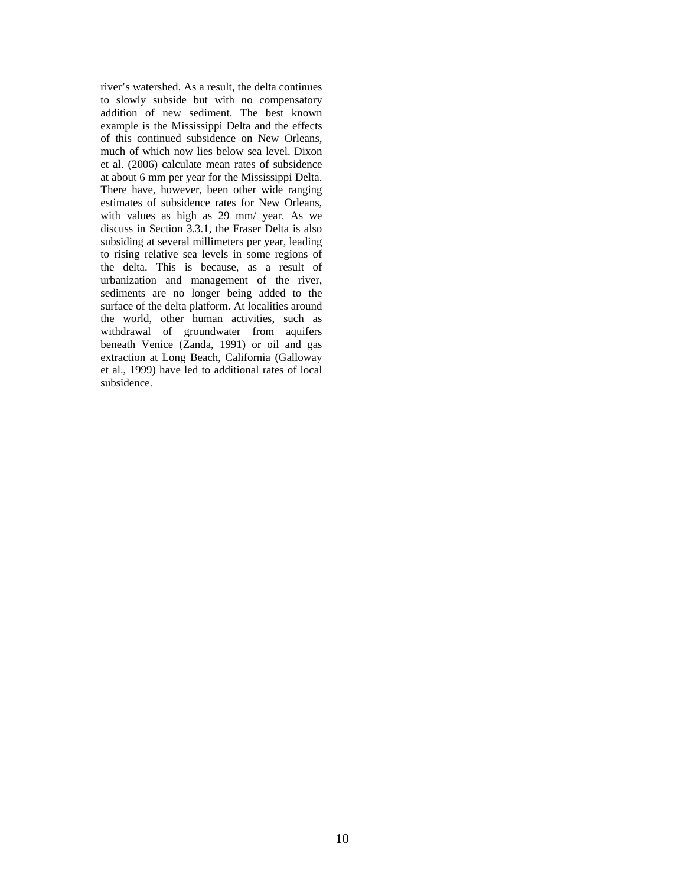river's watershed. As a result, the delta continues to slowly subside but with no compensatory addition of new sediment. The best known example is the Mississippi Delta and the effects of this continued subsidence on New Orleans, much of which now lies below sea level. Dixon et al. (2006) calculate mean rates of subsidence at about 6 mm per year for the Mississippi Delta. There have, however, been other wide ranging estimates of subsidence rates for New Orleans, with values as high as 29 mm/ year. As we discuss in Section 3.3.1, the Fraser Delta is also subsiding at several millimeters per year, leading to rising relative sea levels in some regions of the delta. This is because, as a result of urbanization and management of the river, sediments are no longer being added to the surface of the delta platform. At localities around the world, other human activities, such as withdrawal of groundwater from aquifers beneath Venice (Zanda, 1991) or oil and gas extraction at Long Beach, California (Galloway et al., 1999) have led to additional rates of local subsidence.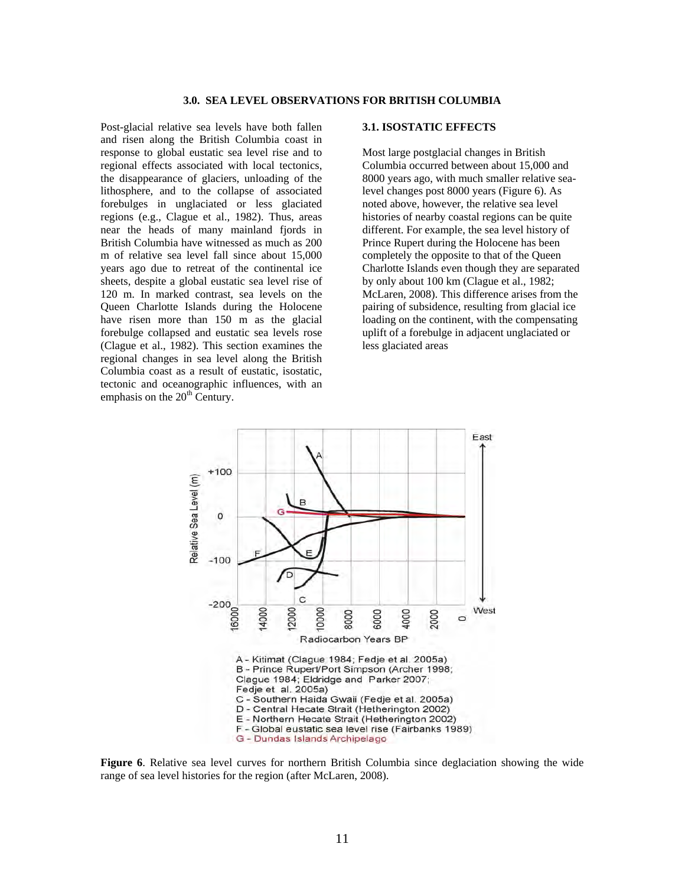Post-glacial relative sea levels have both fallen and risen along the British Columbia coast in response to global eustatic sea level rise and to regional effects associated with local tectonics, the disappearance of glaciers, unloading of the lithosphere, and to the collapse of associated forebulges in unglaciated or less glaciated regions (e.g., Clague et al., 1982). Thus, areas near the heads of many mainland fjords in British Columbia have witnessed as much as 200 m of relative sea level fall since about 15,000 years ago due to retreat of the continental ice sheets, despite a global eustatic sea level rise of 120 m. In marked contrast, sea levels on the Queen Charlotte Islands during the Holocene have risen more than 150 m as the glacial forebulge collapsed and eustatic sea levels rose (Clague et al., 1982). This section examines the regional changes in sea level along the British Columbia coast as a result of eustatic, isostatic, tectonic and oceanographic influences, with an emphasis on the  $20<sup>th</sup>$  Century.

#### **3.1. ISOSTATIC EFFECTS**

Most large postglacial changes in British Columbia occurred between about 15,000 and 8000 years ago, with much smaller relative sealevel changes post 8000 years (Figure 6). As noted above, however, the relative sea level histories of nearby coastal regions can be quite different. For example, the sea level history of Prince Rupert during the Holocene has been completely the opposite to that of the Queen Charlotte Islands even though they are separated by only about 100 km (Clague et al., 1982; McLaren, 2008). This difference arises from the pairing of subsidence, resulting from glacial ice loading on the continent, with the compensating uplift of a forebulge in adjacent unglaciated or less glaciated areas



**Figure 6**. Relative sea level curves for northern British Columbia since deglaciation showing the wide range of sea level histories for the region (after McLaren, 2008).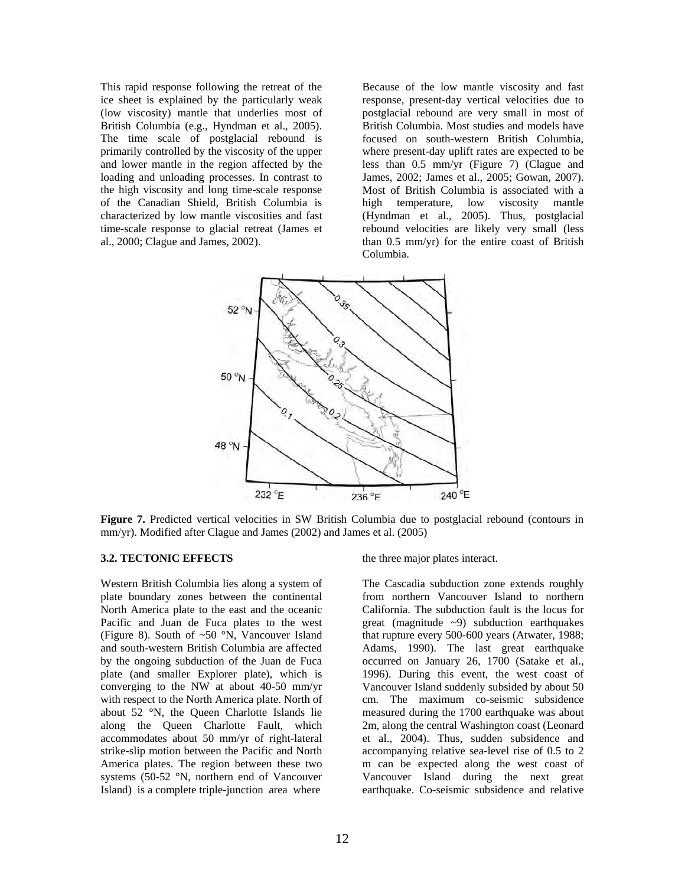This rapid response following the retreat of the ice sheet is explained by the particularly weak (low viscosity) mantle that underlies most of British Columbia (e.g., Hyndman et al., 2005). The time scale of postglacial rebound is primarily controlled by the viscosity of the upper and lower mantle in the region affected by the loading and unloading processes. In contrast to the high viscosity and long time-scale response of the Canadian Shield, British Columbia is characterized by low mantle viscosities and fast time-scale response to glacial retreat (James et al., 2000; Clague and James, 2002).

Because of the low mantle viscosity and fast response, present-day vertical velocities due to postglacial rebound are very small in most of British Columbia. Most studies and models have focused on south-western British Columbia, where present-day uplift rates are expected to be less than 0.5 mm/yr (Figure 7) (Clague and James, 2002; James et al., 2005; Gowan, 2007). Most of British Columbia is associated with a high temperature, low viscosity mantle (Hyndman et al., 2005). Thus, postglacial rebound velocities are likely very small (less than 0.5 mm/yr) for the entire coast of British Columbia.



**Figure 7.** Predicted vertical velocities in SW British Columbia due to postglacial rebound (contours in mm/yr). Modified after Clague and James (2002) and James et al. (2005)

#### **3.2. TECTONIC EFFECTS**

Western British Columbia lies along a system of plate boundary zones between the continental North America plate to the east and the oceanic Pacific and Juan de Fuca plates to the west (Figure 8). South of ~50 °N, Vancouver Island and south-western British Columbia are affected by the ongoing subduction of the Juan de Fuca plate (and smaller Explorer plate), which is converging to the NW at about 40-50 mm/yr with respect to the North America plate. North of about 52 °N, the Queen Charlotte Islands lie along the Queen Charlotte Fault, which accommodates about 50 mm/yr of right-lateral strike-slip motion between the Pacific and North America plates. The region between these two systems (50-52 °N, northern end of Vancouver Island) is a complete triple-junction area where

the three major plates interact.

The Cascadia subduction zone extends roughly from northern Vancouver Island to northern California. The subduction fault is the locus for great (magnitude ~9) subduction earthquakes that rupture every 500-600 years (Atwater, 1988; Adams, 1990). The last great earthquake occurred on January 26, 1700 (Satake et al., 1996). During this event, the west coast of Vancouver Island suddenly subsided by about 50 cm. The maximum co-seismic subsidence measured during the 1700 earthquake was about 2m, along the central Washington coast (Leonard et al., 2004). Thus, sudden subsidence and accompanying relative sea-level rise of 0.5 to 2 m can be expected along the west coast of Vancouver Island during the next great earthquake. Co-seismic subsidence and relative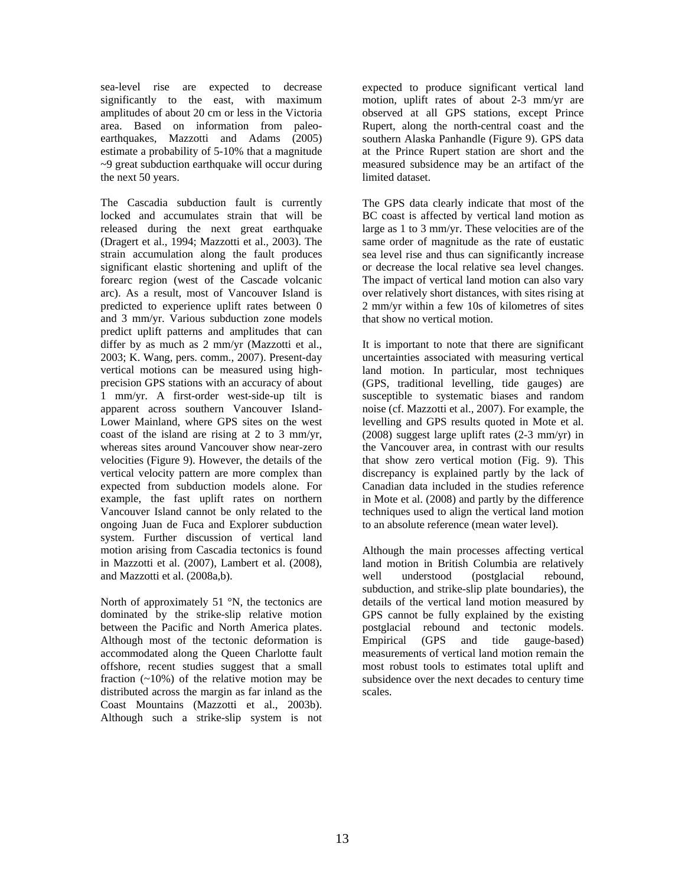sea-level rise are expected to decrease significantly to the east, with maximum amplitudes of about 20 cm or less in the Victoria area. Based on information from paleoearthquakes, Mazzotti and Adams (2005) estimate a probability of 5-10% that a magnitude ~9 great subduction earthquake will occur during the next 50 years.

The Cascadia subduction fault is currently locked and accumulates strain that will be released during the next great earthquake (Dragert et al., 1994; Mazzotti et al., 2003). The strain accumulation along the fault produces significant elastic shortening and uplift of the forearc region (west of the Cascade volcanic arc). As a result, most of Vancouver Island is predicted to experience uplift rates between 0 and 3 mm/yr. Various subduction zone models predict uplift patterns and amplitudes that can differ by as much as 2 mm/yr (Mazzotti et al., 2003; K. Wang, pers. comm., 2007). Present-day vertical motions can be measured using highprecision GPS stations with an accuracy of about 1 mm/yr. A first-order west-side-up tilt is apparent across southern Vancouver Island-Lower Mainland, where GPS sites on the west coast of the island are rising at 2 to 3 mm/yr, whereas sites around Vancouver show near-zero velocities (Figure 9). However, the details of the vertical velocity pattern are more complex than expected from subduction models alone. For example, the fast uplift rates on northern Vancouver Island cannot be only related to the ongoing Juan de Fuca and Explorer subduction system. Further discussion of vertical land motion arising from Cascadia tectonics is found in Mazzotti et al. (2007), Lambert et al. (2008), and Mazzotti et al. (2008a,b).

North of approximately  $51 \degree N$ , the tectonics are dominated by the strike-slip relative motion between the Pacific and North America plates. Although most of the tectonic deformation is accommodated along the Queen Charlotte fault offshore, recent studies suggest that a small fraction  $(-10\%)$  of the relative motion may be distributed across the margin as far inland as the Coast Mountains (Mazzotti et al., 2003b). Although such a strike-slip system is not

expected to produce significant vertical land motion, uplift rates of about 2-3 mm/yr are observed at all GPS stations, except Prince Rupert, along the north-central coast and the southern Alaska Panhandle (Figure 9). GPS data at the Prince Rupert station are short and the measured subsidence may be an artifact of the limited dataset.

The GPS data clearly indicate that most of the BC coast is affected by vertical land motion as large as 1 to 3 mm/yr. These velocities are of the same order of magnitude as the rate of eustatic sea level rise and thus can significantly increase or decrease the local relative sea level changes. The impact of vertical land motion can also vary over relatively short distances, with sites rising at 2 mm/yr within a few 10s of kilometres of sites that show no vertical motion.

It is important to note that there are significant uncertainties associated with measuring vertical land motion. In particular, most techniques (GPS, traditional levelling, tide gauges) are susceptible to systematic biases and random noise (cf. Mazzotti et al., 2007). For example, the levelling and GPS results quoted in Mote et al. (2008) suggest large uplift rates (2-3 mm/yr) in the Vancouver area, in contrast with our results that show zero vertical motion (Fig. 9). This discrepancy is explained partly by the lack of Canadian data included in the studies reference in Mote et al. (2008) and partly by the difference techniques used to align the vertical land motion to an absolute reference (mean water level).

Although the main processes affecting vertical land motion in British Columbia are relatively well understood (postglacial rebound, subduction, and strike-slip plate boundaries), the details of the vertical land motion measured by GPS cannot be fully explained by the existing postglacial rebound and tectonic models. Empirical (GPS and tide gauge-based) measurements of vertical land motion remain the most robust tools to estimates total uplift and subsidence over the next decades to century time scales.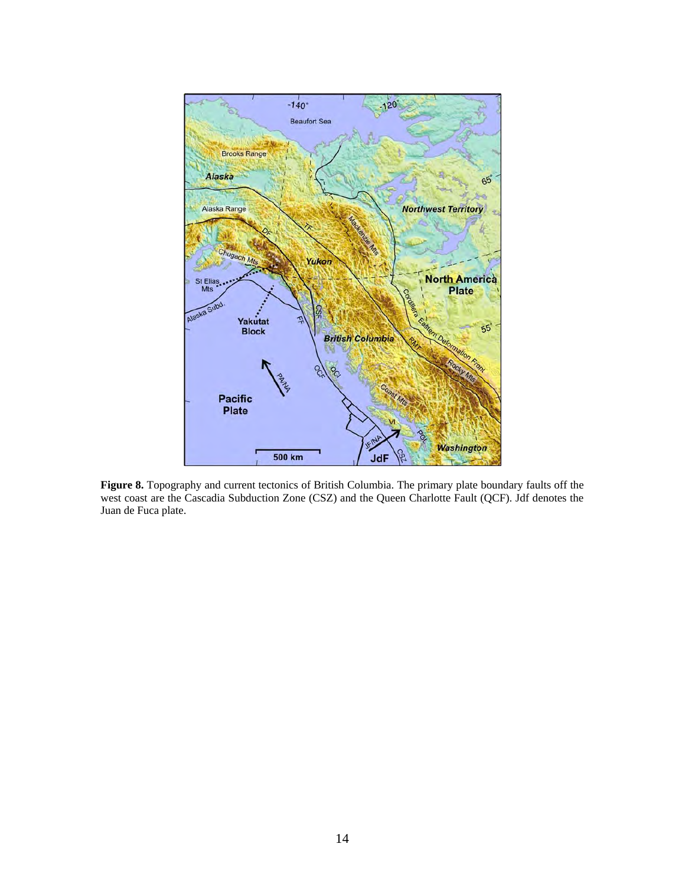

**Figure 8.** Topography and current tectonics of British Columbia. The primary plate boundary faults off the west coast are the Cascadia Subduction Zone (CSZ) and the Queen Charlotte Fault (QCF). Jdf denotes the Juan de Fuca plate.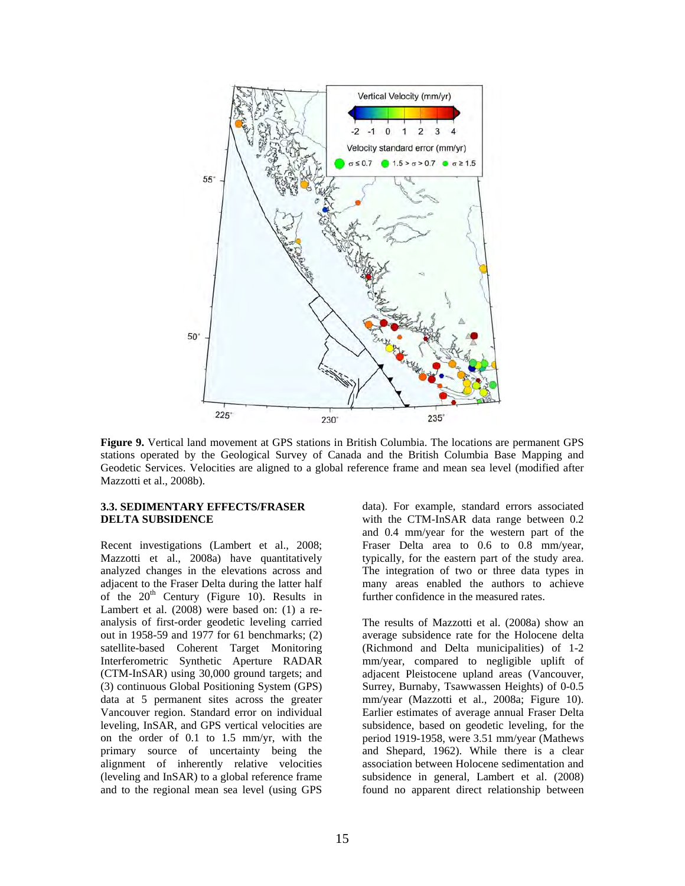

**Figure 9.** Vertical land movement at GPS stations in British Columbia. The locations are permanent GPS stations operated by the Geological Survey of Canada and the British Columbia Base Mapping and Geodetic Services. Velocities are aligned to a global reference frame and mean sea level (modified after Mazzotti et al., 2008b).

#### **3.3. SEDIMENTARY EFFECTS/FRASER DELTA SUBSIDENCE**

Recent investigations (Lambert et al., 2008; Mazzotti et al., 2008a) have quantitatively analyzed changes in the elevations across and adjacent to the Fraser Delta during the latter half of the  $20<sup>th</sup>$  Century (Figure 10). Results in Lambert et al. (2008) were based on: (1) a reanalysis of first-order geodetic leveling carried out in 1958-59 and 1977 for 61 benchmarks; (2) satellite-based Coherent Target Monitoring Interferometric Synthetic Aperture RADAR (CTM-InSAR) using 30,000 ground targets; and (3) continuous Global Positioning System (GPS) data at 5 permanent sites across the greater Vancouver region. Standard error on individual leveling, InSAR, and GPS vertical velocities are on the order of 0.1 to 1.5 mm/yr, with the primary source of uncertainty being the alignment of inherently relative velocities (leveling and InSAR) to a global reference frame and to the regional mean sea level (using GPS

data). For example, standard errors associated with the CTM-InSAR data range between 0.2 and 0.4 mm/year for the western part of the Fraser Delta area to 0.6 to 0.8 mm/year, typically, for the eastern part of the study area. The integration of two or three data types in many areas enabled the authors to achieve further confidence in the measured rates.

The results of Mazzotti et al. (2008a) show an average subsidence rate for the Holocene delta (Richmond and Delta municipalities) of 1-2 mm/year, compared to negligible uplift of adjacent Pleistocene upland areas (Vancouver, Surrey, Burnaby, Tsawwassen Heights) of 0-0.5 mm/year (Mazzotti et al., 2008a; Figure 10). Earlier estimates of average annual Fraser Delta subsidence, based on geodetic leveling, for the period 1919-1958, were 3.51 mm/year (Mathews and Shepard, 1962). While there is a clear association between Holocene sedimentation and subsidence in general, Lambert et al. (2008) found no apparent direct relationship between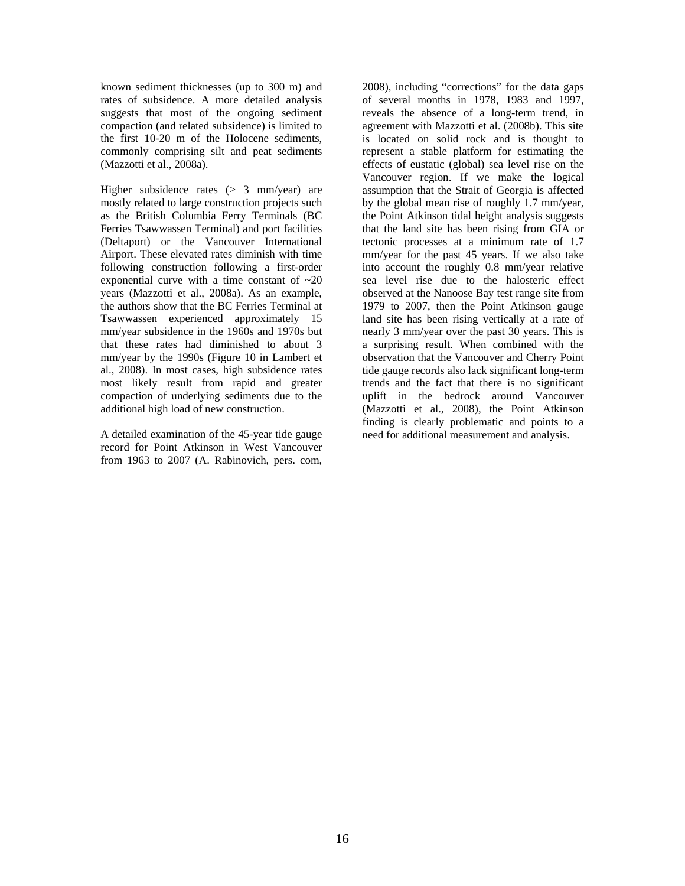known sediment thicknesses (up to 300 m) and rates of subsidence. A more detailed analysis suggests that most of the ongoing sediment compaction (and related subsidence) is limited to the first 10-20 m of the Holocene sediments, commonly comprising silt and peat sediments (Mazzotti et al., 2008a).

Higher subsidence rates (> 3 mm/year) are mostly related to large construction projects such as the British Columbia Ferry Terminals (BC Ferries Tsawwassen Terminal) and port facilities (Deltaport) or the Vancouver International Airport. These elevated rates diminish with time following construction following a first-order exponential curve with a time constant of  $\sim 20$ years (Mazzotti et al., 2008a). As an example, the authors show that the BC Ferries Terminal at Tsawwassen experienced approximately 15 mm/year subsidence in the 1960s and 1970s but that these rates had diminished to about 3 mm/year by the 1990s (Figure 10 in Lambert et al., 2008). In most cases, high subsidence rates most likely result from rapid and greater compaction of underlying sediments due to the additional high load of new construction.

A detailed examination of the 45-year tide gauge record for Point Atkinson in West Vancouver from 1963 to 2007 (A. Rabinovich, pers. com,

2008), including "corrections" for the data gaps of several months in 1978, 1983 and 1997, reveals the absence of a long-term trend, in agreement with Mazzotti et al. (2008b). This site is located on solid rock and is thought to represent a stable platform for estimating the effects of eustatic (global) sea level rise on the Vancouver region. If we make the logical assumption that the Strait of Georgia is affected by the global mean rise of roughly 1.7 mm/year, the Point Atkinson tidal height analysis suggests that the land site has been rising from GIA or tectonic processes at a minimum rate of 1.7 mm/year for the past 45 years. If we also take into account the roughly 0.8 mm/year relative sea level rise due to the halosteric effect observed at the Nanoose Bay test range site from 1979 to 2007, then the Point Atkinson gauge land site has been rising vertically at a rate of nearly 3 mm/year over the past 30 years. This is a surprising result. When combined with the observation that the Vancouver and Cherry Point tide gauge records also lack significant long-term trends and the fact that there is no significant uplift in the bedrock around Vancouver (Mazzotti et al., 2008), the Point Atkinson finding is clearly problematic and points to a need for additional measurement and analysis.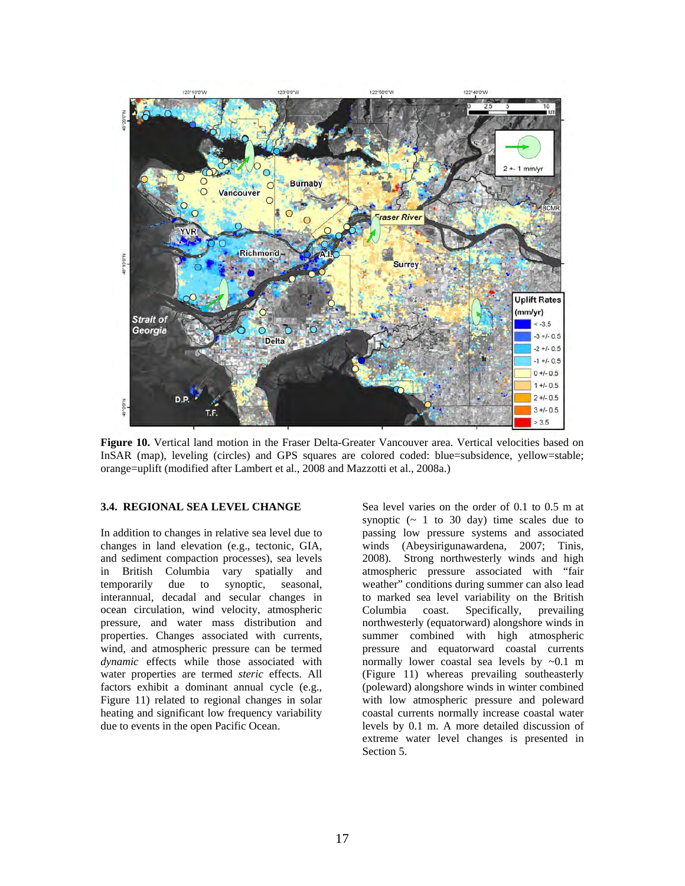

**Figure 10.** Vertical land motion in the Fraser Delta-Greater Vancouver area. Vertical velocities based on InSAR (map), leveling (circles) and GPS squares are colored coded: blue=subsidence, yellow=stable; orange=uplift (modified after Lambert et al., 2008 and Mazzotti et al., 2008a.)

#### **3.4. REGIONAL SEA LEVEL CHANGE**

In addition to changes in relative sea level due to changes in land elevation (e.g., tectonic, GIA, and sediment compaction processes), sea levels in British Columbia vary spatially and temporarily due to synoptic, seasonal, interannual, decadal and secular changes in ocean circulation, wind velocity, atmospheric pressure, and water mass distribution and properties. Changes associated with currents, wind, and atmospheric pressure can be termed *dynamic* effects while those associated with water properties are termed *steric* effects. All factors exhibit a dominant annual cycle (e.g., Figure 11) related to regional changes in solar heating and significant low frequency variability due to events in the open Pacific Ocean.

Sea level varies on the order of 0.1 to 0.5 m at synoptic  $($   $\sim$  1 to 30 day) time scales due to passing low pressure systems and associated winds (Abeysirigunawardena, 2007; Tinis, 2008). Strong northwesterly winds and high atmospheric pressure associated with "fair weather" conditions during summer can also lead to marked sea level variability on the British Columbia coast. Specifically, prevailing northwesterly (equatorward) alongshore winds in summer combined with high atmospheric pressure and equatorward coastal currents normally lower coastal sea levels by ~0.1 m (Figure 11) whereas prevailing southeasterly (poleward) alongshore winds in winter combined with low atmospheric pressure and poleward coastal currents normally increase coastal water levels by 0.1 m. A more detailed discussion of extreme water level changes is presented in Section 5.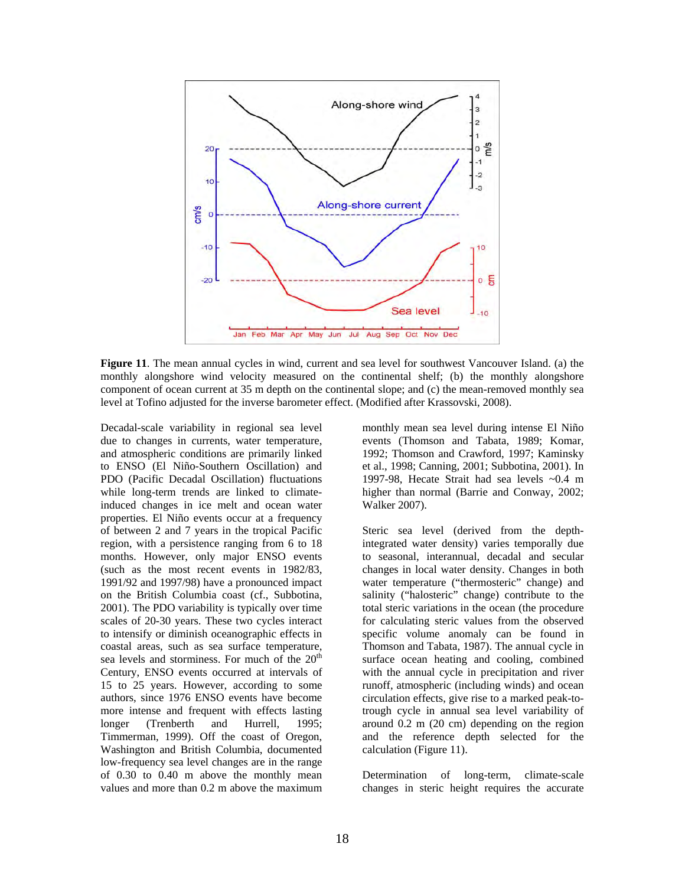

**Figure 11**. The mean annual cycles in wind, current and sea level for southwest Vancouver Island. (a) the monthly alongshore wind velocity measured on the continental shelf; (b) the monthly alongshore component of ocean current at 35 m depth on the continental slope; and (c) the mean-removed monthly sea level at Tofino adjusted for the inverse barometer effect. (Modified after Krassovski, 2008).

Decadal-scale variability in regional sea level due to changes in currents, water temperature, and atmospheric conditions are primarily linked to ENSO (El Niño-Southern Oscillation) and PDO (Pacific Decadal Oscillation) fluctuations while long-term trends are linked to climateinduced changes in ice melt and ocean water properties. El Niño events occur at a frequency of between 2 and 7 years in the tropical Pacific region, with a persistence ranging from 6 to 18 months. However, only major ENSO events (such as the most recent events in 1982/83, 1991/92 and 1997/98) have a pronounced impact on the British Columbia coast (cf., Subbotina, 2001). The PDO variability is typically over time scales of 20-30 years. These two cycles interact to intensify or diminish oceanographic effects in coastal areas, such as sea surface temperature, sea levels and storminess. For much of the  $20<sup>th</sup>$ Century, ENSO events occurred at intervals of 15 to 25 years. However, according to some authors, since 1976 ENSO events have become more intense and frequent with effects lasting longer (Trenberth and Hurrell, 1995; Timmerman, 1999). Off the coast of Oregon, Washington and British Columbia, documented low-frequency sea level changes are in the range of 0.30 to 0.40 m above the monthly mean values and more than 0.2 m above the maximum

monthly mean sea level during intense El Niño events (Thomson and Tabata, 1989; Komar, 1992; Thomson and Crawford, 1997; Kaminsky et al., 1998; Canning, 2001; Subbotina, 2001). In 1997-98, Hecate Strait had sea levels ~0.4 m higher than normal (Barrie and Conway, 2002; Walker 2007).

Steric sea level (derived from the depthintegrated water density) varies temporally due to seasonal, interannual, decadal and secular changes in local water density. Changes in both water temperature ("thermosteric" change) and salinity ("halosteric" change) contribute to the total steric variations in the ocean (the procedure for calculating steric values from the observed specific volume anomaly can be found in Thomson and Tabata, 1987). The annual cycle in surface ocean heating and cooling, combined with the annual cycle in precipitation and river runoff, atmospheric (including winds) and ocean circulation effects, give rise to a marked peak-totrough cycle in annual sea level variability of around 0.2 m (20 cm) depending on the region and the reference depth selected for the calculation (Figure 11).

Determination of long-term, climate-scale changes in steric height requires the accurate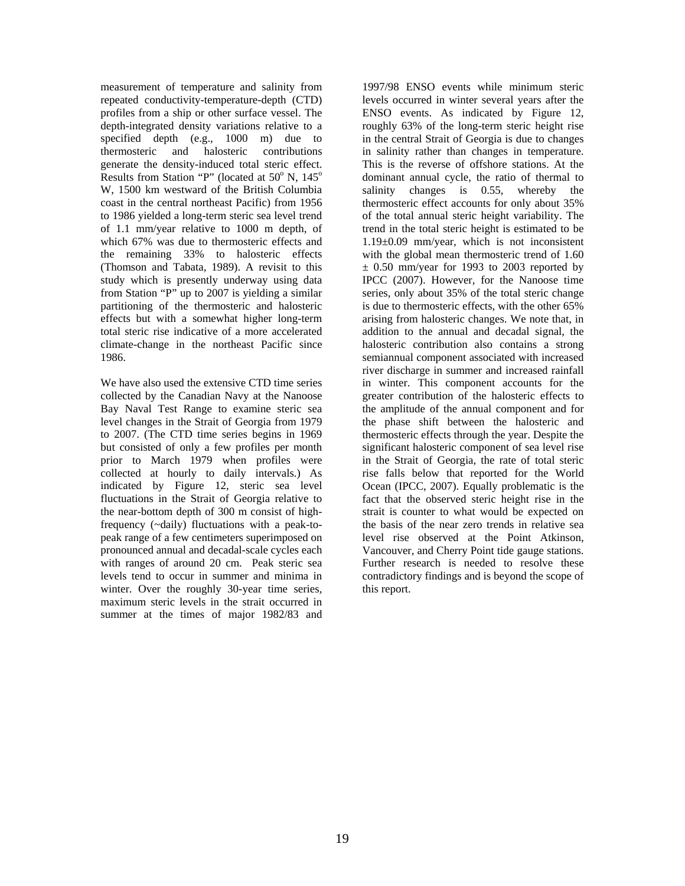measurement of temperature and salinity from repeated conductivity-temperature-depth (CTD) profiles from a ship or other surface vessel. The depth-integrated density variations relative to a specified depth (e.g., 1000 m) due to thermosteric and halosteric contributions generate the density-induced total steric effect. Results from Station "P" (located at  $50^{\circ}$  N,  $145^{\circ}$ W, 1500 km westward of the British Columbia coast in the central northeast Pacific) from 1956 to 1986 yielded a long-term steric sea level trend of 1.1 mm/year relative to 1000 m depth, of which 67% was due to thermosteric effects and the remaining 33% to halosteric effects (Thomson and Tabata, 1989). A revisit to this study which is presently underway using data from Station "P" up to 2007 is yielding a similar partitioning of the thermosteric and halosteric effects but with a somewhat higher long-term total steric rise indicative of a more accelerated climate-change in the northeast Pacific since 1986.

We have also used the extensive CTD time series collected by the Canadian Navy at the Nanoose Bay Naval Test Range to examine steric sea level changes in the Strait of Georgia from 1979 to 2007. (The CTD time series begins in 1969 but consisted of only a few profiles per month prior to March 1979 when profiles were collected at hourly to daily intervals.) As indicated by Figure 12, steric sea level fluctuations in the Strait of Georgia relative to the near-bottom depth of 300 m consist of highfrequency (~daily) fluctuations with a peak-topeak range of a few centimeters superimposed on pronounced annual and decadal-scale cycles each with ranges of around 20 cm. Peak steric sea levels tend to occur in summer and minima in winter. Over the roughly 30-year time series, maximum steric levels in the strait occurred in summer at the times of major 1982/83 and

1997/98 ENSO events while minimum steric levels occurred in winter several years after the ENSO events. As indicated by Figure 12, roughly 63% of the long-term steric height rise in the central Strait of Georgia is due to changes in salinity rather than changes in temperature. This is the reverse of offshore stations. At the dominant annual cycle, the ratio of thermal to salinity changes is 0.55, whereby the thermosteric effect accounts for only about 35% of the total annual steric height variability. The trend in the total steric height is estimated to be 1.19±0.09 mm/year, which is not inconsistent with the global mean thermosteric trend of 1.60  $\pm$  0.50 mm/year for 1993 to 2003 reported by IPCC (2007). However, for the Nanoose time series, only about 35% of the total steric change is due to thermosteric effects, with the other 65% arising from halosteric changes. We note that, in addition to the annual and decadal signal, the halosteric contribution also contains a strong semiannual component associated with increased river discharge in summer and increased rainfall in winter. This component accounts for the greater contribution of the halosteric effects to the amplitude of the annual component and for the phase shift between the halosteric and thermosteric effects through the year. Despite the significant halosteric component of sea level rise in the Strait of Georgia, the rate of total steric rise falls below that reported for the World Ocean (IPCC, 2007). Equally problematic is the fact that the observed steric height rise in the strait is counter to what would be expected on the basis of the near zero trends in relative sea level rise observed at the Point Atkinson, Vancouver, and Cherry Point tide gauge stations. Further research is needed to resolve these contradictory findings and is beyond the scope of this report.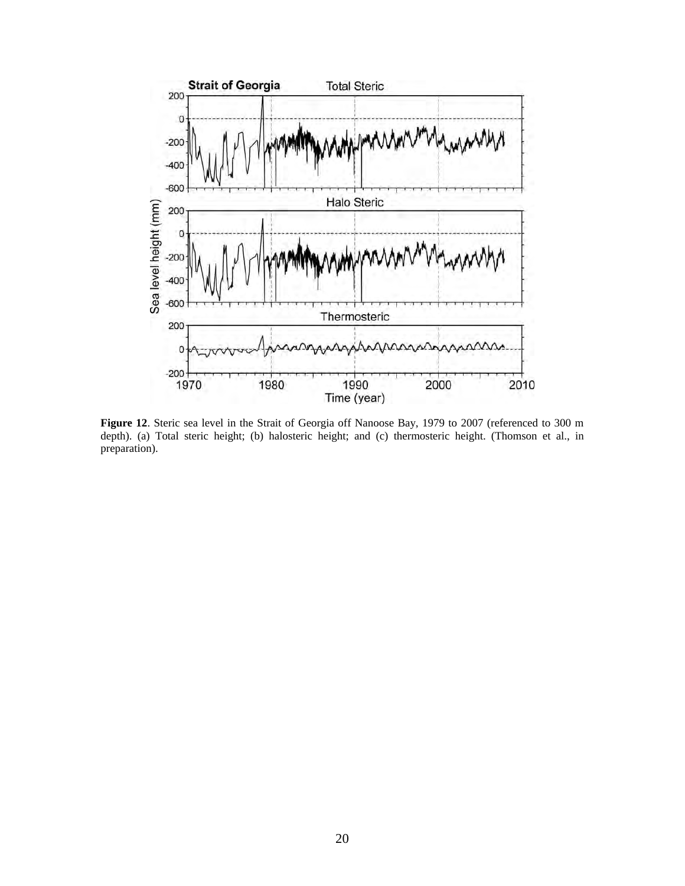

**Figure 12**. Steric sea level in the Strait of Georgia off Nanoose Bay, 1979 to 2007 (referenced to 300 m depth). (a) Total steric height; (b) halosteric height; and (c) thermosteric height. (Thomson et al., in preparation).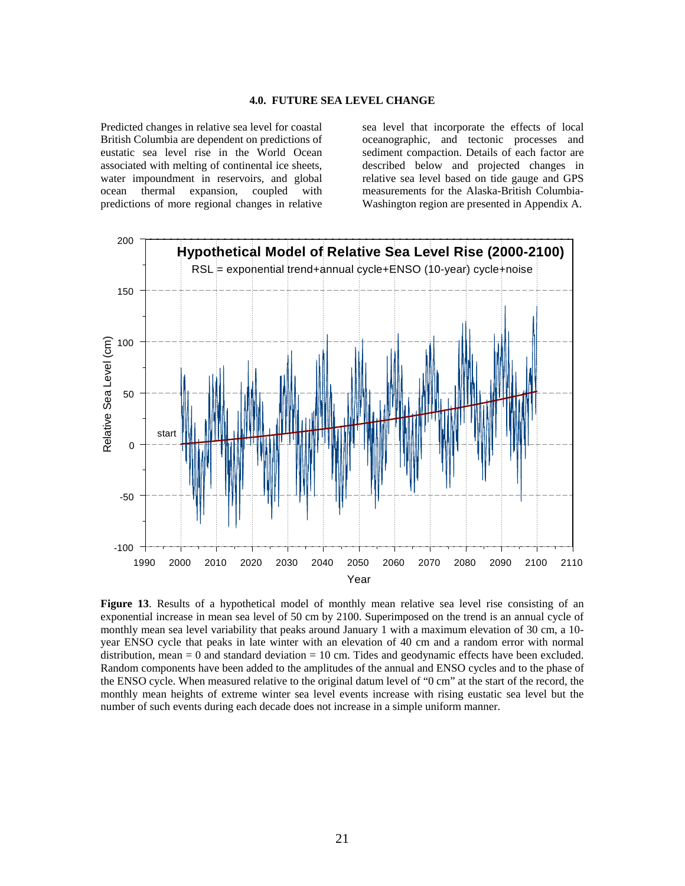#### **4.0. FUTURE SEA LEVEL CHANGE**

Predicted changes in relative sea level for coastal British Columbia are dependent on predictions of eustatic sea level rise in the World Ocean associated with melting of continental ice sheets, water impoundment in reservoirs, and global ocean thermal expansion, coupled with predictions of more regional changes in relative sea level that incorporate the effects of local oceanographic, and tectonic processes and sediment compaction. Details of each factor are described below and projected changes in relative sea level based on tide gauge and GPS measurements for the Alaska-British Columbia-Washington region are presented in Appendix A.



**Figure 13**. Results of a hypothetical model of monthly mean relative sea level rise consisting of an exponential increase in mean sea level of 50 cm by 2100. Superimposed on the trend is an annual cycle of monthly mean sea level variability that peaks around January 1 with a maximum elevation of 30 cm, a 10 year ENSO cycle that peaks in late winter with an elevation of 40 cm and a random error with normal distribution, mean  $= 0$  and standard deviation  $= 10$  cm. Tides and geodynamic effects have been excluded. Random components have been added to the amplitudes of the annual and ENSO cycles and to the phase of the ENSO cycle. When measured relative to the original datum level of "0 cm" at the start of the record, the monthly mean heights of extreme winter sea level events increase with rising eustatic sea level but the number of such events during each decade does not increase in a simple uniform manner.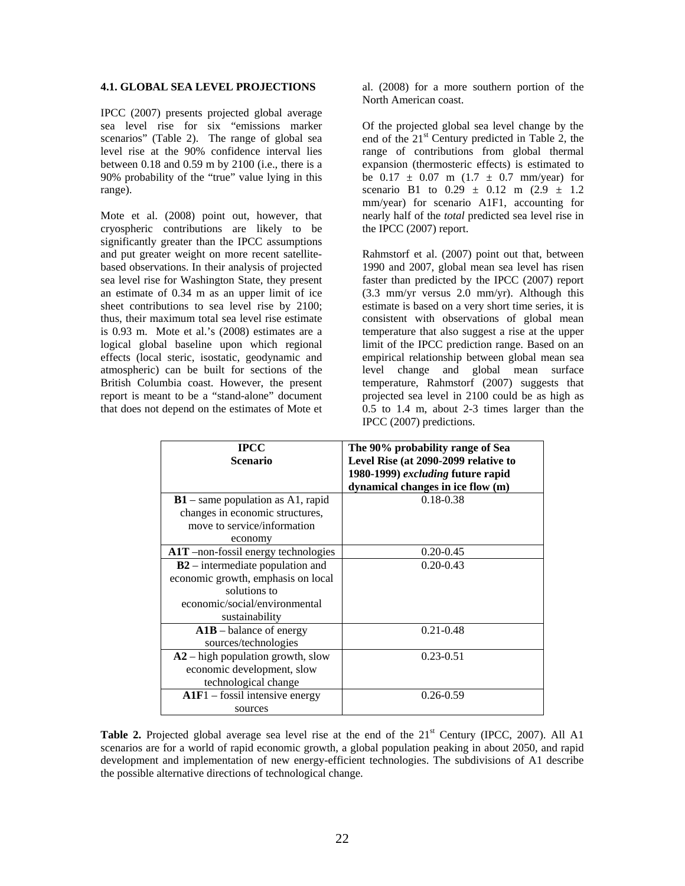#### **4.1. GLOBAL SEA LEVEL PROJECTIONS**

IPCC (2007) presents projected global average sea level rise for six "emissions marker scenarios" (Table 2). The range of global sea level rise at the 90% confidence interval lies between 0.18 and 0.59 m by 2100 (i.e., there is a 90% probability of the "true" value lying in this range).

Mote et al. (2008) point out, however, that cryospheric contributions are likely to be significantly greater than the IPCC assumptions and put greater weight on more recent satellitebased observations. In their analysis of projected sea level rise for Washington State, they present an estimate of 0.34 m as an upper limit of ice sheet contributions to sea level rise by 2100; thus, their maximum total sea level rise estimate is 0.93 m. Mote et al.'s (2008) estimates are a logical global baseline upon which regional effects (local steric, isostatic, geodynamic and atmospheric) can be built for sections of the British Columbia coast. However, the present report is meant to be a "stand-alone" document that does not depend on the estimates of Mote et

al. (2008) for a more southern portion of the North American coast.

Of the projected global sea level change by the end of the  $21<sup>st</sup>$  Century predicted in Table 2, the range of contributions from global thermal expansion (thermosteric effects) is estimated to be  $0.17 \pm 0.07$  m  $(1.7 \pm 0.7$  mm/year) for scenario B1 to  $0.29 \pm 0.12$  m  $(2.9 \pm 1.2)$ mm/year) for scenario A1F1, accounting for nearly half of the *total* predicted sea level rise in the IPCC (2007) report.

Rahmstorf et al. (2007) point out that, between 1990 and 2007, global mean sea level has risen faster than predicted by the IPCC (2007) report (3.3 mm/yr versus 2.0 mm/yr). Although this estimate is based on a very short time series, it is consistent with observations of global mean temperature that also suggest a rise at the upper limit of the IPCC prediction range. Based on an empirical relationship between global mean sea level change and global mean surface temperature, Rahmstorf (2007) suggests that projected sea level in 2100 could be as high as 0.5 to 1.4 m, about 2-3 times larger than the IPCC (2007) predictions.

| <b>IPCC</b>                         | The 90% probability range of Sea     |
|-------------------------------------|--------------------------------------|
| <b>Scenario</b>                     | Level Rise (at 2090-2099 relative to |
|                                     | 1980-1999) excluding future rapid    |
|                                     | dynamical changes in ice flow (m)    |
| $B1$ – same population as A1, rapid | $0.18 - 0.38$                        |
| changes in economic structures,     |                                      |
| move to service/information         |                                      |
| economy                             |                                      |
| A1T -non-fossil energy technologies | $0.20 - 0.45$                        |
| $B2$ – intermediate population and  | $0.20 - 0.43$                        |
| economic growth, emphasis on local  |                                      |
| solutions to                        |                                      |
| economic/social/environmental       |                                      |
| sustainability                      |                                      |
| $A1B$ – balance of energy           | $0.21 - 0.48$                        |
| sources/technologies                |                                      |
| $A2$ – high population growth, slow | $0.23 - 0.51$                        |
| economic development, slow          |                                      |
| technological change                |                                      |
| $A1F1 - f$ fossil intensive energy  | $0.26 - 0.59$                        |
| sources                             |                                      |

**Table 2.** Projected global average sea level rise at the end of the 21<sup>st</sup> Century (IPCC, 2007). All A1 scenarios are for a world of rapid economic growth, a global population peaking in about 2050, and rapid development and implementation of new energy-efficient technologies. The subdivisions of A1 describe the possible alternative directions of technological change.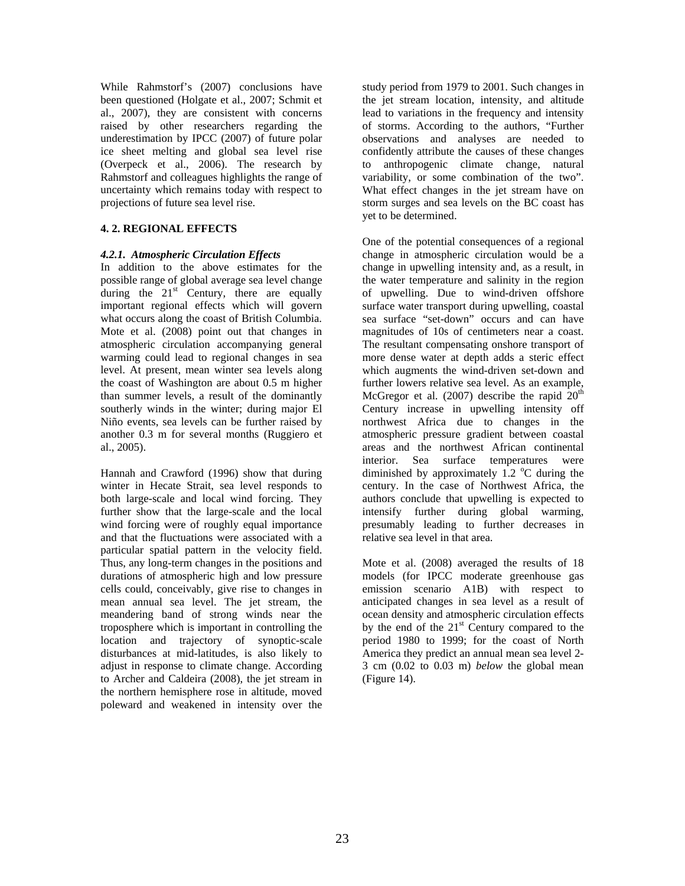While Rahmstorf's (2007) conclusions have been questioned (Holgate et al., 2007; Schmit et al., 2007), they are consistent with concerns raised by other researchers regarding the underestimation by IPCC (2007) of future polar ice sheet melting and global sea level rise (Overpeck et al., 2006). The research by Rahmstorf and colleagues highlights the range of uncertainty which remains today with respect to projections of future sea level rise.

#### **4. 2. REGIONAL EFFECTS**

# *4.2.1. Atmospheric Circulation Effects*

In addition to the above estimates for the possible range of global average sea level change during the  $21<sup>st</sup>$  Century, there are equally important regional effects which will govern what occurs along the coast of British Columbia. Mote et al. (2008) point out that changes in atmospheric circulation accompanying general warming could lead to regional changes in sea level. At present, mean winter sea levels along the coast of Washington are about 0.5 m higher than summer levels, a result of the dominantly southerly winds in the winter; during major El Niño events, sea levels can be further raised by another 0.3 m for several months (Ruggiero et al., 2005).

Hannah and Crawford (1996) show that during winter in Hecate Strait, sea level responds to both large-scale and local wind forcing. They further show that the large-scale and the local wind forcing were of roughly equal importance and that the fluctuations were associated with a particular spatial pattern in the velocity field. Thus, any long-term changes in the positions and durations of atmospheric high and low pressure cells could, conceivably, give rise to changes in mean annual sea level. The jet stream, the meandering band of strong winds near the troposphere which is important in controlling the location and trajectory of synoptic-scale disturbances at mid-latitudes, is also likely to adjust in response to climate change. According to Archer and Caldeira (2008), the jet stream in the northern hemisphere rose in altitude, moved poleward and weakened in intensity over the

study period from 1979 to 2001. Such changes in the jet stream location, intensity, and altitude lead to variations in the frequency and intensity of storms. According to the authors, "Further observations and analyses are needed to confidently attribute the causes of these changes to anthropogenic climate change, natural variability, or some combination of the two". What effect changes in the jet stream have on storm surges and sea levels on the BC coast has yet to be determined.

One of the potential consequences of a regional change in atmospheric circulation would be a change in upwelling intensity and, as a result, in the water temperature and salinity in the region of upwelling. Due to wind-driven offshore surface water transport during upwelling, coastal sea surface "set-down" occurs and can have magnitudes of 10s of centimeters near a coast. The resultant compensating onshore transport of more dense water at depth adds a steric effect which augments the wind-driven set-down and further lowers relative sea level. As an example, McGregor et al. (2007) describe the rapid  $20<sup>th</sup>$ Century increase in upwelling intensity off northwest Africa due to changes in the atmospheric pressure gradient between coastal areas and the northwest African continental interior. Sea surface temperatures were diminished by approximately 1.2  $\degree$ C during the century. In the case of Northwest Africa, the authors conclude that upwelling is expected to intensify further during global warming, presumably leading to further decreases in relative sea level in that area.

Mote et al. (2008) averaged the results of 18 models (for IPCC moderate greenhouse gas emission scenario A1B) with respect to anticipated changes in sea level as a result of ocean density and atmospheric circulation effects by the end of the  $21<sup>st</sup>$  Century compared to the period 1980 to 1999; for the coast of North America they predict an annual mean sea level 2- 3 cm (0.02 to 0.03 m) *below* the global mean (Figure 14).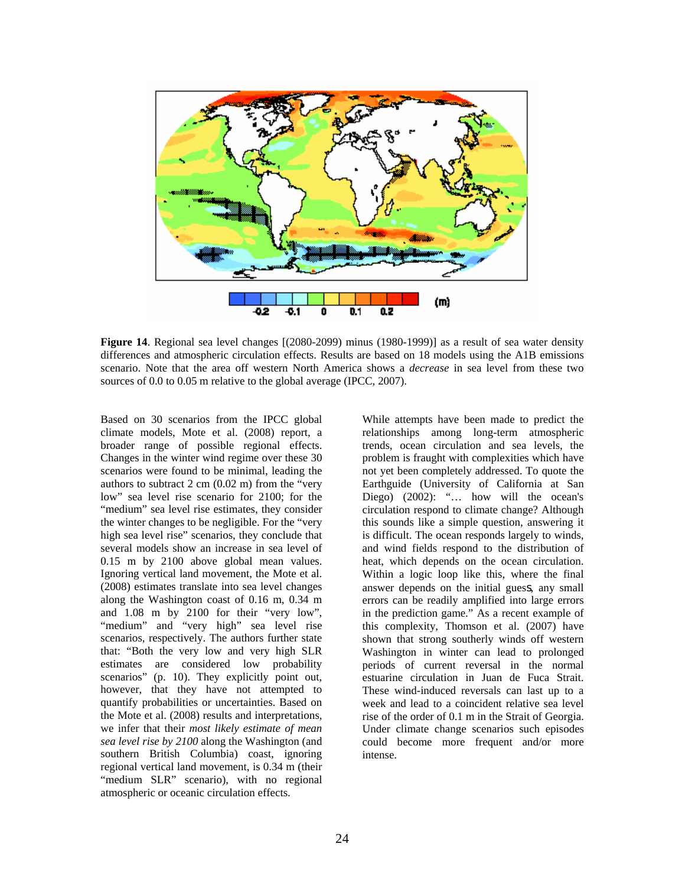

**Figure 14**. Regional sea level changes [(2080-2099) minus (1980-1999)] as a result of sea water density differences and atmospheric circulation effects. Results are based on 18 models using the A1B emissions scenario. Note that the area off western North America shows a *decrease* in sea level from these two sources of 0.0 to 0.05 m relative to the global average (IPCC, 2007).

Based on 30 scenarios from the IPCC global climate models, Mote et al. (2008) report, a broader range of possible regional effects. Changes in the winter wind regime over these 30 scenarios were found to be minimal, leading the authors to subtract 2 cm (0.02 m) from the "very low" sea level rise scenario for 2100; for the "medium" sea level rise estimates, they consider the winter changes to be negligible. For the "very high sea level rise" scenarios, they conclude that several models show an increase in sea level of 0.15 m by 2100 above global mean values. Ignoring vertical land movement, the Mote et al. (2008) estimates translate into sea level changes along the Washington coast of 0.16 m, 0.34 m and 1.08 m by 2100 for their "very low", "medium" and "very high" sea level rise scenarios, respectively. The authors further state that: "Both the very low and very high SLR estimates are considered low probability scenarios" (p. 10). They explicitly point out, however, that they have not attempted to quantify probabilities or uncertainties. Based on the Mote et al. (2008) results and interpretations, we infer that their *most likely estimate of mean sea level rise by 2100* along the Washington (and southern British Columbia) coast, ignoring regional vertical land movement, is 0.34 m (their "medium SLR" scenario), with no regional atmospheric or oceanic circulation effects.

While attempts have been made to predict the relationships among long-term atmospheric trends, ocean circulation and sea levels, the problem is fraught with complexities which have not yet been completely addressed. To quote the Earthguide (University of California at San Diego) (2002): "... how will the ocean's circulation respond to climate change? Although this sounds like a simple question, answering it is difficult. The ocean responds largely to winds, and wind fields respond to the distribution of heat, which depends on the ocean circulation. Within a logic loop like this, where the final answer depends on the initial guess, any small errors can be readily amplified into large errors in the prediction game." As a recent example of this complexity, Thomson et al. (2007) have shown that strong southerly winds off western Washington in winter can lead to prolonged periods of current reversal in the normal estuarine circulation in Juan de Fuca Strait. These wind-induced reversals can last up to a week and lead to a coincident relative sea level rise of the order of 0.1 m in the Strait of Georgia. Under climate change scenarios such episodes could become more frequent and/or more intense.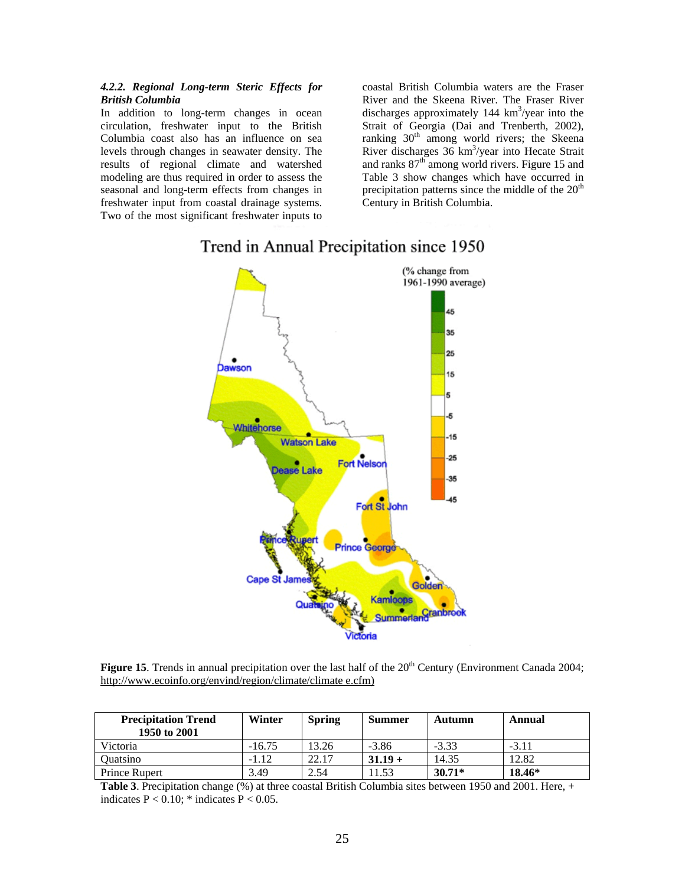#### *4.2.2. Regional Long-term Steric Effects for British Columbia*

In addition to long-term changes in ocean circulation, freshwater input to the British Columbia coast also has an influence on sea levels through changes in seawater density. The results of regional climate and watershed modeling are thus required in order to assess the seasonal and long-term effects from changes in freshwater input from coastal drainage systems. Two of the most significant freshwater inputs to

coastal British Columbia waters are the Fraser River and the Skeena River. The Fraser River discharges approximately  $144 \text{ km}^3/\text{year}$  into the Strait of Georgia (Dai and Trenberth, 2002), ranking  $30<sup>th</sup>$  among world rivers; the Skeena River discharges 36 km<sup>3</sup>/year into Hecate Strait and ranks  $87<sup>th</sup>$  among world rivers. Figure 15 and Table 3 show changes which have occurred in precipitation patterns since the middle of the  $20<sup>th</sup>$ Century in British Columbia.



# Trend in Annual Precipitation since 1950

**Figure 15**. Trends in annual precipitation over the last half of the 20<sup>th</sup> Century (Environment Canada 2004; http://www.ecoinfo.org/envind/region/climate/climate e.cfm)

| <b>Precipitation Trend</b><br>1950 to 2001 | Winter   | <b>Spring</b> | <b>Summer</b> | Autumn   | Annual  |
|--------------------------------------------|----------|---------------|---------------|----------|---------|
| Victoria                                   | $-16.75$ | 13.26         | $-3.86$       | $-3.33$  | $-3.11$ |
| <b>Ouatsino</b>                            | $-1.12$  | 22.17         | $31.19 +$     | 14.35    | 12.82   |
| Prince Rupert                              | 3.49     | 2.54          | .1.53         | $30.71*$ | 18.46*  |

**Table 3**. Precipitation change (%) at three coastal British Columbia sites between 1950 and 2001. Here, + indicates  $P < 0.10$ ; \* indicates  $P < 0.05$ .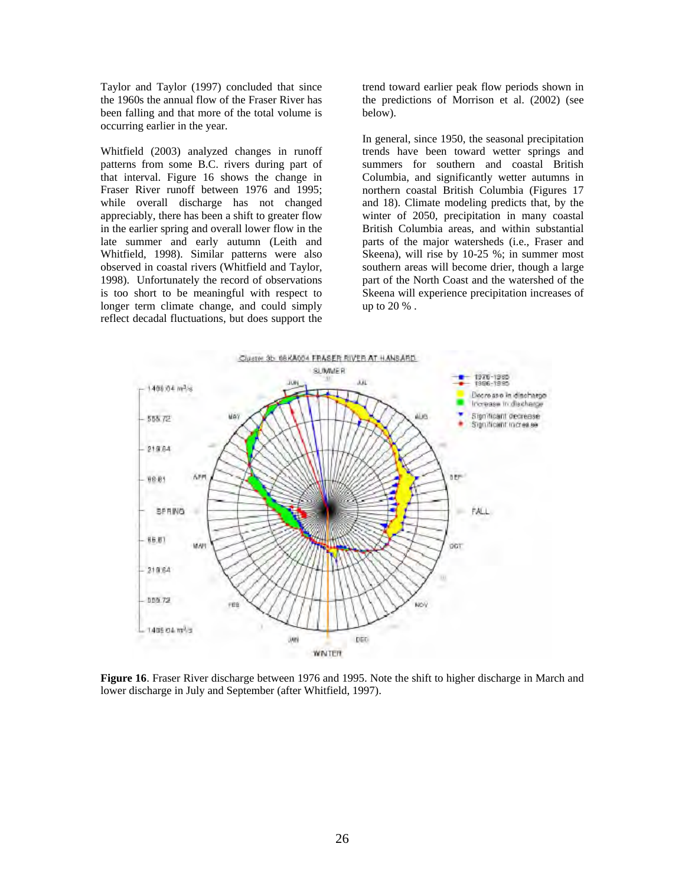Taylor and Taylor (1997) concluded that since the 1960s the annual flow of the Fraser River has been falling and that more of the total volume is occurring earlier in the year.

Whitfield (2003) analyzed changes in runoff patterns from some B.C. rivers during part of that interval. Figure 16 shows the change in Fraser River runoff between 1976 and 1995; while overall discharge has not changed appreciably, there has been a shift to greater flow in the earlier spring and overall lower flow in the late summer and early autumn (Leith and Whitfield, 1998). Similar patterns were also observed in coastal rivers (Whitfield and Taylor, 1998). Unfortunately the record of observations is too short to be meaningful with respect to longer term climate change, and could simply reflect decadal fluctuations, but does support the

trend toward earlier peak flow periods shown in the predictions of Morrison et al. (2002) (see below).

In general, since 1950, the seasonal precipitation trends have been toward wetter springs and summers for southern and coastal British Columbia, and significantly wetter autumns in northern coastal British Columbia (Figures 17 and 18). Climate modeling predicts that, by the winter of 2050, precipitation in many coastal British Columbia areas, and within substantial parts of the major watersheds (i.e., Fraser and Skeena), will rise by 10-25 %; in summer most southern areas will become drier, though a large part of the North Coast and the watershed of the Skeena will experience precipitation increases of up to 20 % .



**Figure 16**. Fraser River discharge between 1976 and 1995. Note the shift to higher discharge in March and lower discharge in July and September (after Whitfield, 1997).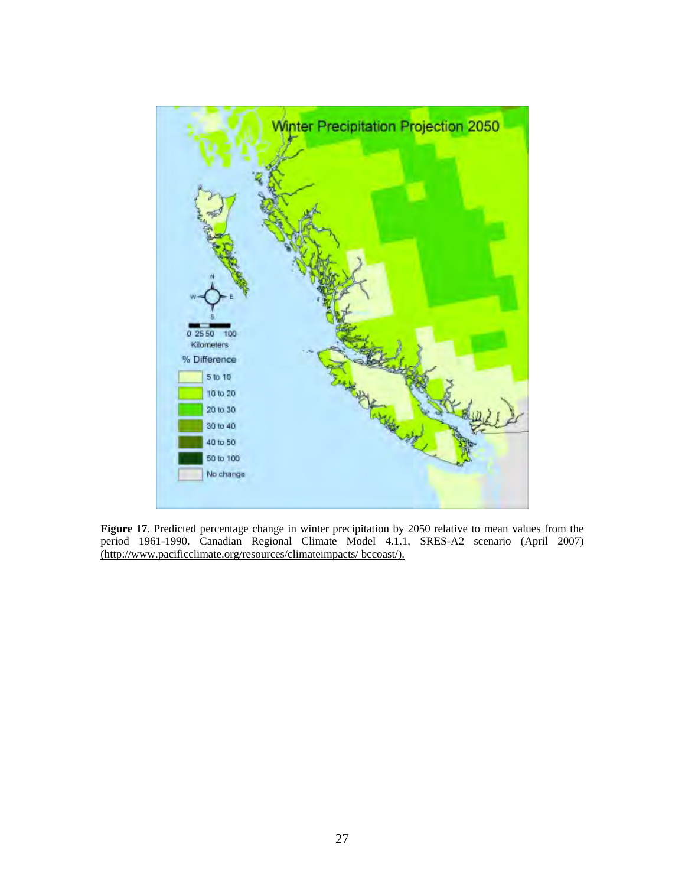

**Figure 17**. Predicted percentage change in winter precipitation by 2050 relative to mean values from the period 1961-1990. Canadian Regional Climate Model 4.1.1, SRES-A2 scenario (April 2007) (http://www.pacificclimate.org/resources/climateimpacts/ bccoast/).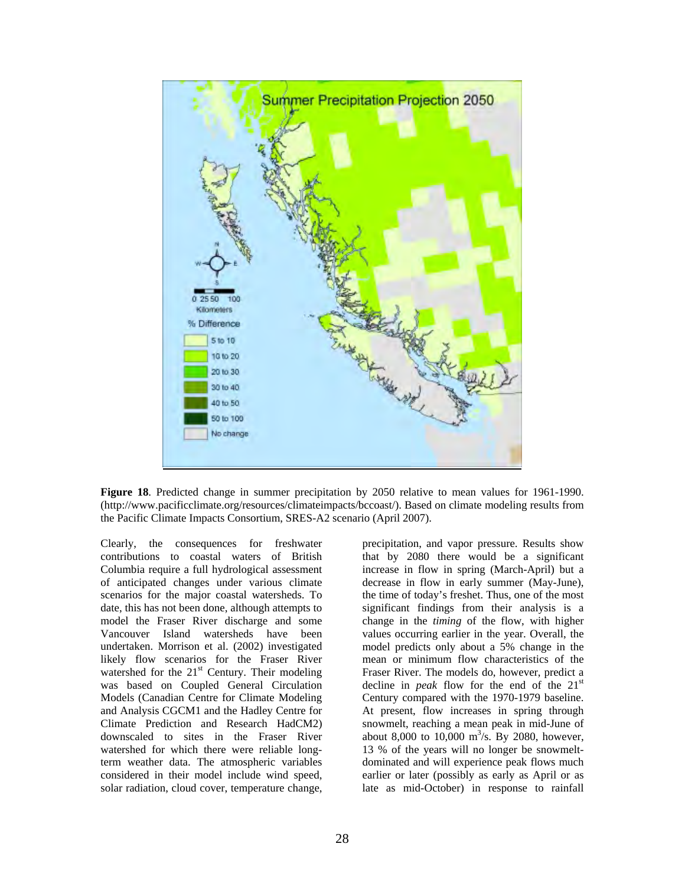

**Figure 18**. Predicted change in summer precipitation by 2050 relative to mean values for 1961-1990. (http://www.pacificclimate.org/resources/climateimpacts/bccoast/). Based on climate modeling results from the Pacific Climate Impacts Consortium, SRES-A2 scenario (April 2007).

Clearly, the consequences for freshwater contributions to coastal waters of British Columbia require a full hydrological assessment of anticipated changes under various climate scenarios for the major coastal watersheds. To date, this has not been done, although attempts to model the Fraser River discharge and some Vancouver Island watersheds have been undertaken. Morrison et al. (2002) investigated likely flow scenarios for the Fraser River watershed for the  $21<sup>st</sup>$  Century. Their modeling was based on Coupled General Circulation Models (Canadian Centre for Climate Modeling and Analysis CGCM1 and the Hadley Centre for Climate Prediction and Research HadCM2) downscaled to sites in the Fraser River watershed for which there were reliable longterm weather data. The atmospheric variables considered in their model include wind speed, solar radiation, cloud cover, temperature change, precipitation, and vapor pressure. Results show that by 2080 there would be a significant increase in flow in spring (March-April) but a decrease in flow in early summer (May-June), the time of today's freshet. Thus, one of the most significant findings from their analysis is a change in the *timing* of the flow, with higher values occurring earlier in the year. Overall, the model predicts only about a 5% change in the mean or minimum flow characteristics of the Fraser River. The models do, however, predict a decline in *peak* flow for the end of the 21st Century compared with the 1970-1979 baseline. At present, flow increases in spring through snowmelt, reaching a mean peak in mid-June of about 8,000 to 10,000  $\text{m}^3/\text{s}$ . By 2080, however, 13 % of the years will no longer be snowmeltdominated and will experience peak flows much earlier or later (possibly as early as April or as late as mid-October) in response to rainfall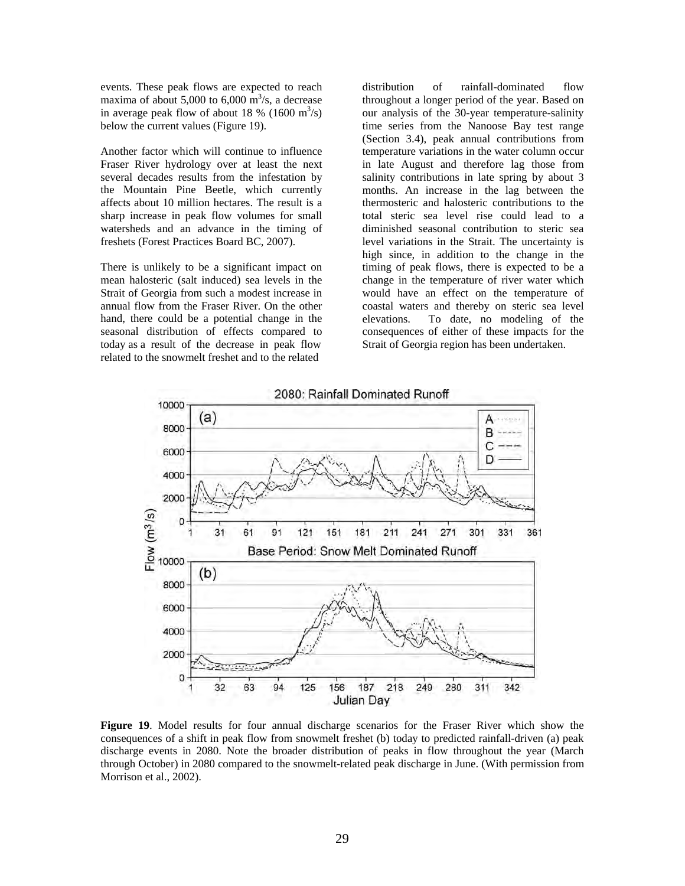events. These peak flows are expected to reach maxima of about 5,000 to 6,000  $\text{m}^3\text{/s}$ , a decrease in average peak flow of about 18 % (1600 m<sup>3</sup>/s) below the current values (Figure 19).

Another factor which will continue to influence Fraser River hydrology over at least the next several decades results from the infestation by the Mountain Pine Beetle, which currently affects about 10 million hectares. The result is a sharp increase in peak flow volumes for small watersheds and an advance in the timing of freshets (Forest Practices Board BC, 2007).

There is unlikely to be a significant impact on mean halosteric (salt induced) sea levels in the Strait of Georgia from such a modest increase in annual flow from the Fraser River. On the other hand, there could be a potential change in the seasonal distribution of effects compared to today as a result of the decrease in peak flow related to the snowmelt freshet and to the related

distribution of rainfall-dominated flow throughout a longer period of the year. Based on our analysis of the 30-year temperature-salinity time series from the Nanoose Bay test range (Section 3.4), peak annual contributions from temperature variations in the water column occur in late August and therefore lag those from salinity contributions in late spring by about 3 months. An increase in the lag between the thermosteric and halosteric contributions to the total steric sea level rise could lead to a diminished seasonal contribution to steric sea level variations in the Strait. The uncertainty is high since, in addition to the change in the timing of peak flows, there is expected to be a change in the temperature of river water which would have an effect on the temperature of coastal waters and thereby on steric sea level elevations. To date, no modeling of the consequences of either of these impacts for the Strait of Georgia region has been undertaken.



**Figure 19**. Model results for four annual discharge scenarios for the Fraser River which show the consequences of a shift in peak flow from snowmelt freshet (b) today to predicted rainfall-driven (a) peak discharge events in 2080. Note the broader distribution of peaks in flow throughout the year (March through October) in 2080 compared to the snowmelt-related peak discharge in June. (With permission from Morrison et al., 2002).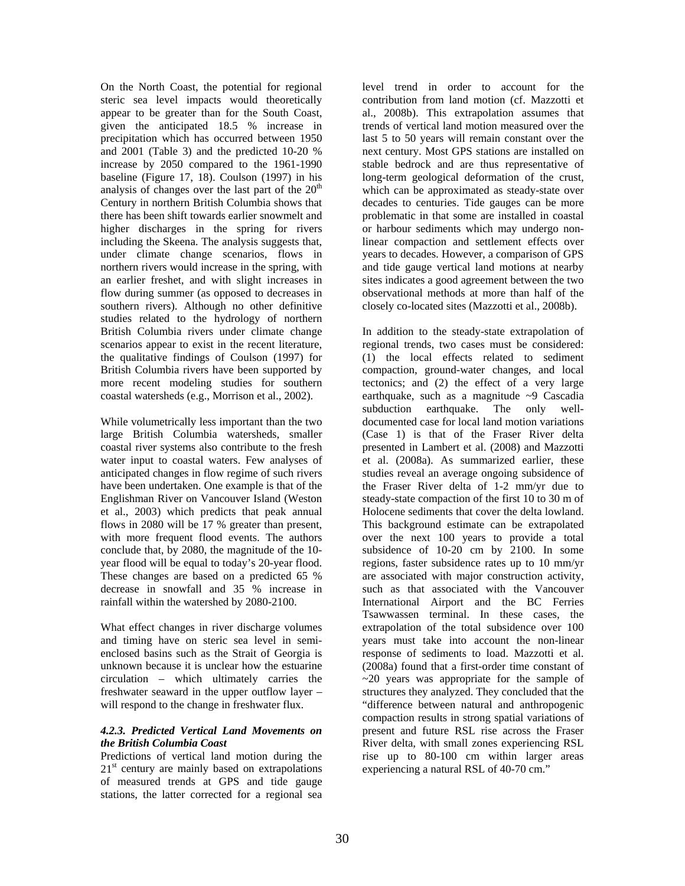On the North Coast, the potential for regional steric sea level impacts would theoretically appear to be greater than for the South Coast, given the anticipated 18.5 % increase in precipitation which has occurred between 1950 and 2001 (Table 3) and the predicted 10-20 % increase by 2050 compared to the 1961-1990 baseline (Figure 17, 18). Coulson (1997) in his analysis of changes over the last part of the  $20<sup>th</sup>$ Century in northern British Columbia shows that there has been shift towards earlier snowmelt and higher discharges in the spring for rivers including the Skeena. The analysis suggests that, under climate change scenarios, flows in northern rivers would increase in the spring, with an earlier freshet, and with slight increases in flow during summer (as opposed to decreases in southern rivers). Although no other definitive studies related to the hydrology of northern British Columbia rivers under climate change scenarios appear to exist in the recent literature, the qualitative findings of Coulson (1997) for British Columbia rivers have been supported by more recent modeling studies for southern coastal watersheds (e.g., Morrison et al., 2002).

While volumetrically less important than the two large British Columbia watersheds, smaller coastal river systems also contribute to the fresh water input to coastal waters. Few analyses of anticipated changes in flow regime of such rivers have been undertaken. One example is that of the Englishman River on Vancouver Island (Weston et al., 2003) which predicts that peak annual flows in 2080 will be 17 % greater than present, with more frequent flood events. The authors conclude that, by 2080, the magnitude of the 10 year flood will be equal to today's 20-year flood. These changes are based on a predicted 65 % decrease in snowfall and 35 % increase in rainfall within the watershed by 2080-2100.

What effect changes in river discharge volumes and timing have on steric sea level in semienclosed basins such as the Strait of Georgia is unknown because it is unclear how the estuarine circulation – which ultimately carries the freshwater seaward in the upper outflow layer – will respond to the change in freshwater flux.

#### *4.2.3. Predicted Vertical Land Movements on the British Columbia Coast*

Predictions of vertical land motion during the  $21<sup>st</sup>$  century are mainly based on extrapolations of measured trends at GPS and tide gauge stations, the latter corrected for a regional sea

level trend in order to account for the contribution from land motion (cf. Mazzotti et al., 2008b). This extrapolation assumes that trends of vertical land motion measured over the last 5 to 50 years will remain constant over the next century. Most GPS stations are installed on stable bedrock and are thus representative of long-term geological deformation of the crust, which can be approximated as steady-state over decades to centuries. Tide gauges can be more problematic in that some are installed in coastal or harbour sediments which may undergo nonlinear compaction and settlement effects over years to decades. However, a comparison of GPS and tide gauge vertical land motions at nearby sites indicates a good agreement between the two observational methods at more than half of the closely co-located sites (Mazzotti et al., 2008b).

In addition to the steady-state extrapolation of regional trends, two cases must be considered: (1) the local effects related to sediment compaction, ground-water changes, and local tectonics; and (2) the effect of a very large earthquake, such as a magnitude ~9 Cascadia subduction earthquake. The only welldocumented case for local land motion variations (Case 1) is that of the Fraser River delta presented in Lambert et al. (2008) and Mazzotti et al. (2008a). As summarized earlier, these studies reveal an average ongoing subsidence of the Fraser River delta of 1-2 mm/yr due to steady-state compaction of the first 10 to 30 m of Holocene sediments that cover the delta lowland. This background estimate can be extrapolated over the next 100 years to provide a total subsidence of 10-20 cm by 2100. In some regions, faster subsidence rates up to 10 mm/yr are associated with major construction activity, such as that associated with the Vancouver International Airport and the BC Ferries Tsawwassen terminal. In these cases, the extrapolation of the total subsidence over 100 years must take into account the non-linear response of sediments to load. Mazzotti et al. (2008a) found that a first-order time constant of  $\sim$ 20 years was appropriate for the sample of structures they analyzed. They concluded that the "difference between natural and anthropogenic compaction results in strong spatial variations of present and future RSL rise across the Fraser River delta, with small zones experiencing RSL rise up to 80-100 cm within larger areas experiencing a natural RSL of 40-70 cm."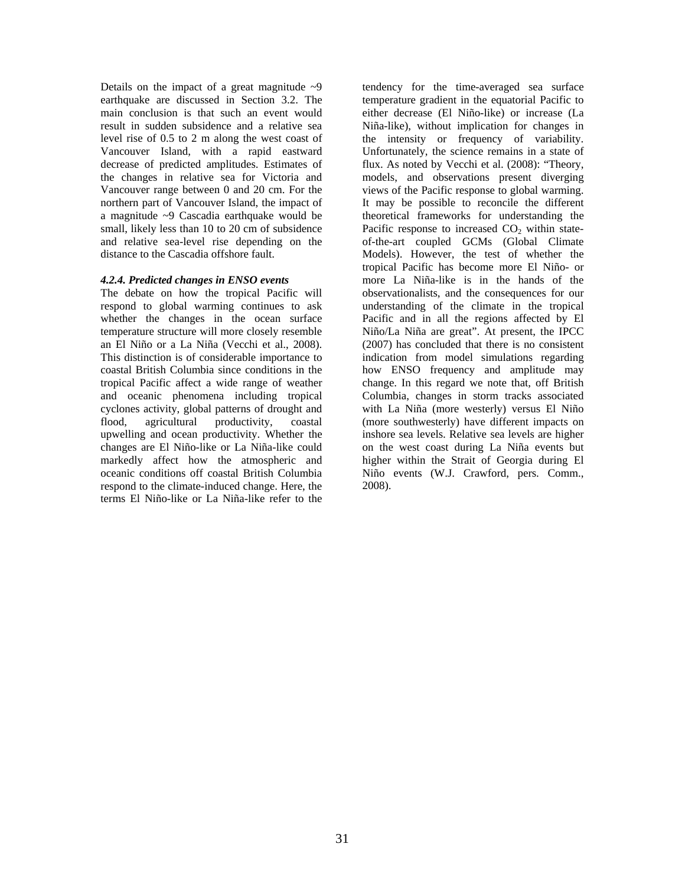Details on the impact of a great magnitude  $\sim$ 9 earthquake are discussed in Section 3.2. The main conclusion is that such an event would result in sudden subsidence and a relative sea level rise of 0.5 to 2 m along the west coast of Vancouver Island, with a rapid eastward decrease of predicted amplitudes. Estimates of the changes in relative sea for Victoria and Vancouver range between 0 and 20 cm. For the northern part of Vancouver Island, the impact of a magnitude ~9 Cascadia earthquake would be small, likely less than 10 to 20 cm of subsidence and relative sea-level rise depending on the distance to the Cascadia offshore fault.

#### *4.2.4. Predicted changes in ENSO events*

The debate on how the tropical Pacific will respond to global warming continues to ask whether the changes in the ocean surface temperature structure will more closely resemble an El Niño or a La Niña (Vecchi et al., 2008). This distinction is of considerable importance to coastal British Columbia since conditions in the tropical Pacific affect a wide range of weather and oceanic phenomena including tropical cyclones activity, global patterns of drought and<br>flood, agricultural productivity, coastal flood, agricultural productivity, coastal upwelling and ocean productivity. Whether the changes are El Niño-like or La Niña-like could markedly affect how the atmospheric and oceanic conditions off coastal British Columbia respond to the climate-induced change. Here, the terms El Niño-like or La Niña-like refer to the

tendency for the time-averaged sea surface temperature gradient in the equatorial Pacific to either decrease (El Niño-like) or increase (La Niña-like), without implication for changes in the intensity or frequency of variability. Unfortunately, the science remains in a state of flux. As noted by Vecchi et al. (2008): "Theory, models, and observations present diverging views of the Pacific response to global warming. It may be possible to reconcile the different theoretical frameworks for understanding the Pacific response to increased  $CO<sub>2</sub>$  within stateof-the-art coupled GCMs (Global Climate Models). However, the test of whether the tropical Pacific has become more El Niño- or more La Niña-like is in the hands of the observationalists, and the consequences for our understanding of the climate in the tropical Pacific and in all the regions affected by El Niño/La Niña are great". At present, the IPCC (2007) has concluded that there is no consistent indication from model simulations regarding how ENSO frequency and amplitude may change. In this regard we note that, off British Columbia, changes in storm tracks associated with La Niña (more westerly) versus El Niño (more southwesterly) have different impacts on inshore sea levels. Relative sea levels are higher on the west coast during La Niña events but higher within the Strait of Georgia during El Niño events (W.J. Crawford, pers. Comm., 2008).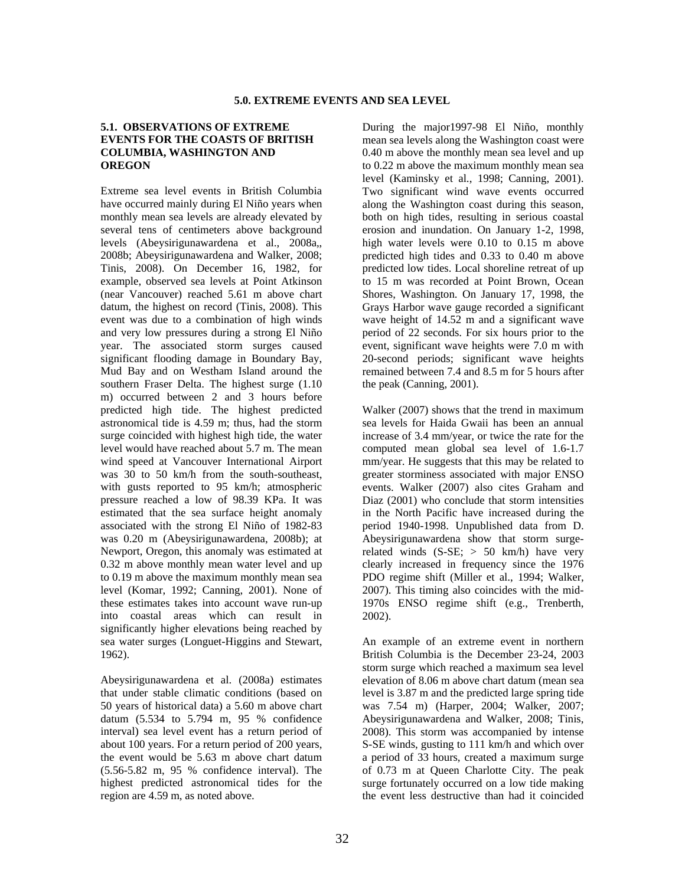#### **5.1. OBSERVATIONS OF EXTREME EVENTS FOR THE COASTS OF BRITISH COLUMBIA, WASHINGTON AND OREGON**

Extreme sea level events in British Columbia have occurred mainly during El Niño years when monthly mean sea levels are already elevated by several tens of centimeters above background levels (Abeysirigunawardena et al., 2008a,, 2008b; Abeysirigunawardena and Walker, 2008; Tinis, 2008). On December 16, 1982, for example, observed sea levels at Point Atkinson (near Vancouver) reached 5.61 m above chart datum, the highest on record (Tinis, 2008). This event was due to a combination of high winds and very low pressures during a strong El Niño year. The associated storm surges caused significant flooding damage in Boundary Bay, Mud Bay and on Westham Island around the southern Fraser Delta. The highest surge (1.10 m) occurred between 2 and 3 hours before predicted high tide. The highest predicted astronomical tide is 4.59 m; thus, had the storm surge coincided with highest high tide, the water level would have reached about 5.7 m. The mean wind speed at Vancouver International Airport was 30 to 50 km/h from the south-southeast, with gusts reported to 95 km/h; atmospheric pressure reached a low of 98.39 KPa. It was estimated that the sea surface height anomaly associated with the strong El Niño of 1982-83 was 0.20 m (Abeysirigunawardena, 2008b); at Newport, Oregon, this anomaly was estimated at 0.32 m above monthly mean water level and up to 0.19 m above the maximum monthly mean sea level (Komar, 1992; Canning, 2001). None of these estimates takes into account wave run-up into coastal areas which can result in significantly higher elevations being reached by sea water surges (Longuet-Higgins and Stewart, 1962).

Abeysirigunawardena et al. (2008a) estimates that under stable climatic conditions (based on 50 years of historical data) a 5.60 m above chart datum (5.534 to 5.794 m, 95 % confidence interval) sea level event has a return period of about 100 years. For a return period of 200 years, the event would be 5.63 m above chart datum (5.56-5.82 m, 95 % confidence interval). The highest predicted astronomical tides for the region are 4.59 m, as noted above.

During the major1997-98 El Niño, monthly mean sea levels along the Washington coast were 0.40 m above the monthly mean sea level and up to 0.22 m above the maximum monthly mean sea level (Kaminsky et al., 1998; Canning, 2001). Two significant wind wave events occurred along the Washington coast during this season, both on high tides, resulting in serious coastal erosion and inundation. On January 1-2, 1998, high water levels were 0.10 to 0.15 m above predicted high tides and 0.33 to 0.40 m above predicted low tides. Local shoreline retreat of up to 15 m was recorded at Point Brown, Ocean Shores, Washington. On January 17, 1998, the Grays Harbor wave gauge recorded a significant wave height of 14.52 m and a significant wave period of 22 seconds. For six hours prior to the event, significant wave heights were 7.0 m with 20-second periods; significant wave heights remained between 7.4 and 8.5 m for 5 hours after the peak (Canning, 2001).

Walker (2007) shows that the trend in maximum sea levels for Haida Gwaii has been an annual increase of 3.4 mm/year, or twice the rate for the computed mean global sea level of 1.6-1.7 mm/year. He suggests that this may be related to greater storminess associated with major ENSO events. Walker (2007) also cites Graham and Diaz (2001) who conclude that storm intensities in the North Pacific have increased during the period 1940-1998. Unpublished data from D. Abeysirigunawardena show that storm surgerelated winds  $(S-SE; > 50 \text{ km/h})$  have very clearly increased in frequency since the 1976 PDO regime shift (Miller et al., 1994; Walker, 2007). This timing also coincides with the mid-1970s ENSO regime shift (e.g., Trenberth, 2002).

An example of an extreme event in northern British Columbia is the December 23-24, 2003 storm surge which reached a maximum sea level elevation of 8.06 m above chart datum (mean sea level is 3.87 m and the predicted large spring tide was 7.54 m) (Harper, 2004; Walker, 2007; Abeysirigunawardena and Walker, 2008; Tinis, 2008). This storm was accompanied by intense S-SE winds, gusting to 111 km/h and which over a period of 33 hours, created a maximum surge of 0.73 m at Queen Charlotte City. The peak surge fortunately occurred on a low tide making the event less destructive than had it coincided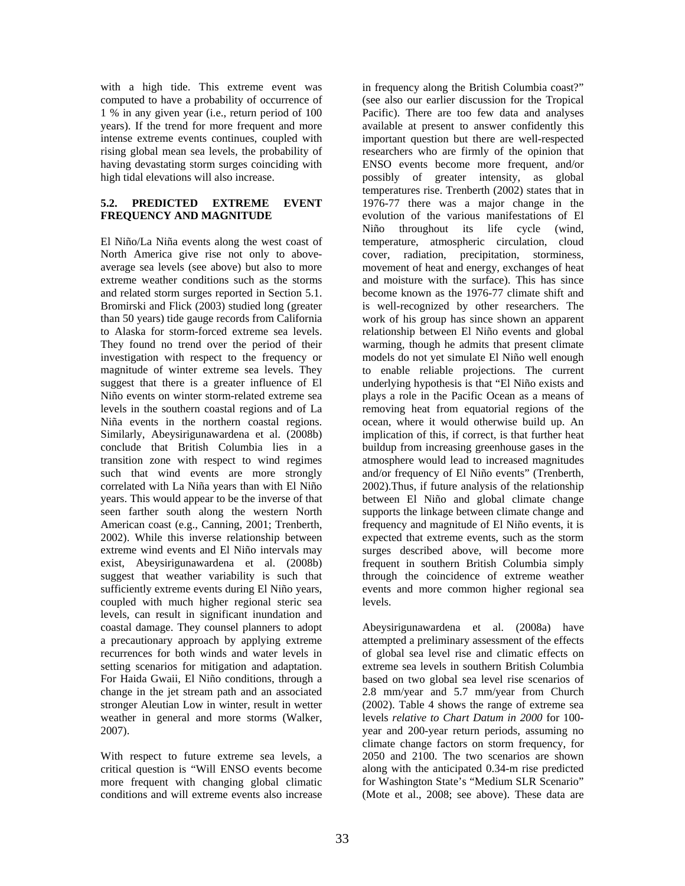with a high tide. This extreme event was computed to have a probability of occurrence of 1 % in any given year (i.e., return period of 100 years). If the trend for more frequent and more intense extreme events continues, coupled with rising global mean sea levels, the probability of having devastating storm surges coinciding with high tidal elevations will also increase.

# **5.2. PREDICTED EXTREME EVENT FREQUENCY AND MAGNITUDE**

El Niño/La Niña events along the west coast of North America give rise not only to aboveaverage sea levels (see above) but also to more extreme weather conditions such as the storms and related storm surges reported in Section 5.1. Bromirski and Flick (2003) studied long (greater than 50 years) tide gauge records from California to Alaska for storm-forced extreme sea levels. They found no trend over the period of their investigation with respect to the frequency or magnitude of winter extreme sea levels. They suggest that there is a greater influence of El Niño events on winter storm-related extreme sea levels in the southern coastal regions and of La Niña events in the northern coastal regions. Similarly, Abeysirigunawardena et al. (2008b) conclude that British Columbia lies in a transition zone with respect to wind regimes such that wind events are more strongly correlated with La Niña years than with El Niño years. This would appear to be the inverse of that seen farther south along the western North American coast (e.g., Canning, 2001; Trenberth, 2002). While this inverse relationship between extreme wind events and El Niño intervals may exist, Abeysirigunawardena et al. (2008b) suggest that weather variability is such that sufficiently extreme events during El Niño years, coupled with much higher regional steric sea levels, can result in significant inundation and coastal damage. They counsel planners to adopt a precautionary approach by applying extreme recurrences for both winds and water levels in setting scenarios for mitigation and adaptation. For Haida Gwaii, El Niño conditions, through a change in the jet stream path and an associated stronger Aleutian Low in winter, result in wetter weather in general and more storms (Walker, 2007).

With respect to future extreme sea levels, a critical question is "Will ENSO events become more frequent with changing global climatic conditions and will extreme events also increase

in frequency along the British Columbia coast?" (see also our earlier discussion for the Tropical Pacific). There are too few data and analyses available at present to answer confidently this important question but there are well-respected researchers who are firmly of the opinion that ENSO events become more frequent, and/or possibly of greater intensity, as global temperatures rise. Trenberth (2002) states that in 1976-77 there was a major change in the evolution of the various manifestations of El Niño throughout its life cycle (wind, temperature, atmospheric circulation, cloud cover, radiation, precipitation, storminess, movement of heat and energy, exchanges of heat and moisture with the surface). This has since become known as the 1976-77 climate shift and is well-recognized by other researchers. The work of his group has since shown an apparent relationship between El Niño events and global warming, though he admits that present climate models do not yet simulate El Niño well enough to enable reliable projections. The current underlying hypothesis is that "El Niño exists and plays a role in the Pacific Ocean as a means of removing heat from equatorial regions of the ocean, where it would otherwise build up. An implication of this, if correct, is that further heat buildup from increasing greenhouse gases in the atmosphere would lead to increased magnitudes and/or frequency of El Niño events" (Trenberth, 2002).Thus, if future analysis of the relationship between El Niño and global climate change supports the linkage between climate change and frequency and magnitude of El Niño events, it is expected that extreme events, such as the storm surges described above, will become more frequent in southern British Columbia simply through the coincidence of extreme weather events and more common higher regional sea levels.

Abeysirigunawardena et al. (2008a) have attempted a preliminary assessment of the effects of global sea level rise and climatic effects on extreme sea levels in southern British Columbia based on two global sea level rise scenarios of 2.8 mm/year and 5.7 mm/year from Church (2002). Table 4 shows the range of extreme sea levels *relative to Chart Datum in 2000* for 100 year and 200-year return periods, assuming no climate change factors on storm frequency, for 2050 and 2100. The two scenarios are shown along with the anticipated 0.34-m rise predicted for Washington State's "Medium SLR Scenario" (Mote et al., 2008; see above). These data are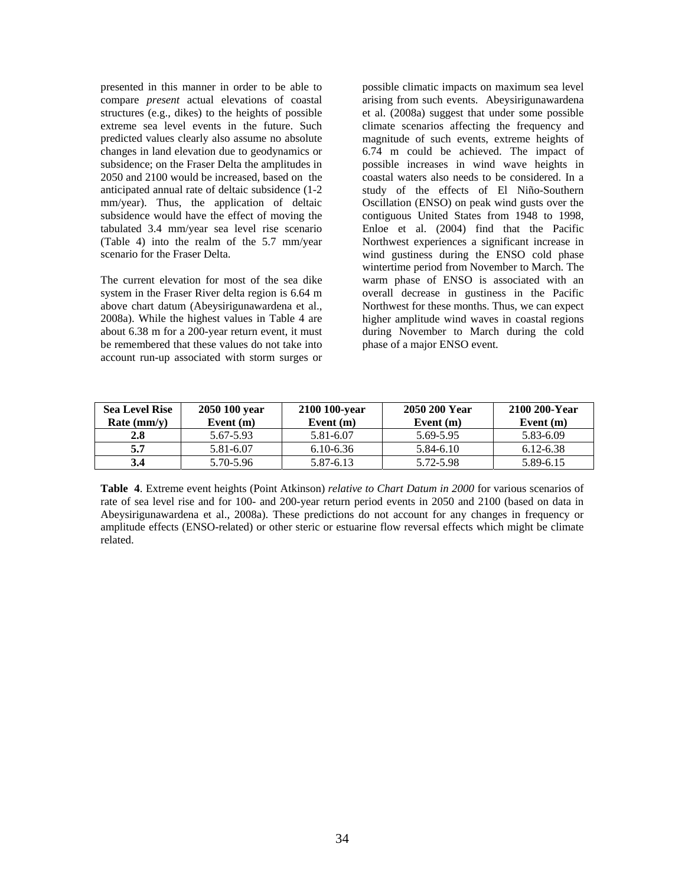presented in this manner in order to be able to compare *present* actual elevations of coastal structures (e.g., dikes) to the heights of possible extreme sea level events in the future. Such predicted values clearly also assume no absolute changes in land elevation due to geodynamics or subsidence; on the Fraser Delta the amplitudes in 2050 and 2100 would be increased, based on the anticipated annual rate of deltaic subsidence (1-2 mm/year). Thus, the application of deltaic subsidence would have the effect of moving the tabulated 3.4 mm/year sea level rise scenario (Table 4) into the realm of the 5.7 mm/year scenario for the Fraser Delta.

The current elevation for most of the sea dike system in the Fraser River delta region is 6.64 m above chart datum (Abeysirigunawardena et al., 2008a). While the highest values in Table 4 are about 6.38 m for a 200-year return event, it must be remembered that these values do not take into account run-up associated with storm surges or

possible climatic impacts on maximum sea level arising from such events. Abeysirigunawardena et al. (2008a) suggest that under some possible climate scenarios affecting the frequency and magnitude of such events, extreme heights of 6.74 m could be achieved. The impact of possible increases in wind wave heights in coastal waters also needs to be considered. In a study of the effects of El Niño-Southern Oscillation (ENSO) on peak wind gusts over the contiguous United States from 1948 to 1998, Enloe et al. (2004) find that the Pacific Northwest experiences a significant increase in wind gustiness during the ENSO cold phase wintertime period from November to March. The warm phase of ENSO is associated with an overall decrease in gustiness in the Pacific Northwest for these months. Thus, we can expect higher amplitude wind waves in coastal regions during November to March during the cold phase of a major ENSO event.

| <b>Sea Level Rise</b> | 2050 100 year | 2100 100-year | 2050 200 Year | 2100 200-Year |
|-----------------------|---------------|---------------|---------------|---------------|
| Rate $(mm/y)$         | Event $(m)$   | Event $(m)$   | Event $(m)$   | Event $(m)$   |
| 2.8                   | 5.67-5.93     | 5.81-6.07     | 5.69-5.95     | 5.83-6.09     |
| 5.7                   | 5.81-6.07     | $6.10 - 6.36$ | 5.84-6.10     | 6.12-6.38     |
| 3.4                   | 5.70-5.96     | 5.87-6.13     | 5.72-5.98     | 5.89-6.15     |

**Table 4**. Extreme event heights (Point Atkinson) *relative to Chart Datum in 2000* for various scenarios of rate of sea level rise and for 100- and 200-year return period events in 2050 and 2100 (based on data in Abeysirigunawardena et al., 2008a). These predictions do not account for any changes in frequency or amplitude effects (ENSO-related) or other steric or estuarine flow reversal effects which might be climate related.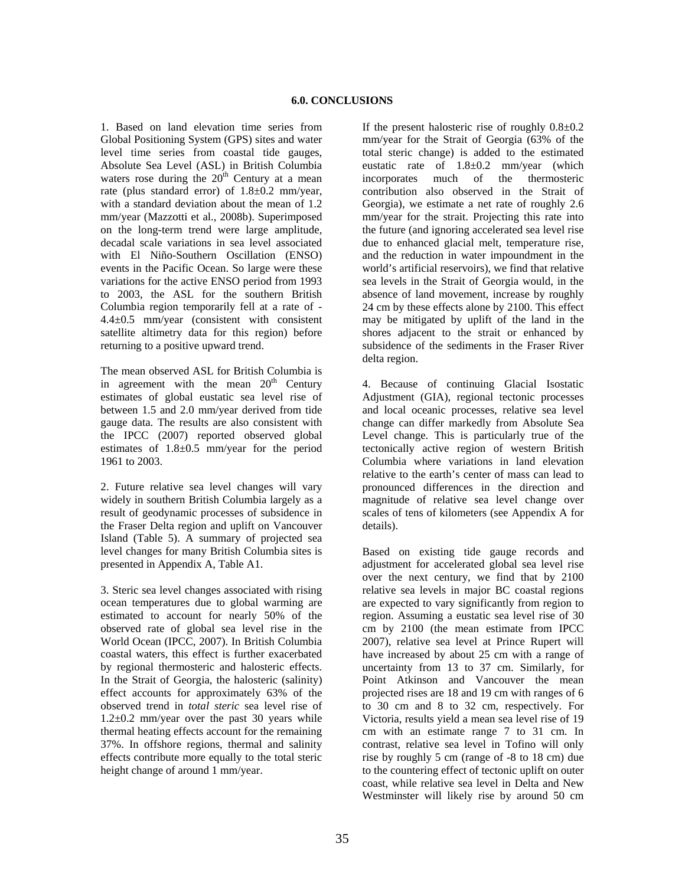1. Based on land elevation time series from Global Positioning System (GPS) sites and water level time series from coastal tide gauges, Absolute Sea Level (ASL) in British Columbia waters rose during the  $20<sup>th</sup>$  Century at a mean rate (plus standard error) of 1.8±0.2 mm/year, with a standard deviation about the mean of 1.2 mm/year (Mazzotti et al., 2008b). Superimposed on the long-term trend were large amplitude, decadal scale variations in sea level associated with El Niño-Southern Oscillation (ENSO) events in the Pacific Ocean. So large were these variations for the active ENSO period from 1993 to 2003, the ASL for the southern British Columbia region temporarily fell at a rate of - 4.4±0.5 mm/year (consistent with consistent satellite altimetry data for this region) before returning to a positive upward trend.

The mean observed ASL for British Columbia is in agreement with the mean  $20<sup>th</sup>$  Century estimates of global eustatic sea level rise of between 1.5 and 2.0 mm/year derived from tide gauge data. The results are also consistent with the IPCC (2007) reported observed global estimates of 1.8±0.5 mm/year for the period 1961 to 2003.

2. Future relative sea level changes will vary widely in southern British Columbia largely as a result of geodynamic processes of subsidence in the Fraser Delta region and uplift on Vancouver Island (Table 5). A summary of projected sea level changes for many British Columbia sites is presented in Appendix A, Table A1.

3. Steric sea level changes associated with rising ocean temperatures due to global warming are estimated to account for nearly 50% of the observed rate of global sea level rise in the World Ocean (IPCC, 2007). In British Columbia coastal waters, this effect is further exacerbated by regional thermosteric and halosteric effects. In the Strait of Georgia, the halosteric (salinity) effect accounts for approximately 63% of the observed trend in *total steric* sea level rise of  $1.2\pm0.2$  mm/year over the past 30 years while thermal heating effects account for the remaining 37%. In offshore regions, thermal and salinity effects contribute more equally to the total steric height change of around 1 mm/year.

If the present halosteric rise of roughly  $0.8\pm0.2$ mm/year for the Strait of Georgia (63% of the total steric change) is added to the estimated eustatic rate of 1.8±0.2 mm/year (which incorporates much of the thermosteric contribution also observed in the Strait of Georgia), we estimate a net rate of roughly 2.6 mm/year for the strait. Projecting this rate into the future (and ignoring accelerated sea level rise due to enhanced glacial melt, temperature rise, and the reduction in water impoundment in the world's artificial reservoirs), we find that relative sea levels in the Strait of Georgia would, in the absence of land movement, increase by roughly 24 cm by these effects alone by 2100. This effect may be mitigated by uplift of the land in the shores adjacent to the strait or enhanced by subsidence of the sediments in the Fraser River delta region.

4. Because of continuing Glacial Isostatic Adjustment (GIA), regional tectonic processes and local oceanic processes, relative sea level change can differ markedly from Absolute Sea Level change. This is particularly true of the tectonically active region of western British Columbia where variations in land elevation relative to the earth's center of mass can lead to pronounced differences in the direction and magnitude of relative sea level change over scales of tens of kilometers (see Appendix A for details).

Based on existing tide gauge records and adjustment for accelerated global sea level rise over the next century, we find that by 2100 relative sea levels in major BC coastal regions are expected to vary significantly from region to region. Assuming a eustatic sea level rise of 30 cm by 2100 (the mean estimate from IPCC 2007), relative sea level at Prince Rupert will have increased by about 25 cm with a range of uncertainty from 13 to 37 cm. Similarly, for Point Atkinson and Vancouver the mean projected rises are 18 and 19 cm with ranges of 6 to 30 cm and 8 to 32 cm, respectively. For Victoria, results yield a mean sea level rise of 19 cm with an estimate range 7 to 31 cm. In contrast, relative sea level in Tofino will only rise by roughly 5 cm (range of -8 to 18 cm) due to the countering effect of tectonic uplift on outer coast, while relative sea level in Delta and New Westminster will likely rise by around 50 cm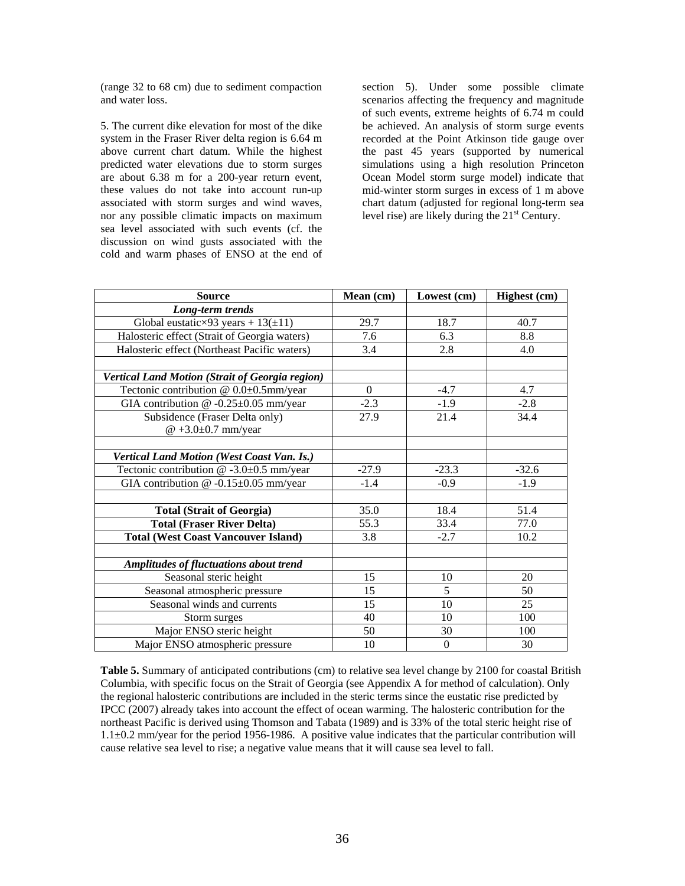(range 32 to 68 cm) due to sediment compaction and water loss.

5. The current dike elevation for most of the dike system in the Fraser River delta region is 6.64 m above current chart datum. While the highest predicted water elevations due to storm surges are about 6.38 m for a 200-year return event, these values do not take into account run-up associated with storm surges and wind waves, nor any possible climatic impacts on maximum sea level associated with such events (cf. the discussion on wind gusts associated with the cold and warm phases of ENSO at the end of

section 5). Under some possible climate scenarios affecting the frequency and magnitude of such events, extreme heights of 6.74 m could be achieved. An analysis of storm surge events recorded at the Point Atkinson tide gauge over the past 45 years (supported by numerical simulations using a high resolution Princeton Ocean Model storm surge model) indicate that mid-winter storm surges in excess of 1 m above chart datum (adjusted for regional long-term sea level rise) are likely during the  $21<sup>st</sup>$  Century.

| <b>Source</b>                                   | Mean (cm)    | Lowest (cm)  | Highest (cm) |
|-------------------------------------------------|--------------|--------------|--------------|
| Long-term trends                                |              |              |              |
| Global eustatic×93 years + $13(\pm 11)$         | 29.7         | 18.7         | 40.7         |
| Halosteric effect (Strait of Georgia waters)    | 7.6          | 6.3          | 8.8          |
| Halosteric effect (Northeast Pacific waters)    | 3.4          | 2.8          | 4.0          |
|                                                 |              |              |              |
| Vertical Land Motion (Strait of Georgia region) |              |              |              |
| Tectonic contribution @ 0.0±0.5mm/year          | $\mathbf{0}$ | $-4.7$       | 4.7          |
| GIA contribution $@ -0.25 \pm 0.05$ mm/year     | $-2.3$       | $-1.9$       | $-2.8$       |
| Subsidence (Fraser Delta only)                  | 27.9         | 21.4         | 34.4         |
| $@ +3.0 \pm 0.7$ mm/year                        |              |              |              |
|                                                 |              |              |              |
| Vertical Land Motion (West Coast Van. Is.)      |              |              |              |
| Tectonic contribution $@ -3.0 \pm 0.5$ mm/year  | $-27.9$      | $-23.3$      | $-32.6$      |
| GIA contribution $@ -0.15 \pm 0.05$ mm/year     | $-1.4$       | $-0.9$       | $-1.9$       |
|                                                 |              |              |              |
| <b>Total (Strait of Georgia)</b>                | 35.0         | 18.4         | 51.4         |
| <b>Total (Fraser River Delta)</b>               | 55.3         | 33.4         | 77.0         |
| <b>Total (West Coast Vancouver Island)</b>      | 3.8          | $-2.7$       | 10.2         |
|                                                 |              |              |              |
| <b>Amplitudes of fluctuations about trend</b>   |              |              |              |
| Seasonal steric height                          | 15           | 10           | 20           |
| Seasonal atmospheric pressure                   | 15           | 5            | 50           |
| Seasonal winds and currents                     | 15           | 10           | 25           |
| Storm surges                                    | 40           | 10           | 100          |
| Major ENSO steric height                        | 50           | 30           | 100          |
| Major ENSO atmospheric pressure                 | 10           | $\mathbf{0}$ | 30           |

Table 5. Summary of anticipated contributions (cm) to relative sea level change by 2100 for coastal British Columbia, with specific focus on the Strait of Georgia (see Appendix A for method of calculation). Only the regional halosteric contributions are included in the steric terms since the eustatic rise predicted by IPCC (2007) already takes into account the effect of ocean warming. The halosteric contribution for the northeast Pacific is derived using Thomson and Tabata (1989) and is 33% of the total steric height rise of 1.1±0.2 mm/year for the period 1956-1986. A positive value indicates that the particular contribution will cause relative sea level to rise; a negative value means that it will cause sea level to fall.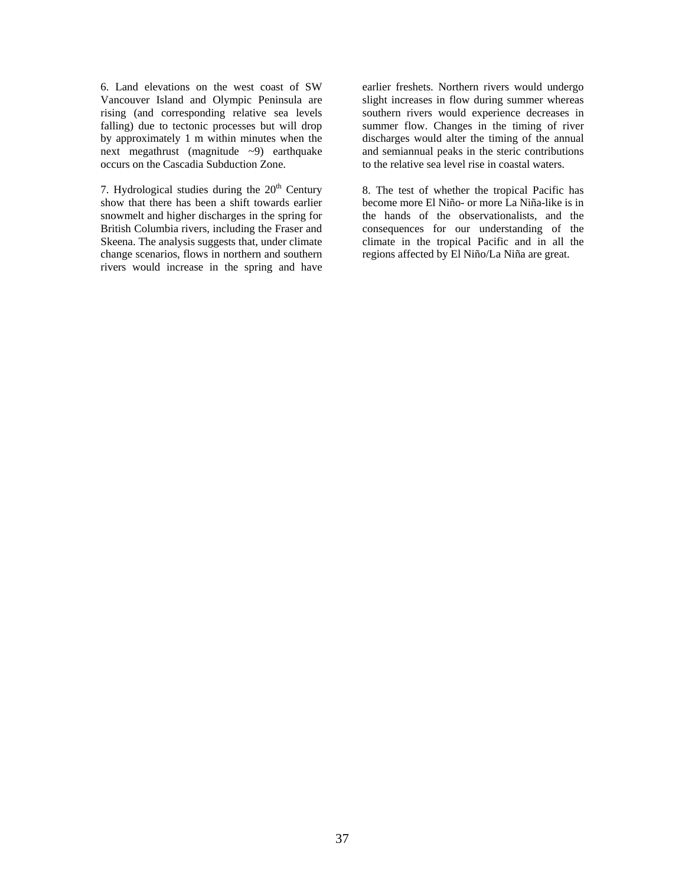6. Land elevations on the west coast of SW Vancouver Island and Olympic Peninsula are rising (and corresponding relative sea levels falling) due to tectonic processes but will drop by approximately 1 m within minutes when the next megathrust (magnitude ~9) earthquake occurs on the Cascadia Subduction Zone.

7. Hydrological studies during the  $20<sup>th</sup>$  Century show that there has been a shift towards earlier snowmelt and higher discharges in the spring for British Columbia rivers, including the Fraser and Skeena. The analysis suggests that, under climate change scenarios, flows in northern and southern rivers would increase in the spring and have

earlier freshets. Northern rivers would undergo slight increases in flow during summer whereas southern rivers would experience decreases in summer flow. Changes in the timing of river discharges would alter the timing of the annual and semiannual peaks in the steric contributions to the relative sea level rise in coastal waters.

8. The test of whether the tropical Pacific has become more El Niño- or more La Niña-like is in the hands of the observationalists, and the consequences for our understanding of the climate in the tropical Pacific and in all the regions affected by El Niño/La Niña are great.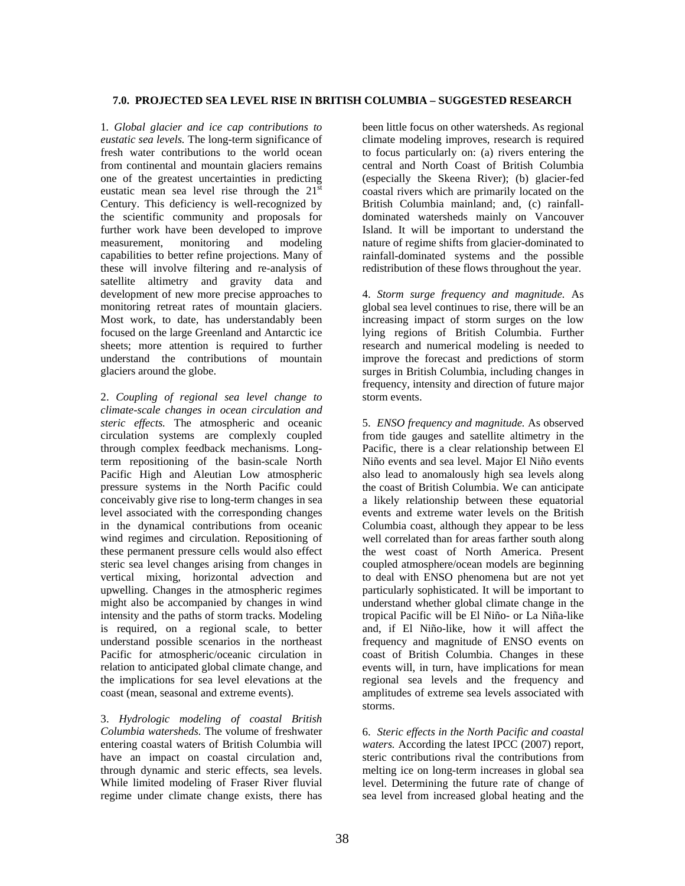#### **7.0. PROJECTED SEA LEVEL RISE IN BRITISH COLUMBIA – SUGGESTED RESEARCH**

1*. Global glacier and ice cap contributions to eustatic sea levels.* The long-term significance of fresh water contributions to the world ocean from continental and mountain glaciers remains one of the greatest uncertainties in predicting eustatic mean sea level rise through the  $21<sup>st</sup>$ Century. This deficiency is well-recognized by the scientific community and proposals for further work have been developed to improve measurement, monitoring and modeling capabilities to better refine projections. Many of these will involve filtering and re-analysis of satellite altimetry and gravity data and development of new more precise approaches to monitoring retreat rates of mountain glaciers. Most work, to date, has understandably been focused on the large Greenland and Antarctic ice sheets; more attention is required to further understand the contributions of mountain glaciers around the globe.

2. *Coupling of regional sea level change to climate-scale changes in ocean circulation and steric effects.* The atmospheric and oceanic circulation systems are complexly coupled through complex feedback mechanisms. Longterm repositioning of the basin-scale North Pacific High and Aleutian Low atmospheric pressure systems in the North Pacific could conceivably give rise to long-term changes in sea level associated with the corresponding changes in the dynamical contributions from oceanic wind regimes and circulation. Repositioning of these permanent pressure cells would also effect steric sea level changes arising from changes in vertical mixing, horizontal advection and upwelling. Changes in the atmospheric regimes might also be accompanied by changes in wind intensity and the paths of storm tracks. Modeling is required, on a regional scale, to better understand possible scenarios in the northeast Pacific for atmospheric/oceanic circulation in relation to anticipated global climate change, and the implications for sea level elevations at the coast (mean, seasonal and extreme events).

3. *Hydrologic modeling of coastal British Columbia watersheds.* The volume of freshwater entering coastal waters of British Columbia will have an impact on coastal circulation and, through dynamic and steric effects, sea levels. While limited modeling of Fraser River fluvial regime under climate change exists, there has been little focus on other watersheds. As regional climate modeling improves, research is required to focus particularly on: (a) rivers entering the central and North Coast of British Columbia (especially the Skeena River); (b) glacier-fed coastal rivers which are primarily located on the British Columbia mainland; and, (c) rainfalldominated watersheds mainly on Vancouver Island. It will be important to understand the nature of regime shifts from glacier-dominated to rainfall-dominated systems and the possible redistribution of these flows throughout the year.

4. *Storm surge frequency and magnitude.* As global sea level continues to rise, there will be an increasing impact of storm surges on the low lying regions of British Columbia. Further research and numerical modeling is needed to improve the forecast and predictions of storm surges in British Columbia, including changes in frequency, intensity and direction of future major storm events.

5. *ENSO frequency and magnitude.* As observed from tide gauges and satellite altimetry in the Pacific, there is a clear relationship between El Niño events and sea level. Major El Niño events also lead to anomalously high sea levels along the coast of British Columbia. We can anticipate a likely relationship between these equatorial events and extreme water levels on the British Columbia coast, although they appear to be less well correlated than for areas farther south along the west coast of North America. Present coupled atmosphere/ocean models are beginning to deal with ENSO phenomena but are not yet particularly sophisticated. It will be important to understand whether global climate change in the tropical Pacific will be El Niño- or La Niña-like and, if El Niño-like, how it will affect the frequency and magnitude of ENSO events on coast of British Columbia. Changes in these events will, in turn, have implications for mean regional sea levels and the frequency and amplitudes of extreme sea levels associated with storms.

6. *Steric effects in the North Pacific and coastal waters.* According the latest IPCC (2007) report, steric contributions rival the contributions from melting ice on long-term increases in global sea level. Determining the future rate of change of sea level from increased global heating and the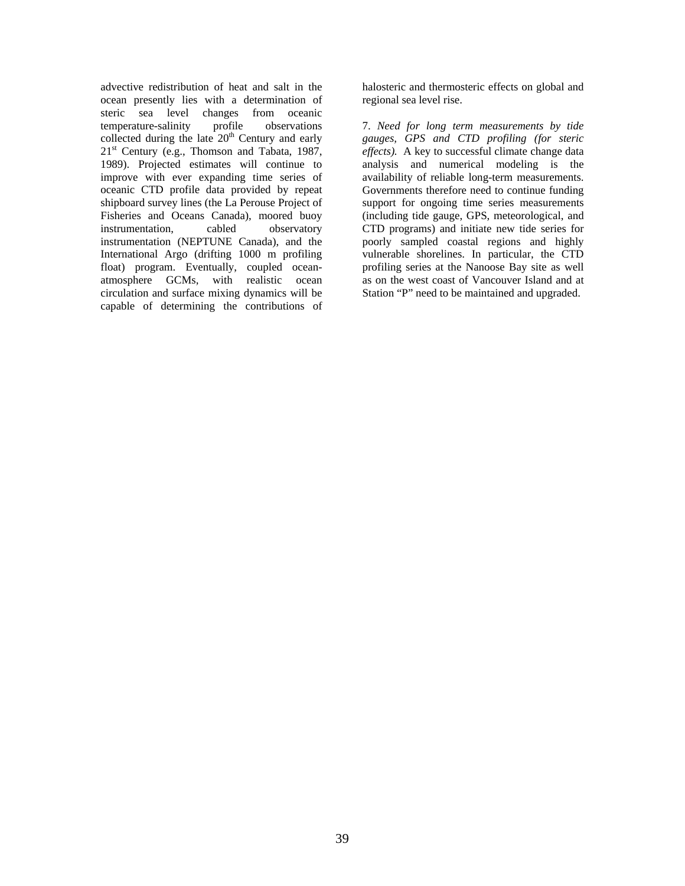advective redistribution of heat and salt in the ocean presently lies with a determination of steric sea level changes from oceanic temperature-salinity profile observations collected during the late  $20<sup>th</sup>$  Century and early  $21<sup>st</sup>$  Century (e.g., Thomson and Tabata, 1987, 1989). Projected estimates will continue to improve with ever expanding time series of oceanic CTD profile data provided by repeat shipboard survey lines (the La Perouse Project of Fisheries and Oceans Canada), moored buoy instrumentation, cabled observatory instrumentation (NEPTUNE Canada), and the International Argo (drifting 1000 m profiling float) program. Eventually, coupled oceanatmosphere GCMs, with realistic ocean circulation and surface mixing dynamics will be capable of determining the contributions of

halosteric and thermosteric effects on global and regional sea level rise.

7. *Need for long term measurements by tide gauges, GPS and CTD profiling (for steric effects).* A key to successful climate change data analysis and numerical modeling is the availability of reliable long-term measurements. Governments therefore need to continue funding support for ongoing time series measurements (including tide gauge, GPS, meteorological, and CTD programs) and initiate new tide series for poorly sampled coastal regions and highly vulnerable shorelines. In particular, the CTD profiling series at the Nanoose Bay site as well as on the west coast of Vancouver Island and at Station "P" need to be maintained and upgraded.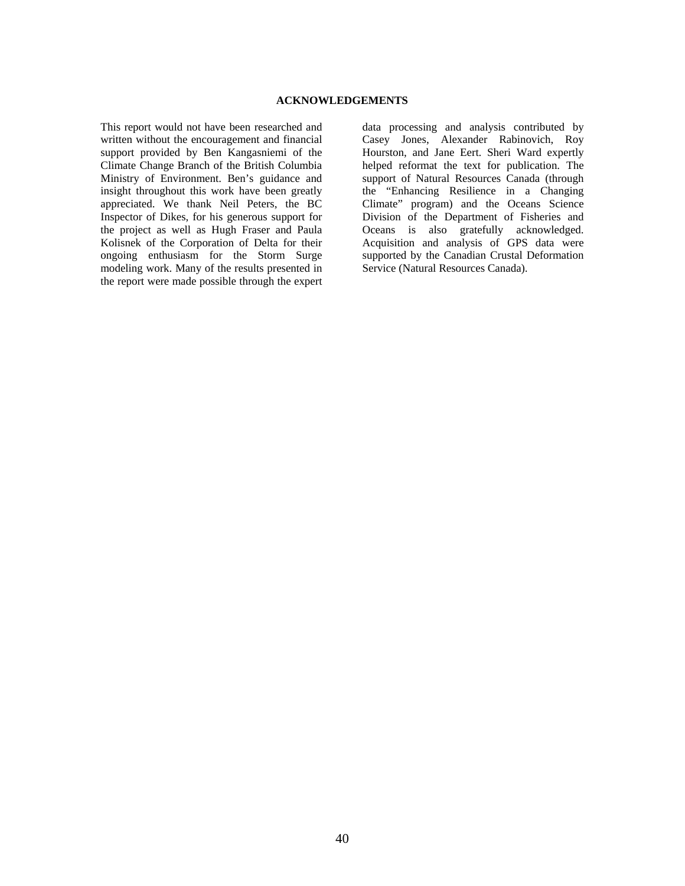#### **ACKNOWLEDGEMENTS**

This report would not have been researched and written without the encouragement and financial support provided by Ben Kangasniemi of the Climate Change Branch of the British Columbia Ministry of Environment. Ben's guidance and insight throughout this work have been greatly appreciated. We thank Neil Peters, the BC Inspector of Dikes, for his generous support for the project as well as Hugh Fraser and Paula Kolisnek of the Corporation of Delta for their ongoing enthusiasm for the Storm Surge modeling work. Many of the results presented in the report were made possible through the expert

data processing and analysis contributed by Casey Jones, Alexander Rabinovich, Roy Hourston, and Jane Eert. Sheri Ward expertly helped reformat the text for publication. The support of Natural Resources Canada (through the "Enhancing Resilience in a Changing Climate" program) and the Oceans Science Division of the Department of Fisheries and Oceans is also gratefully acknowledged. Acquisition and analysis of GPS data were supported by the Canadian Crustal Deformation Service (Natural Resources Canada).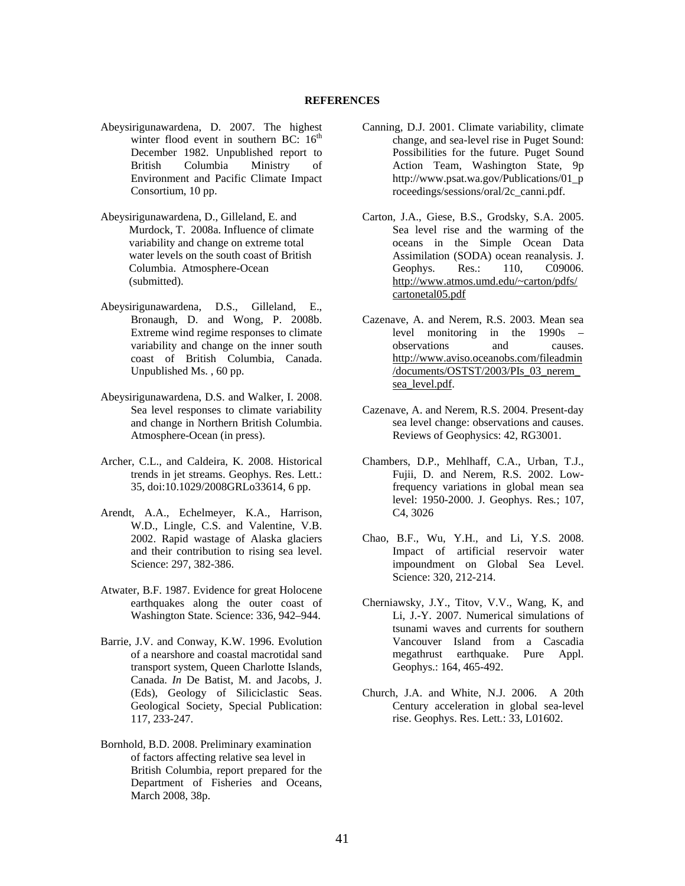- Abeysirigunawardena, D. 2007. The highest winter flood event in southern BC:  $16<sup>th</sup>$ December 1982. Unpublished report to British Columbia Ministry of Environment and Pacific Climate Impact Consortium, 10 pp.
- Abeysirigunawardena, D., Gilleland, E. and Murdock, T. 2008a. Influence of climate variability and change on extreme total water levels on the south coast of British Columbia. Atmosphere-Ocean (submitted).
- Abeysirigunawardena, D.S., Gilleland, E., Bronaugh, D. and Wong, P. 2008b. Extreme wind regime responses to climate variability and change on the inner south coast of British Columbia, Canada. Unpublished Ms. , 60 pp.
- Abeysirigunawardena, D.S. and Walker, I. 2008. Sea level responses to climate variability and change in Northern British Columbia. Atmosphere-Ocean (in press).
- Archer, C.L., and Caldeira, K. 2008. Historical trends in jet streams. Geophys. Res. Lett.: 35, doi:10.1029/2008GRLo33614, 6 pp.
- Arendt, A.A., Echelmeyer, K.A., Harrison, W.D., Lingle, C.S. and Valentine, V.B. 2002. Rapid wastage of Alaska glaciers and their contribution to rising sea level. Science: 297, 382-386.
- Atwater, B.F. 1987. Evidence for great Holocene earthquakes along the outer coast of Washington State. Science: 336, 942–944.
- Barrie, J.V. and Conway, K.W. 1996. Evolution of a nearshore and coastal macrotidal sand transport system, Queen Charlotte Islands, Canada. *In* De Batist, M. and Jacobs, J. (Eds), Geology of Siliciclastic Seas. Geological Society, Special Publication: 117, 233-247.
- Bornhold, B.D. 2008. Preliminary examination of factors affecting relative sea level in British Columbia, report prepared for the Department of Fisheries and Oceans, March 2008, 38p.
- Canning, D.J. 2001. Climate variability, climate change, and sea-level rise in Puget Sound: Possibilities for the future. Puget Sound Action Team, Washington State, 9p http://www.psat.wa.gov/Publications/01\_p roceedings/sessions/oral/2c\_canni.pdf.
- Carton, J.A., Giese, B.S., Grodsky, S.A. 2005. Sea level rise and the warming of the oceans in the Simple Ocean Data Assimilation (SODA) ocean reanalysis. J. Geophys. Res.: 110, C09006. http://www.atmos.umd.edu/~carton/pdfs/ cartonetal05.pdf
- Cazenave, A. and Nerem, R.S. 2003. Mean sea level monitoring in the 1990s – observations and causes. http://www.aviso.oceanobs.com/fileadmin /documents/OSTST/2003/PIs\_03\_nerem\_ sea level.pdf.
- Cazenave, A. and Nerem, R.S. 2004. Present-day sea level change: observations and causes. Reviews of Geophysics: 42, RG3001.
- Chambers, D.P., Mehlhaff, C.A., Urban, T.J., Fujii, D. and Nerem, R.S. 2002. Lowfrequency variations in global mean sea level: 1950-2000. J. Geophys. Res*.*; 107, C4, 3026
- Chao, B.F., Wu, Y.H., and Li, Y.S. 2008. Impact of artificial reservoir water impoundment on Global Sea Level. Science: 320, 212-214.
- Cherniawsky, J.Y., Titov, V.V., Wang, K, and Li, J.-Y. 2007. Numerical simulations of tsunami waves and currents for southern Vancouver Island from a Cascadia megathrust earthquake. Pure Appl. Geophys.: 164, 465-492.
- Church, J.A. and White, N.J. 2006. A 20th Century acceleration in global sea-level rise. Geophys. Res. Lett*.*: 33, L01602.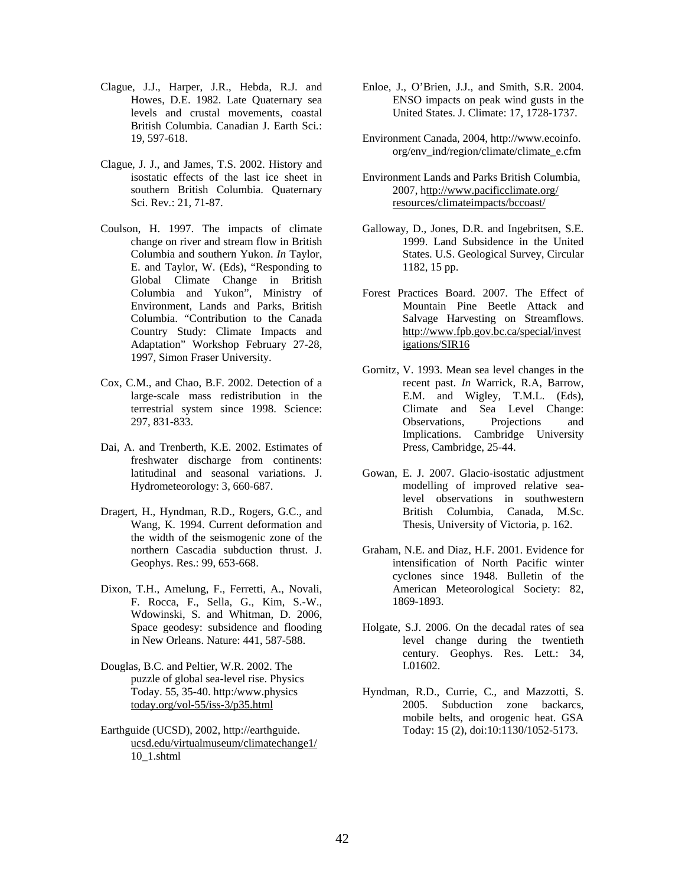- Clague, J.J., Harper, J.R., Hebda, R.J. and Howes, D.E. 1982. Late Quaternary sea levels and crustal movements, coastal British Columbia. Canadian J. Earth Sci*.*: 19, 597-618.
- Clague, J. J., and James, T.S. 2002. History and isostatic effects of the last ice sheet in southern British Columbia. Quaternary Sci. Rev*.*: 21, 71-87.
- Coulson, H. 1997. The impacts of climate change on river and stream flow in British Columbia and southern Yukon. *In* Taylor, E. and Taylor, W. (Eds), "Responding to Global Climate Change in British Columbia and Yukon", Ministry of Environment, Lands and Parks, British Columbia. "Contribution to the Canada Country Study: Climate Impacts and Adaptation" Workshop February 27-28, 1997, Simon Fraser University.
- Cox, C.M., and Chao, B.F. 2002. Detection of a large-scale mass redistribution in the terrestrial system since 1998. Science: 297, 831-833.
- Dai, A. and Trenberth, K.E. 2002. Estimates of freshwater discharge from continents: latitudinal and seasonal variations. J. Hydrometeorology: 3, 660-687.
- Dragert, H., Hyndman, R.D., Rogers, G.C., and Wang, K. 1994. Current deformation and the width of the seismogenic zone of the northern Cascadia subduction thrust. J. Geophys. Res.: 99, 653-668.
- Dixon, T.H., Amelung, F., Ferretti, A., Novali, F. Rocca, F., Sella, G., Kim, S.-W., Wdowinski, S. and Whitman, D. 2006, Space geodesy: subsidence and flooding in New Orleans. Nature: 441, 587-588.
- Douglas, B.C. and Peltier, W.R. 2002. The puzzle of global sea-level rise. Physics Today. 55, 35-40. http:/www.physics today.org/vol-55/iss-3/p35.html
- Earthguide (UCSD), 2002, http://earthguide. ucsd.edu/virtualmuseum/climatechange1/ 10\_1.shtml
- Enloe, J., O'Brien, J.J., and Smith, S.R. 2004. ENSO impacts on peak wind gusts in the United States. J. Climate: 17, 1728-1737.
- Environment Canada, 2004, http://www.ecoinfo. org/env\_ind/region/climate/climate\_e.cfm
- Environment Lands and Parks British Columbia, 2007, http://www.pacificclimate.org/ resources/climateimpacts/bccoast/
- Galloway, D., Jones, D.R. and Ingebritsen, S.E. 1999. Land Subsidence in the United States. U.S. Geological Survey, Circular 1182, 15 pp.
- Forest Practices Board. 2007. The Effect of Mountain Pine Beetle Attack and Salvage Harvesting on Streamflows. http://www.fpb.gov.bc.ca/special/invest igations/SIR16
- Gornitz, V. 1993. Mean sea level changes in the recent past. *In* Warrick, R.A, Barrow, E.M. and Wigley, T.M.L. (Eds), Climate and Sea Level Change: Observations, Projections and Implications. Cambridge University Press, Cambridge, 25-44.
- Gowan, E. J. 2007. Glacio-isostatic adjustment modelling of improved relative sealevel observations in southwestern British Columbia, Canada, M.Sc. Thesis, University of Victoria, p. 162.
- Graham, N.E. and Diaz, H.F. 2001. Evidence for intensification of North Pacific winter cyclones since 1948. Bulletin of the American Meteorological Society: 82, 1869-1893.
- Holgate, S.J. 2006. On the decadal rates of sea level change during the twentieth century. Geophys. Res. Lett.: 34, L01602.
- Hyndman, R.D., Currie, C., and Mazzotti, S. 2005. Subduction zone backarcs, mobile belts, and orogenic heat. GSA Today: 15 (2), doi:10:1130/1052-5173.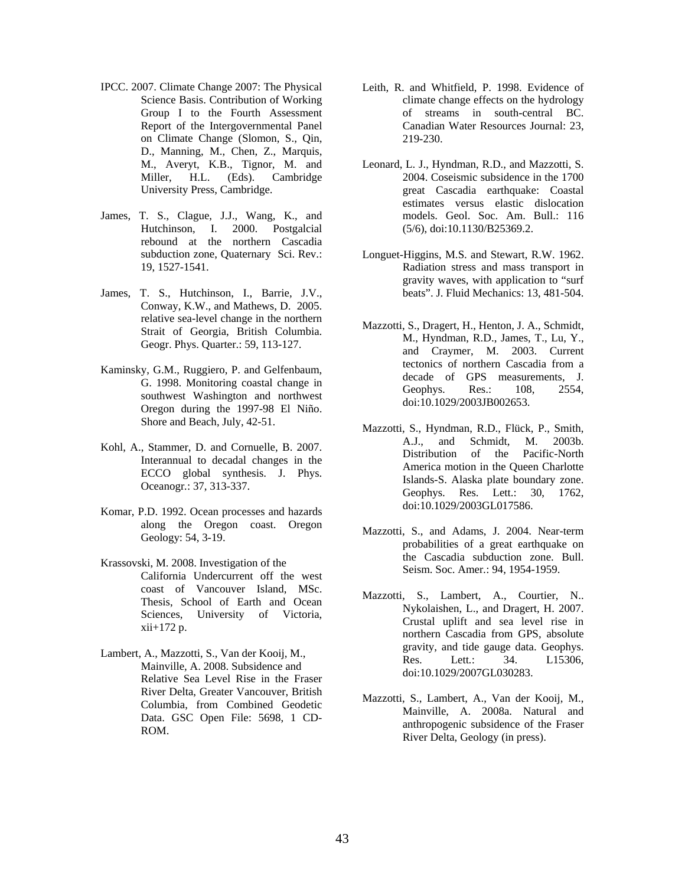- IPCC. 2007. Climate Change 2007: The Physical Science Basis. Contribution of Working Group I to the Fourth Assessment Report of the Intergovernmental Panel on Climate Change (Slomon, S., Qin, D., Manning, M., Chen, Z., Marquis, M., Averyt, K.B., Tignor, M. and Miller, H.L. (Eds). Cambridge University Press, Cambridge.
- James, T. S., Clague, J.J., Wang, K., and Hutchinson, I. 2000. Postgalcial rebound at the northern Cascadia subduction zone, Quaternary Sci. Rev.: 19, 1527-1541.
- James, T. S., Hutchinson, I., Barrie, J.V., Conway, K.W., and Mathews, D. 2005. relative sea-level change in the northern Strait of Georgia, British Columbia. Geogr. Phys. Quarter.: 59, 113-127.
- Kaminsky, G.M., Ruggiero, P. and Gelfenbaum, G. 1998. Monitoring coastal change in southwest Washington and northwest Oregon during the 1997-98 El Niño. Shore and Beach, July, 42-51.
- Kohl, A., Stammer, D. and Cornuelle, B. 2007. Interannual to decadal changes in the ECCO global synthesis. J. Phys. Oceanogr*.*: 37, 313-337.
- Komar, P.D. 1992. Ocean processes and hazards along the Oregon coast. Oregon Geology: 54, 3-19.
- Krassovski, M. 2008. Investigation of the California Undercurrent off the west coast of Vancouver Island, MSc. Thesis, School of Earth and Ocean Sciences, University of Victoria, xii+172 p.
- Lambert, A., Mazzotti, S., Van der Kooij, M., Mainville, A. 2008. Subsidence and Relative Sea Level Rise in the Fraser River Delta, Greater Vancouver, British Columbia, from Combined Geodetic Data. GSC Open File: 5698, 1 CD-ROM.
- Leith, R. and Whitfield, P. 1998. Evidence of climate change effects on the hydrology of streams in south-central BC. Canadian Water Resources Journal: 23, 219-230.
- Leonard, L. J., Hyndman, R.D., and Mazzotti, S. 2004. Coseismic subsidence in the 1700 great Cascadia earthquake: Coastal estimates versus elastic dislocation models. Geol. Soc. Am. Bull.: 116 (5/6), doi:10.1130/B25369.2.
- Longuet-Higgins, M.S. and Stewart, R.W. 1962. Radiation stress and mass transport in gravity waves, with application to "surf beats". J. Fluid Mechanics: 13, 481-504.
- Mazzotti, S., Dragert, H., Henton, J. A., Schmidt, M., Hyndman, R.D., James, T., Lu, Y., and Craymer, M. 2003. Current tectonics of northern Cascadia from a decade of GPS measurements, J. Geophys. Res.: 108, 2554, doi:10.1029/2003JB002653.
- Mazzotti, S., Hyndman, R.D., Flück, P., Smith, A.J., and Schmidt, M. 2003b. Distribution of the Pacific-North America motion in the Queen Charlotte Islands-S. Alaska plate boundary zone. Geophys. Res. Lett.: 30, 1762, doi:10.1029/2003GL017586.
- Mazzotti, S., and Adams, J. 2004. Near-term probabilities of a great earthquake on the Cascadia subduction zone. Bull. Seism. Soc. Amer*.*: 94, 1954-1959.
- Mazzotti, S., Lambert, A., Courtier, N.. Nykolaishen, L., and Dragert, H. 2007. Crustal uplift and sea level rise in northern Cascadia from GPS, absolute gravity, and tide gauge data. Geophys. Res. Lett*.*: 34. L15306, doi:10.1029/2007GL030283.
- Mazzotti, S., Lambert, A., Van der Kooij, M., Mainville, A. 2008a. Natural and anthropogenic subsidence of the Fraser River Delta, Geology (in press).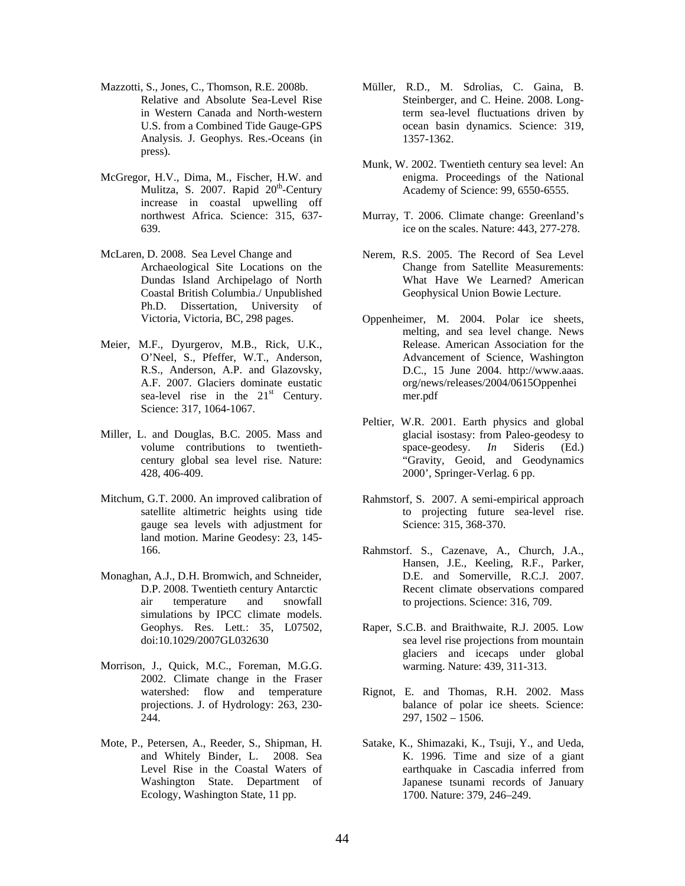- Mazzotti, S., Jones, C., Thomson, R.E. 2008b. Relative and Absolute Sea-Level Rise in Western Canada and North-western U.S. from a Combined Tide Gauge-GPS Analysis. J. Geophys. Res.-Oceans (in press).
- McGregor, H.V., Dima, M., Fischer, H.W. and Mulitza, S. 2007. Rapid 20<sup>th</sup>-Century increase in coastal upwelling off northwest Africa. Science: 315, 637- 639.
- McLaren, D. 2008. Sea Level Change and Archaeological Site Locations on the Dundas Island Archipelago of North Coastal British Columbia./ Unpublished Ph.D. Dissertation, University of Victoria, Victoria, BC, 298 pages.
- Meier, M.F., Dyurgerov, M.B., Rick, U.K., O'Neel, S., Pfeffer, W.T., Anderson, R.S., Anderson, A.P. and Glazovsky, A.F. 2007. Glaciers dominate eustatic sea-level rise in the  $21<sup>st</sup>$  Century. Science: 317, 1064-1067.
- Miller, L. and Douglas, B.C. 2005. Mass and volume contributions to twentiethcentury global sea level rise. Nature: 428, 406-409.
- Mitchum, G.T. 2000. An improved calibration of satellite altimetric heights using tide gauge sea levels with adjustment for land motion. Marine Geodesy: 23, 145- 166.
- Monaghan, A.J., D.H. Bromwich, and Schneider, D.P. 2008. Twentieth century Antarctic air temperature and snowfall simulations by IPCC climate models. Geophys. Res. Lett*.*: 35, L07502, doi:10.1029/2007GL032630
- Morrison, J., Quick, M.C., Foreman, M.G.G. 2002. Climate change in the Fraser watershed: flow and temperature projections. J. of Hydrology: 263, 230- 244.
- Mote, P., Petersen, A., Reeder, S., Shipman, H. and Whitely Binder, L. 2008. Sea Level Rise in the Coastal Waters of Washington State. Department of Ecology, Washington State, 11 pp.
- Müller, R.D., M. Sdrolias, C. Gaina, B. Steinberger, and C. Heine. 2008. Longterm sea-level fluctuations driven by ocean basin dynamics. Science: 319, 1357-1362.
- Munk, W. 2002. Twentieth century sea level: An enigma. Proceedings of the National Academy of Science: 99, 6550-6555.
- Murray, T. 2006. Climate change: Greenland's ice on the scales. Nature: 443, 277-278.
- Nerem, R.S. 2005. The Record of Sea Level Change from Satellite Measurements: What Have We Learned? American Geophysical Union Bowie Lecture.
- Oppenheimer, M. 2004. Polar ice sheets, melting, and sea level change. News Release. American Association for the Advancement of Science, Washington D.C., 15 June 2004. http://www.aaas. org/news/releases/2004/0615Oppenhei mer.pdf
- Peltier, W.R. 2001. Earth physics and global glacial isostasy: from Paleo-geodesy to space-geodesy. *In* Sideris (Ed.) "Gravity, Geoid, and Geodynamics 2000', Springer-Verlag. 6 pp.
- Rahmstorf, S. 2007. A semi-empirical approach to projecting future sea-level rise. Science: 315, 368-370.
- Rahmstorf. S., Cazenave, A., Church, J.A., Hansen, J.E., Keeling, R.F., Parker, D.E. and Somerville, R.C.J. 2007. Recent climate observations compared to projections. Science: 316, 709.
- Raper, S.C.B. and Braithwaite, R.J. 2005. Low sea level rise projections from mountain glaciers and icecaps under global warming. Nature: 439, 311-313.
- Rignot, E. and Thomas, R.H. 2002. Mass balance of polar ice sheets. Science: 297, 1502 – 1506.
- Satake, K., Shimazaki, K., Tsuji, Y., and Ueda, K. 1996. Time and size of a giant earthquake in Cascadia inferred from Japanese tsunami records of January 1700. Nature: 379, 246–249.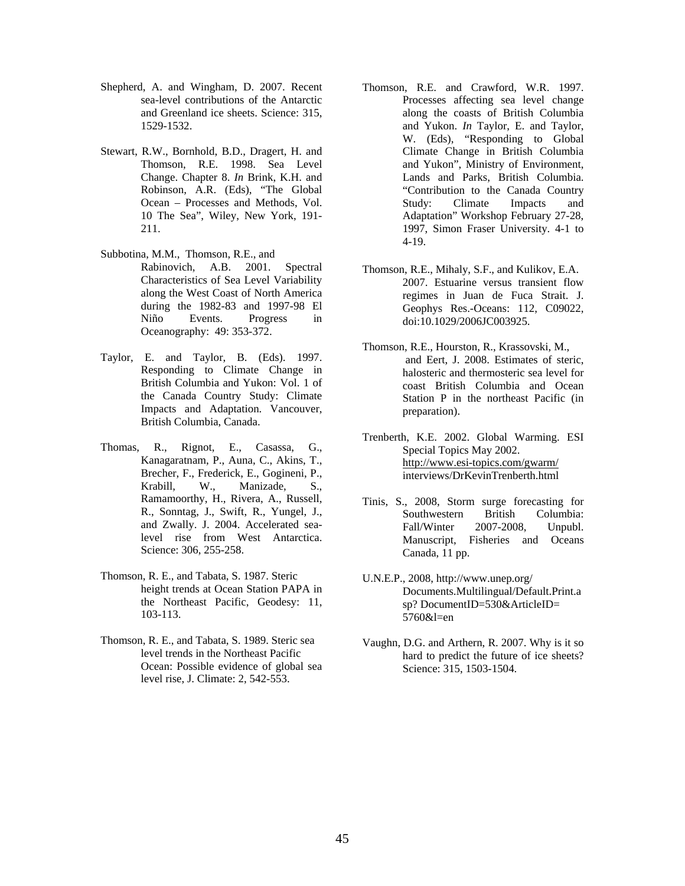- Shepherd, A. and Wingham, D. 2007. Recent sea-level contributions of the Antarctic and Greenland ice sheets. Science: 315, 1529-1532.
- Stewart, R.W., Bornhold, B.D., Dragert, H. and Thomson, R.E. 1998. Sea Level Change. Chapter 8. *In* Brink, K.H. and Robinson, A.R. (Eds), "The Global Ocean – Processes and Methods, Vol. 10 The Sea", Wiley, New York, 191- 211.
- Subbotina, M.M., Thomson, R.E., and Rabinovich, A.B. 2001. Spectral Characteristics of Sea Level Variability along the West Coast of North America during the 1982-83 and 1997-98 El Niño Events. Progress in Oceanography: 49: 353-372.
- Taylor, E. and Taylor, B. (Eds). 1997. Responding to Climate Change in British Columbia and Yukon: Vol. 1 of the Canada Country Study: Climate Impacts and Adaptation. Vancouver, British Columbia, Canada.
- Thomas, R., Rignot, E., Casassa, G., Kanagaratnam, P., Auna, C., Akins, T., Brecher, F., Frederick, E., Gogineni, P., Krabill, W., Manizade, S., Ramamoorthy, H., Rivera, A., Russell, R., Sonntag, J., Swift, R., Yungel, J., and Zwally. J. 2004. Accelerated sealevel rise from West Antarctica. Science: 306, 255-258.
- Thomson, R. E., and Tabata, S. 1987. Steric height trends at Ocean Station PAPA in the Northeast Pacific, Geodesy: 11, 103-113.
- Thomson, R. E., and Tabata, S. 1989. Steric sea level trends in the Northeast Pacific Ocean: Possible evidence of global sea level rise, J. Climate: 2, 542-553.
- Thomson, R.E. and Crawford, W.R. 1997. Processes affecting sea level change along the coasts of British Columbia and Yukon. *In* Taylor, E. and Taylor, W. (Eds), "Responding to Global Climate Change in British Columbia and Yukon", Ministry of Environment, Lands and Parks, British Columbia. "Contribution to the Canada Country Study: Climate Impacts and Adaptation" Workshop February 27-28, 1997, Simon Fraser University. 4-1 to 4-19.
- Thomson, R.E., Mihaly, S.F., and Kulikov, E.A. 2007. Estuarine versus transient flow regimes in Juan de Fuca Strait. J. Geophys Res.-Oceans: 112, C09022, doi:10.1029/2006JC003925.
- Thomson, R.E., Hourston, R., Krassovski, M., and Eert, J. 2008. Estimates of steric, halosteric and thermosteric sea level for coast British Columbia and Ocean Station P in the northeast Pacific (in preparation).
- Trenberth, K.E. 2002. Global Warming. ESI Special Topics May 2002. http://www.esi-topics.com/gwarm/ interviews/DrKevinTrenberth.html
- Tinis, S., 2008, Storm surge forecasting for Southwestern British Columbia: Fall/Winter 2007-2008, Unpubl. Manuscript, Fisheries and Oceans Canada, 11 pp.
- U.N.E.P., 2008, http://www.unep.org/ Documents.Multilingual/Default.Print.a sp? DocumentID=530&ArticleID= 5760&l=en
- Vaughn, D.G. and Arthern, R. 2007. Why is it so hard to predict the future of ice sheets? Science: 315, 1503-1504.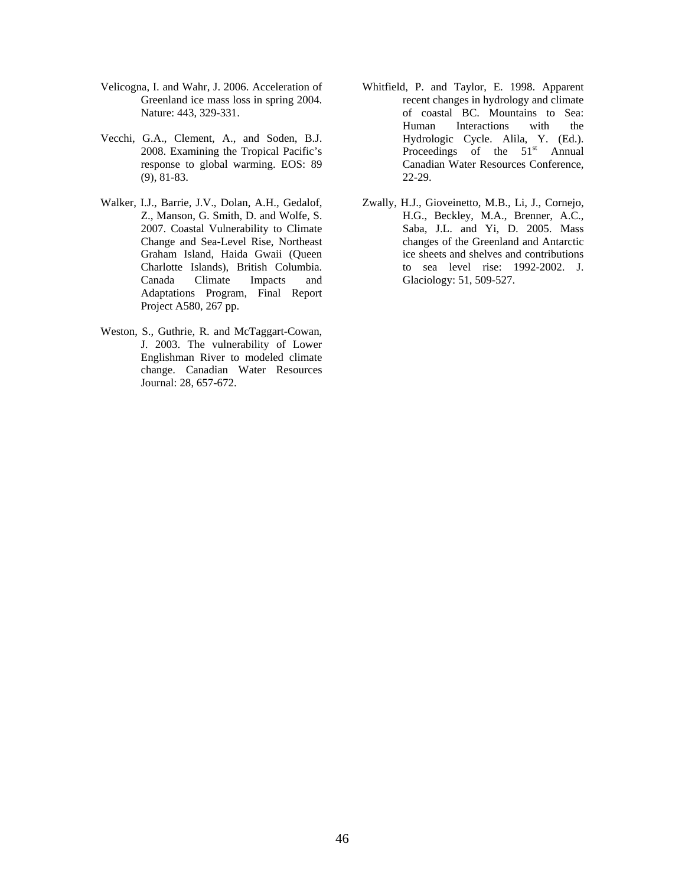- Velicogna, I. and Wahr, J. 2006. Acceleration of Greenland ice mass loss in spring 2004. Nature: 443, 329-331.
- Vecchi, G.A., Clement, A., and Soden, B.J. 2008. Examining the Tropical Pacific's response to global warming. EOS: 89 (9), 81-83.
- Walker, I.J., Barrie, J.V., Dolan, A.H., Gedalof, Z., Manson, G. Smith, D. and Wolfe, S. 2007. Coastal Vulnerability to Climate Change and Sea-Level Rise, Northeast Graham Island, Haida Gwaii (Queen Charlotte Islands), British Columbia. Canada Climate Impacts and Adaptations Program, Final Report Project A580, 267 pp.
- Weston, S., Guthrie, R. and McTaggart-Cowan, J. 2003. The vulnerability of Lower Englishman River to modeled climate change. Canadian Water Resources Journal: 28, 657-672.
- Whitfield, P. and Taylor, E. 1998. Apparent recent changes in hydrology and climate of coastal BC. Mountains to Sea: Human Interactions with the Hydrologic Cycle. Alila, Y. (Ed.). Proceedings of the 51<sup>st</sup> Annual Canadian Water Resources Conference, 22-29.
- Zwally, H.J., Gioveinetto, M.B., Li, J., Cornejo, H.G., Beckley, M.A., Brenner, A.C., Saba, J.L. and Yi, D. 2005. Mass changes of the Greenland and Antarctic ice sheets and shelves and contributions to sea level rise: 1992-2002. J. Glaciology: 51, 509-527.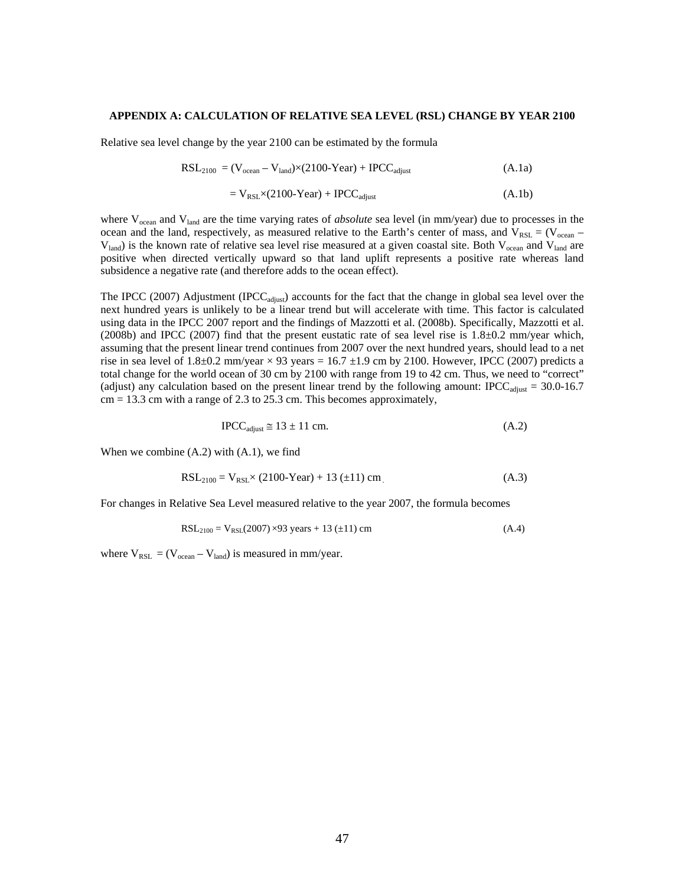#### **APPENDIX A: CALCULATION OF RELATIVE SEA LEVEL (RSL) CHANGE BY YEAR 2100**

Relative sea level change by the year 2100 can be estimated by the formula

$$
RSL_{2100} = (V_{ocean} - V_{land}) \times (2100 - Year) + IPCC_{adjust}
$$
\n(A.1a)

$$
= V_{RSL} \times (2100 \text{--} \text{Year}) + \text{IPC} C_{\text{adjust}} \tag{A.1b}
$$

where V<sub>ocean</sub> and V<sub>land</sub> are the time varying rates of *absolute* sea level (in mm/year) due to processes in the ocean and the land, respectively, as measured relative to the Earth's center of mass, and  $V_{RSL} = (V_{ocean} V_{land}$ ) is the known rate of relative sea level rise measured at a given coastal site. Both  $V_{ocean}$  and  $V_{land}$  are positive when directed vertically upward so that land uplift represents a positive rate whereas land subsidence a negative rate (and therefore adds to the ocean effect).

The IPCC (2007) Adjustment (IPCC<sub>adjust</sub>) accounts for the fact that the change in global sea level over the next hundred years is unlikely to be a linear trend but will accelerate with time. This factor is calculated using data in the IPCC 2007 report and the findings of Mazzotti et al. (2008b). Specifically, Mazzotti et al. (2008b) and IPCC (2007) find that the present eustatic rate of sea level rise is 1.8±0.2 mm/year which, assuming that the present linear trend continues from 2007 over the next hundred years, should lead to a net rise in sea level of  $1.8\pm0.2$  mm/year  $\times$  93 years = 16.7  $\pm1.9$  cm by 2100. However, IPCC (2007) predicts a total change for the world ocean of 30 cm by 2100 with range from 19 to 42 cm. Thus, we need to "correct" (adjust) any calculation based on the present linear trend by the following amount: IPCC<sub>adjust</sub> = 30.0-16.7  $cm = 13.3$  cm with a range of 2.3 to 25.3 cm. This becomes approximately,

$$
IPCC_{\text{adjust}} \cong 13 \pm 11 \text{ cm.} \tag{A.2}
$$

When we combine  $(A.2)$  with  $(A.1)$ , we find

$$
RSL_{2100} = V_{RSL} \times (2100 \text{--} \text{Year}) + 13 \ (\pm 11) \ \text{cm} \tag{A.3}
$$

For changes in Relative Sea Level measured relative to the year 2007, the formula becomes

$$
RSL_{2100} = V_{RSL}(2007) \times 93 \text{ years} + 13 \ (\pm 11) \text{ cm}
$$
 (A.4)

where  $V_{RSL} = (V_{ocean} - V_{land})$  is measured in mm/year.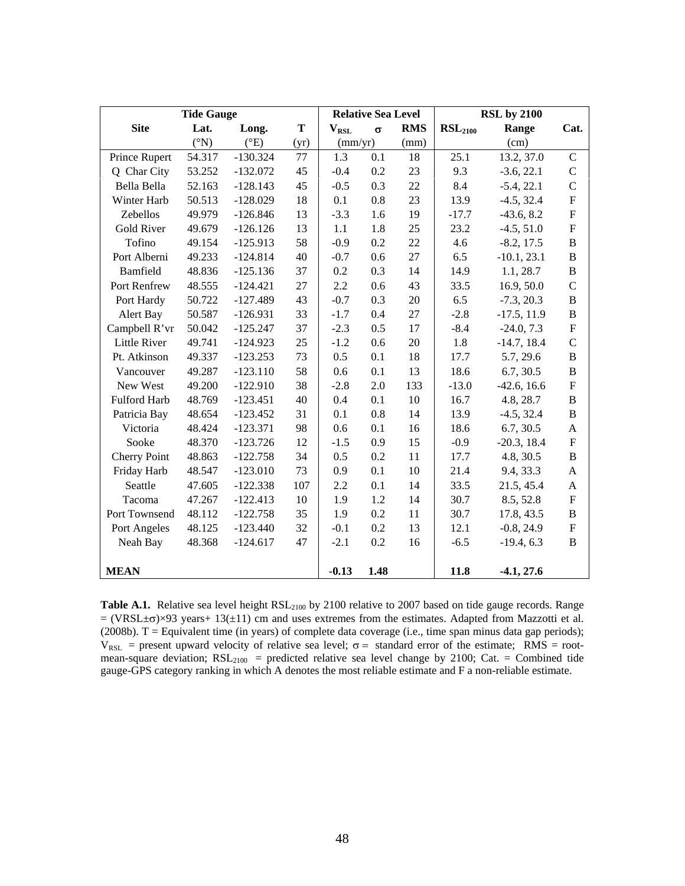|                     | <b>Tide Gauge</b> |               |      |           | <b>RSL by 2100</b><br><b>Relative Sea Level</b> |            |                     |               |                           |
|---------------------|-------------------|---------------|------|-----------|-------------------------------------------------|------------|---------------------|---------------|---------------------------|
| <b>Site</b>         | Lat.              | Long.         | T    | $V_{RSL}$ | $\sigma$                                        | <b>RMS</b> | RSL <sub>2100</sub> | Range         | Cat.                      |
|                     | $({}^{\circ}N)$   | $(^{\circ}E)$ | (yr) | (mm/yr)   |                                                 | (mm)       |                     | (cm)          |                           |
| Prince Rupert       | 54.317            | $-130.324$    | 77   | 1.3       | 0.1                                             | 18         | 25.1                | 13.2, 37.0    | $\mathbf C$               |
| Q Char City         | 53.252            | $-132.072$    | 45   | $-0.4$    | 0.2                                             | 23         | 9.3                 | $-3.6, 22.1$  | $\overline{C}$            |
| Bella Bella         | 52.163            | $-128.143$    | 45   | $-0.5$    | 0.3                                             | 22         | 8.4                 | $-5.4, 22.1$  | $\mathbf C$               |
| Winter Harb         | 50.513            | $-128.029$    | 18   | 0.1       | 0.8                                             | 23         | 13.9                | $-4.5, 32.4$  | F                         |
| Zebellos            | 49.979            | $-126.846$    | 13   | $-3.3$    | 1.6                                             | 19         | $-17.7$             | $-43.6, 8.2$  | F                         |
| <b>Gold River</b>   | 49.679            | $-126.126$    | 13   | 1.1       | 1.8                                             | 25         | 23.2                | $-4.5, 51.0$  | ${\rm F}$                 |
| Tofino              | 49.154            | $-125.913$    | 58   | $-0.9$    | 0.2                                             | $22\,$     | 4.6                 | $-8.2, 17.5$  | B                         |
| Port Alberni        | 49.233            | $-124.814$    | 40   | $-0.7$    | 0.6                                             | 27         | 6.5                 | $-10.1, 23.1$ | B                         |
| Bamfield            | 48.836            | $-125.136$    | 37   | 0.2       | 0.3                                             | 14         | 14.9                | 1.1, 28.7     | B                         |
| Port Renfrew        | 48.555            | $-124.421$    | 27   | 2.2       | 0.6                                             | 43         | 33.5                | 16.9, 50.0    | $\mathcal{C}$             |
| Port Hardy          | 50.722            | $-127.489$    | 43   | $-0.7$    | 0.3                                             | 20         | 6.5                 | $-7.3, 20.3$  | B                         |
| Alert Bay           | 50.587            | $-126.931$    | 33   | $-1.7$    | 0.4                                             | 27         | $-2.8$              | $-17.5, 11.9$ | B                         |
| Campbell R'vr       | 50.042            | $-125.247$    | 37   | $-2.3$    | 0.5                                             | 17         | $-8.4$              | $-24.0, 7.3$  | $\mathbf F$               |
| <b>Little River</b> | 49.741            | $-124.923$    | 25   | $-1.2$    | 0.6                                             | 20         | 1.8                 | $-14.7, 18.4$ | $\mathcal{C}$             |
| Pt. Atkinson        | 49.337            | $-123.253$    | 73   | 0.5       | 0.1                                             | 18         | 17.7                | 5.7, 29.6     | B                         |
| Vancouver           | 49.287            | $-123.110$    | 58   | 0.6       | 0.1                                             | 13         | 18.6                | 6.7, 30.5     | B                         |
| New West            | 49.200            | $-122.910$    | 38   | $-2.8$    | 2.0                                             | 133        | $-13.0$             | $-42.6, 16.6$ | ${\rm F}$                 |
| Fulford Harb        | 48.769            | $-123.451$    | 40   | 0.4       | 0.1                                             | 10         | 16.7                | 4.8, 28.7     | B                         |
| Patricia Bay        | 48.654            | $-123.452$    | 31   | 0.1       | 0.8                                             | 14         | 13.9                | $-4.5, 32.4$  | $\, {\bf B}$              |
| Victoria            | 48.424            | $-123.371$    | 98   | 0.6       | 0.1                                             | 16         | 18.6                | 6.7, 30.5     | A                         |
| Sooke               | 48.370            | $-123.726$    | 12   | $-1.5$    | 0.9                                             | 15         | $-0.9$              | $-20.3, 18.4$ | $\boldsymbol{\mathrm{F}}$ |
| <b>Cherry Point</b> | 48.863            | $-122.758$    | 34   | 0.5       | 0.2                                             | 11         | 17.7                | 4.8, 30.5     | B                         |
| Friday Harb         | 48.547            | $-123.010$    | 73   | 0.9       | 0.1                                             | 10         | 21.4                | 9.4, 33.3     | A                         |
| Seattle             | 47.605            | $-122.338$    | 107  | 2.2       | 0.1                                             | 14         | 33.5                | 21.5, 45.4    | A                         |
| Tacoma              | 47.267            | $-122.413$    | 10   | 1.9       | 1.2                                             | 14         | 30.7                | 8.5, 52.8     | F                         |
| Port Townsend       | 48.112            | $-122.758$    | 35   | 1.9       | 0.2                                             | 11         | 30.7                | 17.8, 43.5    | B                         |
| Port Angeles        | 48.125            | $-123.440$    | 32   | $-0.1$    | 0.2                                             | 13         | 12.1                | $-0.8, 24.9$  | $\mathbf F$               |
| Neah Bay            | 48.368            | $-124.617$    | 47   | $-2.1$    | 0.2                                             | 16         | $-6.5$              | $-19.4, 6.3$  | B                         |
|                     |                   |               |      |           |                                                 |            |                     |               |                           |
| <b>MEAN</b>         |                   |               |      | $-0.13$   | 1.48                                            |            | 11.8                | $-4.1, 27.6$  |                           |

Table A.1. Relative sea level height RSL<sub>2100</sub> by 2100 relative to 2007 based on tide gauge records. Range = (VRSL±σ)×93 years+ 13(±11) cm and uses extremes from the estimates. Adapted from Mazzotti et al. (2008b).  $T =$  Equivalent time (in years) of complete data coverage (i.e., time span minus data gap periods);  $V_{RSL}$  = present upward velocity of relative sea level;  $\sigma$  = standard error of the estimate; RMS = rootmean-square deviation;  $RSL<sub>2100</sub>$  = predicted relative sea level change by 2100; Cat. = Combined tide gauge-GPS category ranking in which A denotes the most reliable estimate and F a non-reliable estimate.